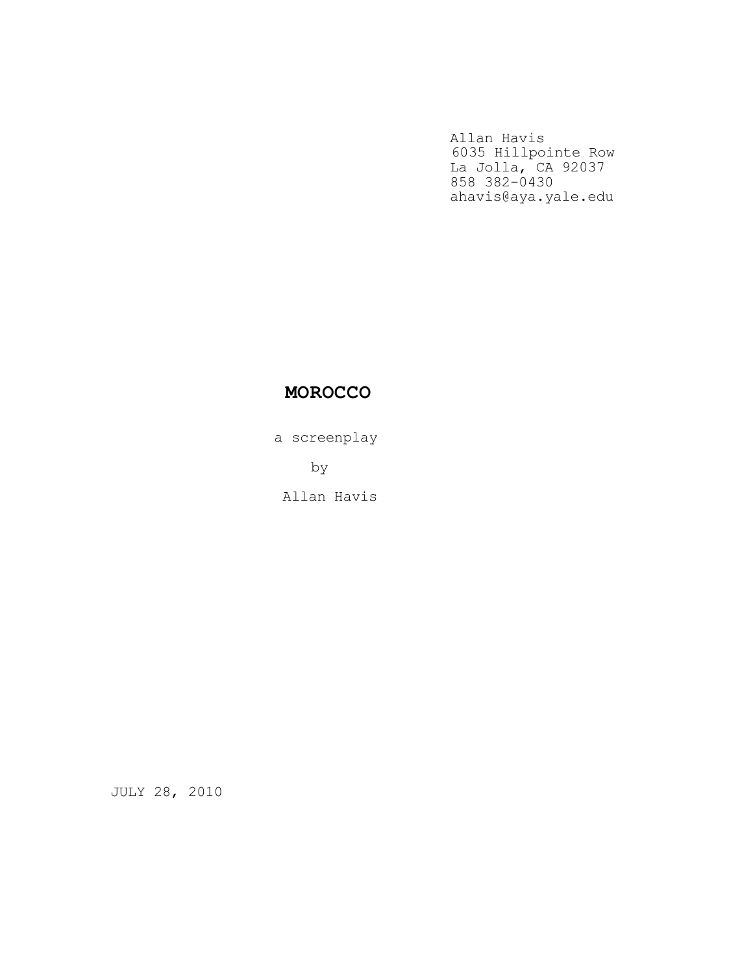Allan Havis 6035 Hillpointe Row La Jolla, CA 92037 858 382-0430 ahavis@aya.yale.edu

## MOROCCO

a screenplay

by

Allan Havis

JULY 28, 2010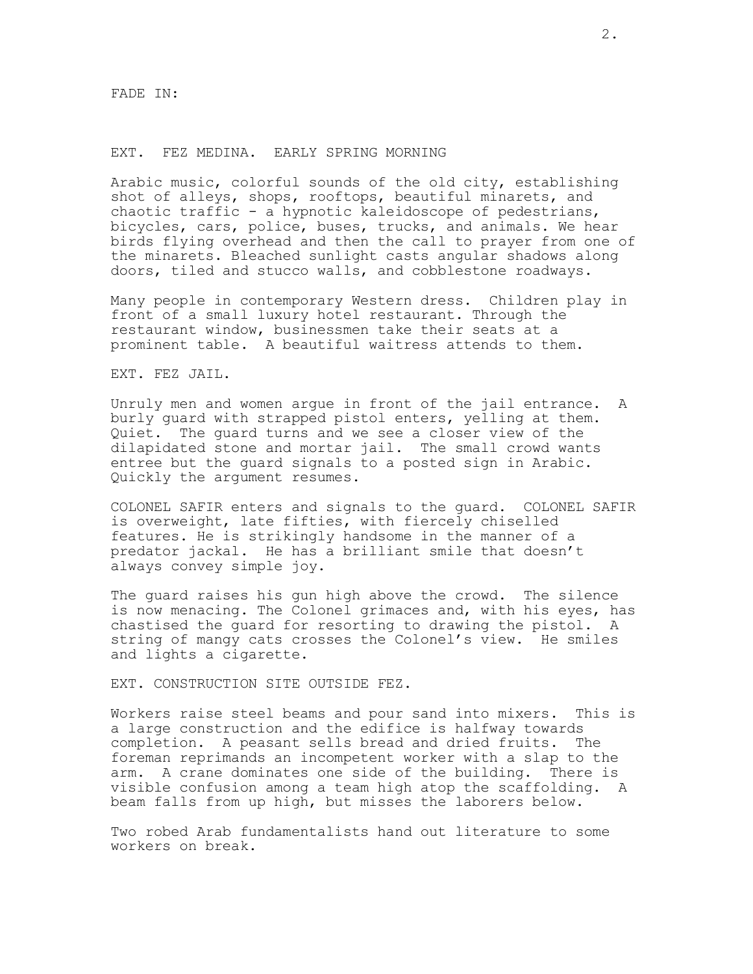#### EXT. FEZ MEDINA. EARLY SPRING MORNING

Arabic music, colorful sounds of the old city, establishing shot of alleys, shops, rooftops, beautiful minarets, and chaotic traffic - a hypnotic kaleidoscope of pedestrians, bicycles, cars, police, buses, trucks, and animals. We hear birds flying overhead and then the call to prayer from one of the minarets. Bleached sunlight casts angular shadows along doors, tiled and stucco walls, and cobblestone roadways.

Many people in contemporary Western dress. Children play in front of a small luxury hotel restaurant. Through the restaurant window, businessmen take their seats at a prominent table. A beautiful waitress attends to them.

EXT. FEZ JAIL.

Unruly men and women argue in front of the jail entrance. A burly guard with strapped pistol enters, yelling at them. Quiet. The guard turns and we see a closer view of the dilapidated stone and mortar jail. The small crowd wants entree but the guard signals to a posted sign in Arabic. Quickly the argument resumes.

COLONEL SAFIR enters and signals to the guard. COLONEL SAFIR is overweight, late fifties, with fiercely chiselled features. He is strikingly handsome in the manner of a predator jackal. He has a brilliant smile that doesn't always convey simple joy.

The guard raises his gun high above the crowd. The silence is now menacing. The Colonel grimaces and, with his eyes, has chastised the guard for resorting to drawing the pistol. A string of mangy cats crosses the Colonel's view. He smiles and lights a cigarette.

EXT. CONSTRUCTION SITE OUTSIDE FEZ.

Workers raise steel beams and pour sand into mixers. This is a large construction and the edifice is halfway towards completion. A peasant sells bread and dried fruits. The foreman reprimands an incompetent worker with a slap to the arm. A crane dominates one side of the building. There is visible confusion among a team high atop the scaffolding. A beam falls from up high, but misses the laborers below.

Two robed Arab fundamentalists hand out literature to some workers on break.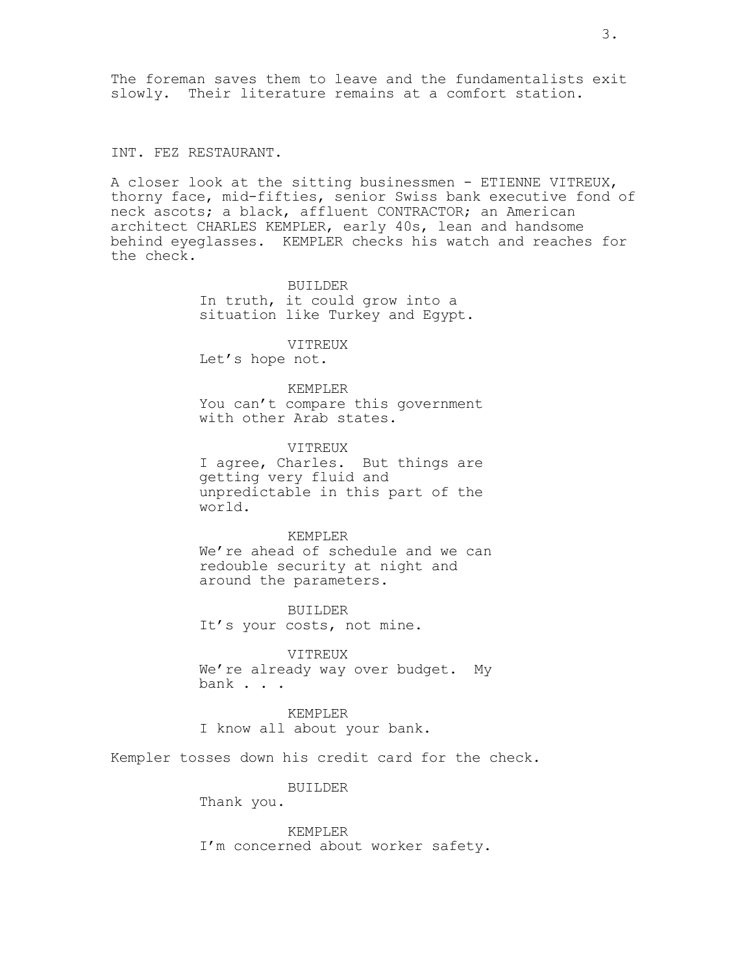The foreman saves them to leave and the fundamentalists exit slowly. Their literature remains at a comfort station.

INT. FEZ RESTAURANT.

A closer look at the sitting businessmen - ETIENNE VITREUX, thorny face, mid-fifties, senior Swiss bank executive fond of neck ascots; a black, affluent CONTRACTOR; an American architect CHARLES KEMPLER, early 40s, lean and handsome behind eyeglasses. KEMPLER checks his watch and reaches for the check.

> BUILDER In truth, it could grow into a situation like Turkey and Egypt.

VITREUX Let's hope not.

KEMPLER You can't compare this government with other Arab states.

VITREUX I agree, Charles. But things are getting very fluid and unpredictable in this part of the world.

KEMPLER We're ahead of schedule and we can redouble security at night and around the parameters.

BUILDER It's your costs, not mine.

VITREUX We're already way over budget. My bank . . .

KEMPLER I know all about your bank.

Kempler tosses down his credit card for the check.

BUILDER

Thank you.

KEMPLER I'm concerned about worker safety.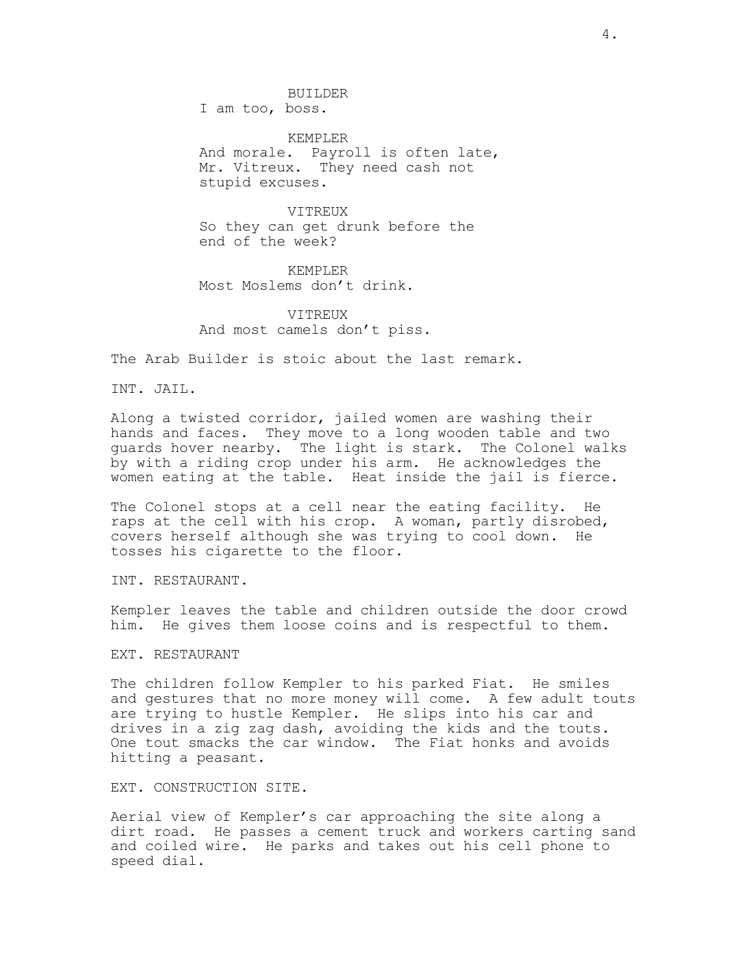BUILDER

I am too, boss.

KEMPLER And morale. Payroll is often late, Mr. Vitreux. They need cash not stupid excuses.

VITREUX So they can get drunk before the end of the week?

KEMPLER Most Moslems don't drink.

VITREUX And most camels don't piss.

The Arab Builder is stoic about the last remark.

INT. JAIL.

Along a twisted corridor, jailed women are washing their hands and faces. They move to a long wooden table and two guards hover nearby. The light is stark. The Colonel walks by with a riding crop under his arm. He acknowledges the women eating at the table. Heat inside the jail is fierce.

The Colonel stops at a cell near the eating facility. He raps at the cell with his crop. A woman, partly disrobed, covers herself although she was trying to cool down. He tosses his cigarette to the floor.

INT. RESTAURANT.

Kempler leaves the table and children outside the door crowd him. He gives them loose coins and is respectful to them.

#### EXT. RESTAURANT

The children follow Kempler to his parked Fiat. He smiles and gestures that no more money will come. A few adult touts are trying to hustle Kempler. He slips into his car and drives in a zig zag dash, avoiding the kids and the touts. One tout smacks the car window. The Fiat honks and avoids hitting a peasant.

EXT. CONSTRUCTION SITE.

Aerial view of Kempler's car approaching the site along a dirt road. He passes a cement truck and workers carting sand and coiled wire. He parks and takes out his cell phone to speed dial.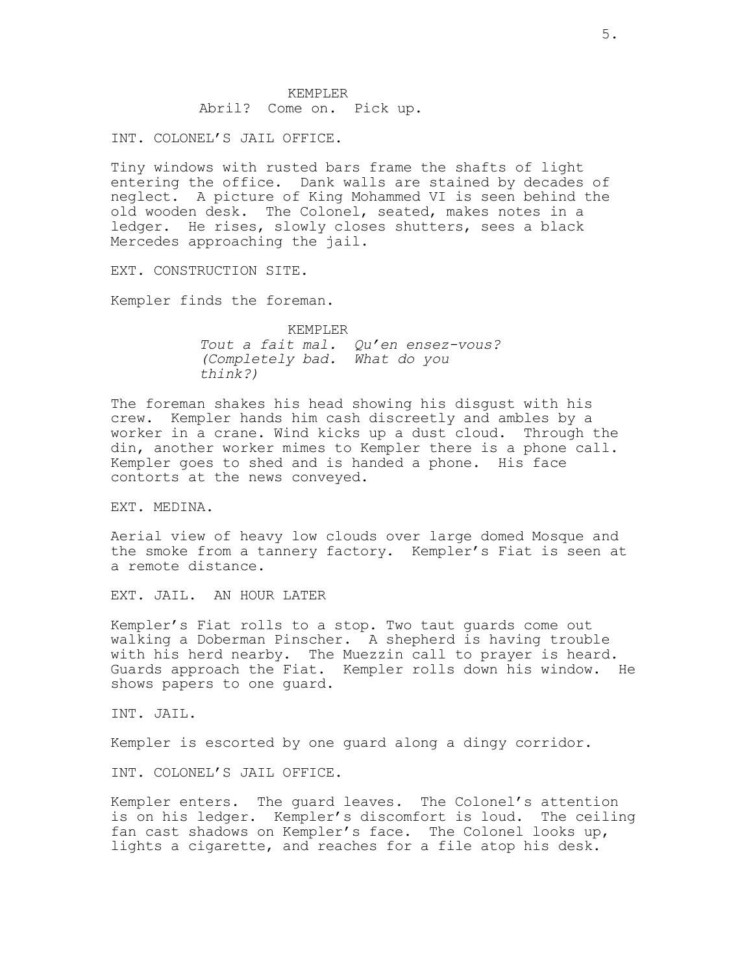### KEMPLER Abril? Come on. Pick up.

INT. COLONEL'S JAIL OFFICE.

Tiny windows with rusted bars frame the shafts of light entering the office. Dank walls are stained by decades of neglect. A picture of King Mohammed VI is seen behind the old wooden desk. The Colonel, seated, makes notes in a ledger. He rises, slowly closes shutters, sees a black Mercedes approaching the jail.

EXT. CONSTRUCTION SITE.

Kempler finds the foreman.

KEMPLER Tout a fait mal. Qu'en ensez-vous? (Completely bad. What do you think?)

The foreman shakes his head showing his disgust with his crew. Kempler hands him cash discreetly and ambles by a worker in a crane. Wind kicks up a dust cloud. Through the din, another worker mimes to Kempler there is a phone call. Kempler goes to shed and is handed a phone. His face contorts at the news conveyed.

EXT. MEDINA.

Aerial view of heavy low clouds over large domed Mosque and the smoke from a tannery factory. Kempler's Fiat is seen at a remote distance.

EXT. JAIL. AN HOUR LATER

Kempler's Fiat rolls to a stop. Two taut guards come out walking a Doberman Pinscher. A shepherd is having trouble with his herd nearby. The Muezzin call to prayer is heard. Guards approach the Fiat. Kempler rolls down his window. He shows papers to one guard.

INT. JAIL.

Kempler is escorted by one guard along a dingy corridor.

INT. COLONEL'S JAIL OFFICE.

Kempler enters. The guard leaves. The Colonel's attention is on his ledger. Kempler's discomfort is loud. The ceiling fan cast shadows on Kempler's face. The Colonel looks up, lights a cigarette, and reaches for a file atop his desk.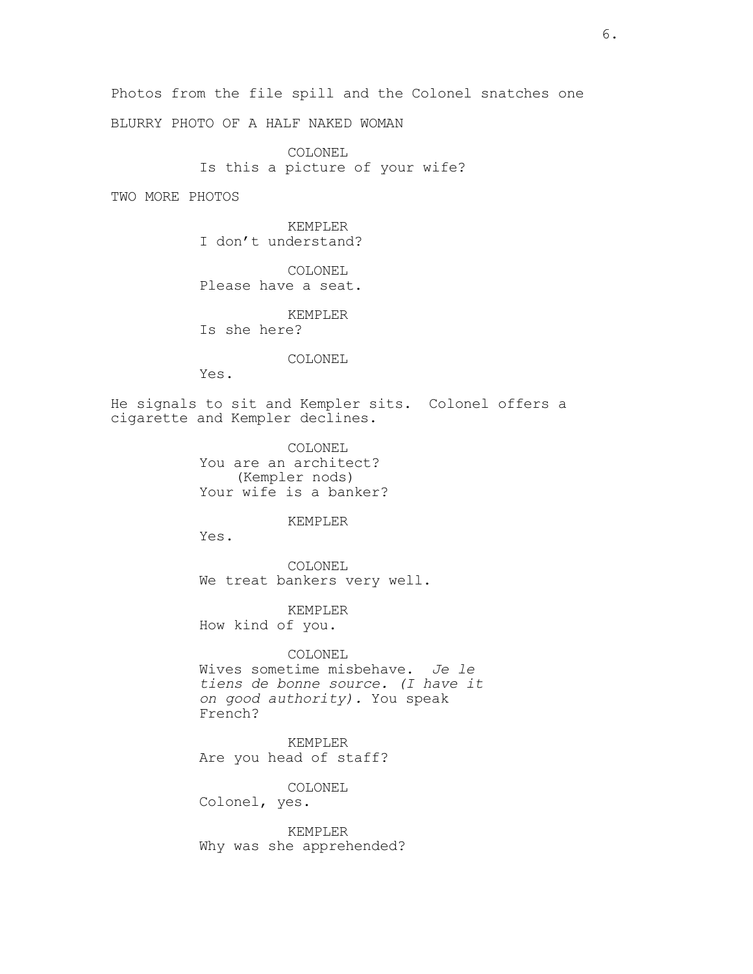Photos from the file spill and the Colonel snatches one BLURRY PHOTO OF A HALF NAKED WOMAN

> COLONEL Is this a picture of your wife?

TWO MORE PHOTOS

KEMPLER I don't understand?

COLONEL Please have a seat.

KEMPLER Is she here?

COLONEL

Yes.

He signals to sit and Kempler sits. Colonel offers a cigarette and Kempler declines.

> COLONEL You are an architect? (Kempler nods) Your wife is a banker?

## KEMPLER

Yes.

COLONEL We treat bankers very well.

KEMPLER How kind of you.

COLONEL Wives sometime misbehave. Je le tiens de bonne source. (I have it on good authority). You speak French?

KEMPLER Are you head of staff?

COLONEL Colonel, yes.

KEMPLER Why was she apprehended?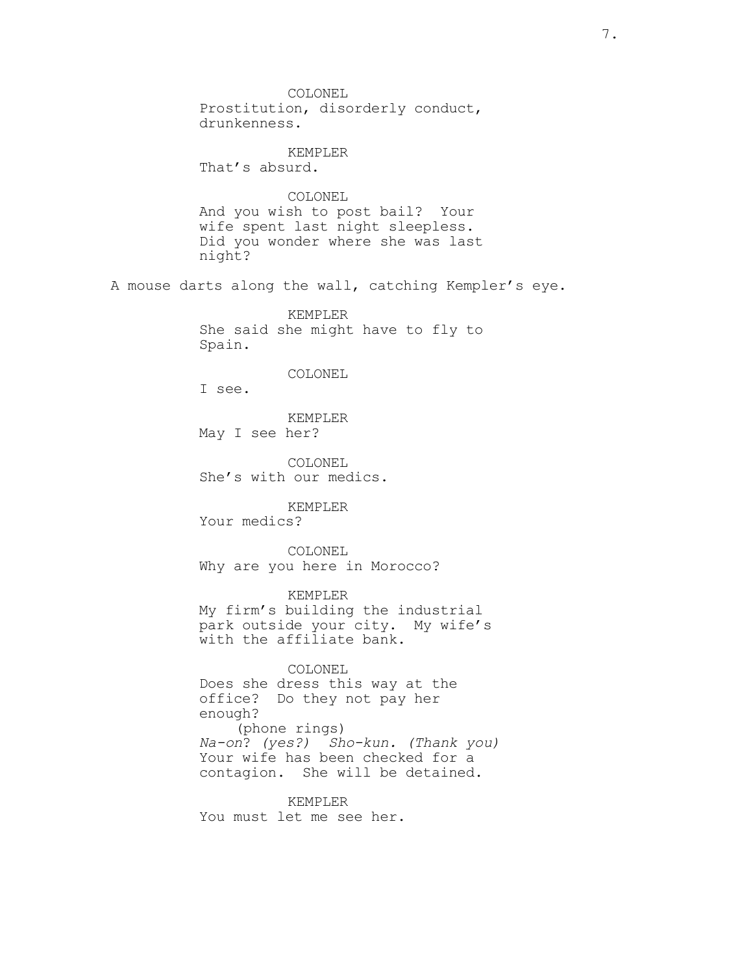COLONEL Prostitution, disorderly conduct, drunkenness. KEMPLER That's absurd. COLONEL And you wish to post bail? Your wife spent last night sleepless. Did you wonder where she was last night? A mouse darts along the wall, catching Kempler's eye. KEMPLER She said she might have to fly to Spain. COLONEL I see. KEMPLER May I see her? COLONEL She's with our medics. KEMPLER Your medics? COLONEL Why are you here in Morocco? KEMPLER My firm's building the industrial park outside your city. My wife's with the affiliate bank. COLONEL Does she dress this way at the office? Do they not pay her enough? (phone rings) Na-on? (yes?) Sho-kun. (Thank you) Your wife has been checked for a contagion. She will be detained. KEMPLER You must let me see her.

7.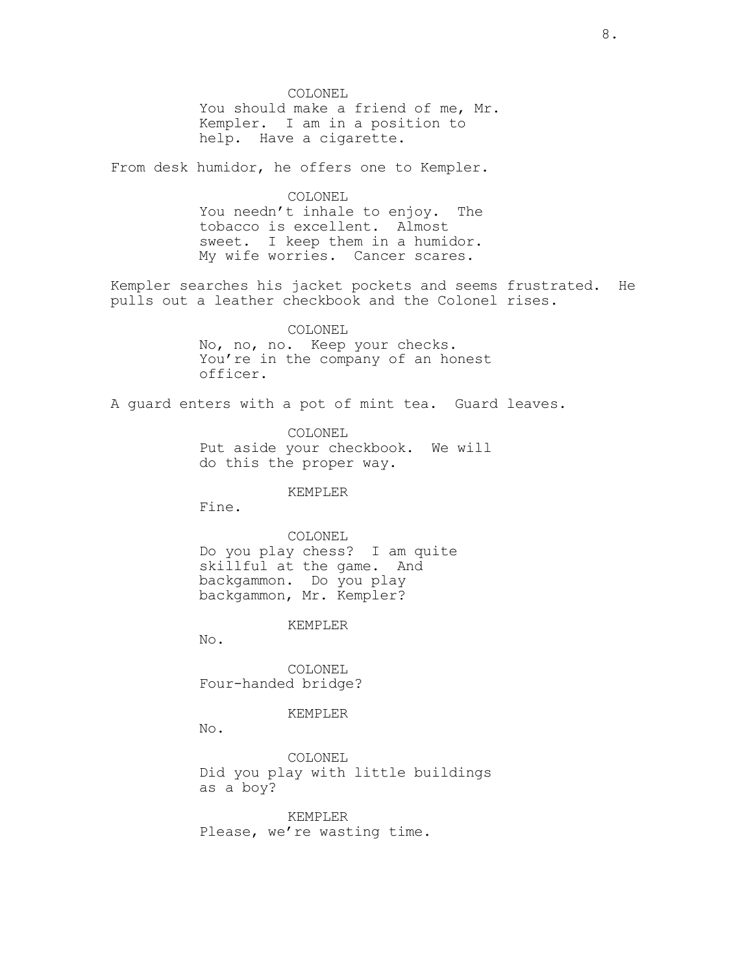COLONEL You should make a friend of me, Mr. Kempler. I am in a position to help. Have a cigarette.

From desk humidor, he offers one to Kempler.

COLONEL You needn't inhale to enjoy. The tobacco is excellent. Almost sweet. I keep them in a humidor. My wife worries. Cancer scares.

Kempler searches his jacket pockets and seems frustrated. He pulls out a leather checkbook and the Colonel rises.

> COLONEL No, no, no. Keep your checks. You're in the company of an honest officer.

A guard enters with a pot of mint tea. Guard leaves.

COLONEL Put aside your checkbook. We will do this the proper way.

### KEMPLER

Fine.

COLONEL Do you play chess? I am quite skillful at the game. And backgammon. Do you play backgammon, Mr. Kempler?

#### KEMPLER

No.

COLONEL Four-handed bridge?

KEMPLER

No.

COLONEL Did you play with little buildings as a boy?

KEMPLER Please, we're wasting time.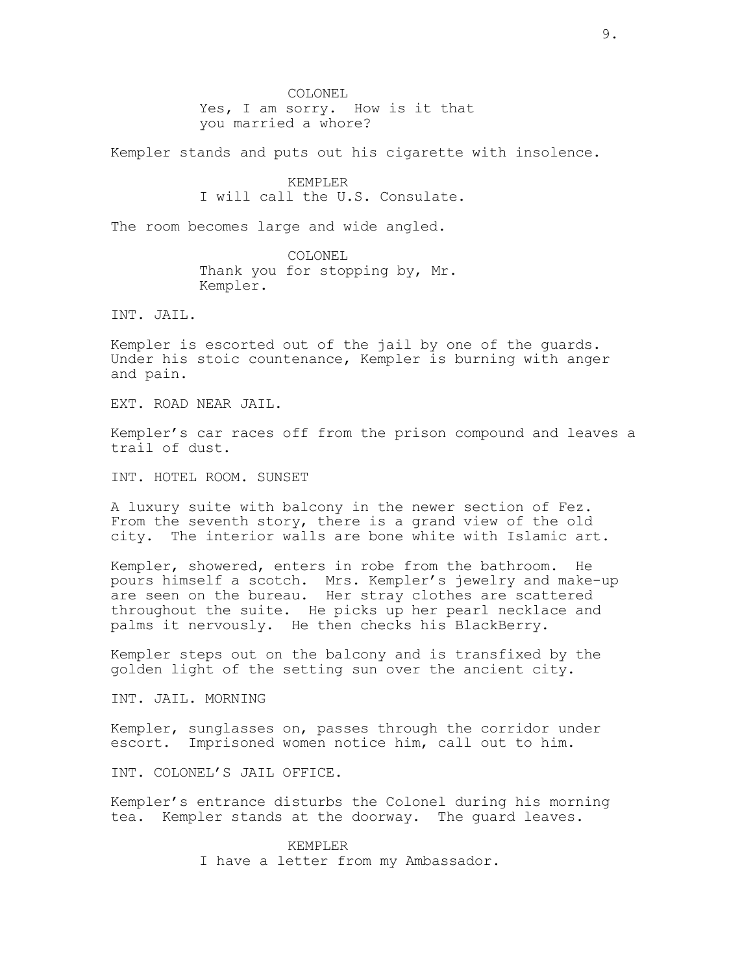COLONEL Yes, I am sorry. How is it that you married a whore?

Kempler stands and puts out his cigarette with insolence.

## KEMPLER I will call the U.S. Consulate.

The room becomes large and wide angled.

COLONEL Thank you for stopping by, Mr. Kempler.

INT. JAIL.

Kempler is escorted out of the jail by one of the guards. Under his stoic countenance, Kempler is burning with anger and pain.

EXT. ROAD NEAR JAIL.

Kempler's car races off from the prison compound and leaves a trail of dust.

INT. HOTEL ROOM. SUNSET

A luxury suite with balcony in the newer section of Fez. From the seventh story, there is a grand view of the old city. The interior walls are bone white with Islamic art.

Kempler, showered, enters in robe from the bathroom. He pours himself a scotch. Mrs. Kempler's jewelry and make-up are seen on the bureau. Her stray clothes are scattered throughout the suite. He picks up her pearl necklace and palms it nervously. He then checks his BlackBerry.

Kempler steps out on the balcony and is transfixed by the golden light of the setting sun over the ancient city.

INT. JAIL. MORNING

Kempler, sunglasses on, passes through the corridor under escort. Imprisoned women notice him, call out to him.

INT. COLONEL'S JAIL OFFICE.

Kempler's entrance disturbs the Colonel during his morning tea. Kempler stands at the doorway. The guard leaves.

> KEMPLER I have a letter from my Ambassador.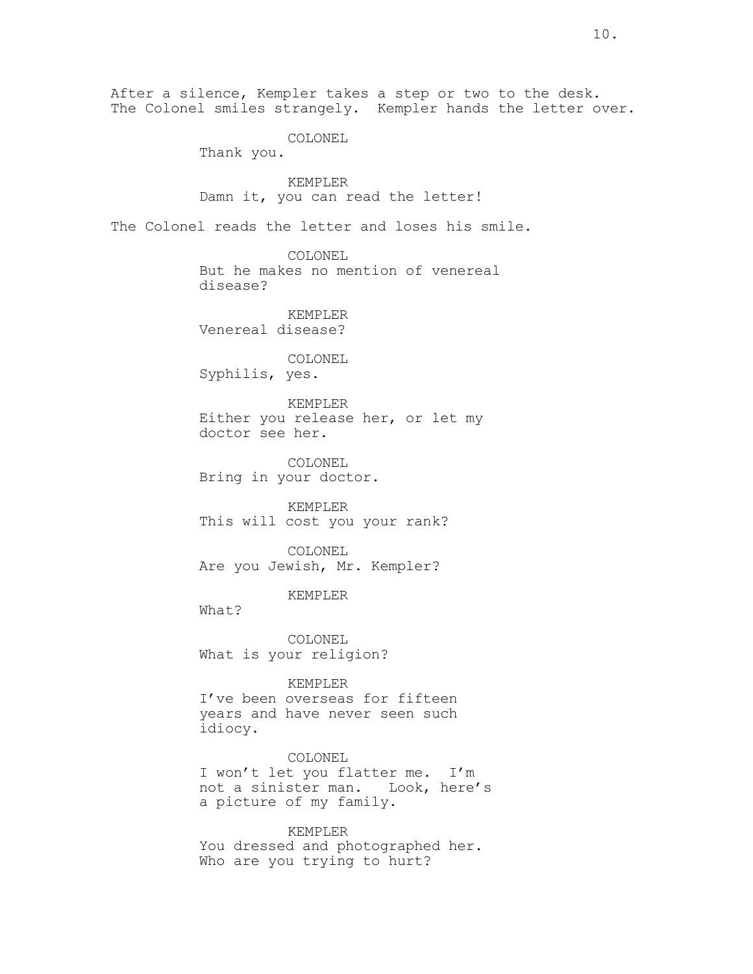After a silence, Kempler takes a step or two to the desk. The Colonel smiles strangely. Kempler hands the letter over. COLONEL Thank you. KEMPLER Damn it, you can read the letter! The Colonel reads the letter and loses his smile. COLONEL But he makes no mention of venereal disease? KEMPLER Venereal disease? COLONEL Syphilis, yes. KEMPLER Either you release her, or let my doctor see her. COLONEL Bring in your doctor. KEMPLER This will cost you your rank? COLONEL Are you Jewish, Mr. Kempler? KEMPLER What? COLONEL What is your religion? KEMPLER I've been overseas for fifteen years and have never seen such idiocy. COLONEL I won't let you flatter me. I'm not a sinister man. Look, here's a picture of my family. KEMPLER You dressed and photographed her. Who are you trying to hurt?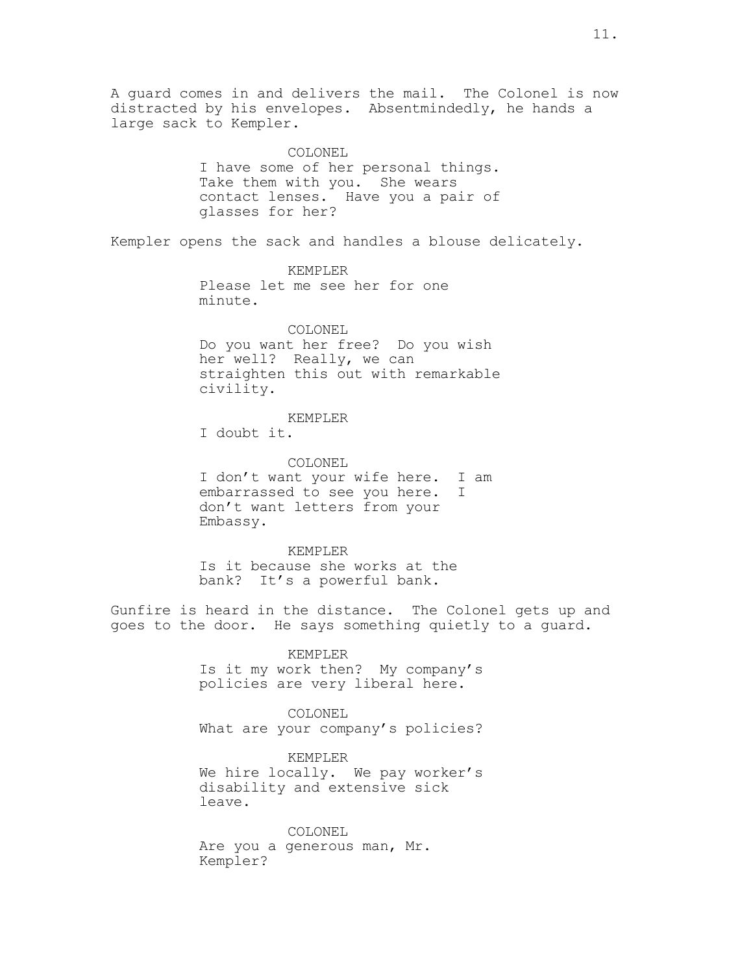A guard comes in and delivers the mail. The Colonel is now distracted by his envelopes. Absentmindedly, he hands a large sack to Kempler. COLONEL I have some of her personal things. Take them with you. She wears contact lenses. Have you a pair of glasses for her? Kempler opens the sack and handles a blouse delicately. KEMPLER Please let me see her for one minute. COLONEL Do you want her free? Do you wish her well? Really, we can straighten this out with remarkable civility. KEMPLER I doubt it. COLONEL I don't want your wife here. I am embarrassed to see you here. I don't want letters from your Embassy. KEMPLER Is it because she works at the bank? It's a powerful bank. Gunfire is heard in the distance. The Colonel gets up and goes to the door. He says something quietly to a guard. KEMPLER Is it my work then? My company's policies are very liberal here. COLONEL What are your company's policies? KEMPLER We hire locally. We pay worker's disability and extensive sick leave.

> COLONEL Are you a generous man, Mr. Kempler?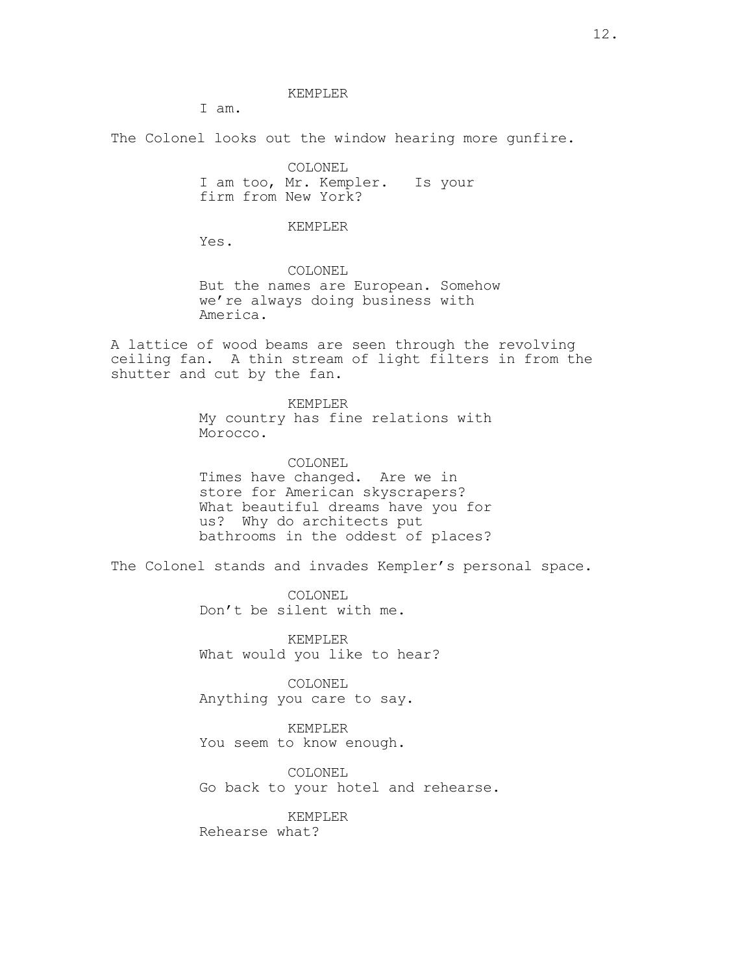#### KEMPLER

I am.

The Colonel looks out the window hearing more gunfire.

COLONEL I am too, Mr. Kempler. Is your firm from New York?

### KEMPLER

Yes.

COLONEL But the names are European. Somehow we're always doing business with America.

A lattice of wood beams are seen through the revolving ceiling fan. A thin stream of light filters in from the shutter and cut by the fan.

> KEMPLER My country has fine relations with Morocco.

> COLONEL Times have changed. Are we in store for American skyscrapers? What beautiful dreams have you for us? Why do architects put bathrooms in the oddest of places?

The Colonel stands and invades Kempler's personal space.

COLONEL Don't be silent with me.

KEMPLER What would you like to hear?

COLONEL Anything you care to say.

KEMPLER You seem to know enough.

COLONEL Go back to your hotel and rehearse.

KEMPLER Rehearse what?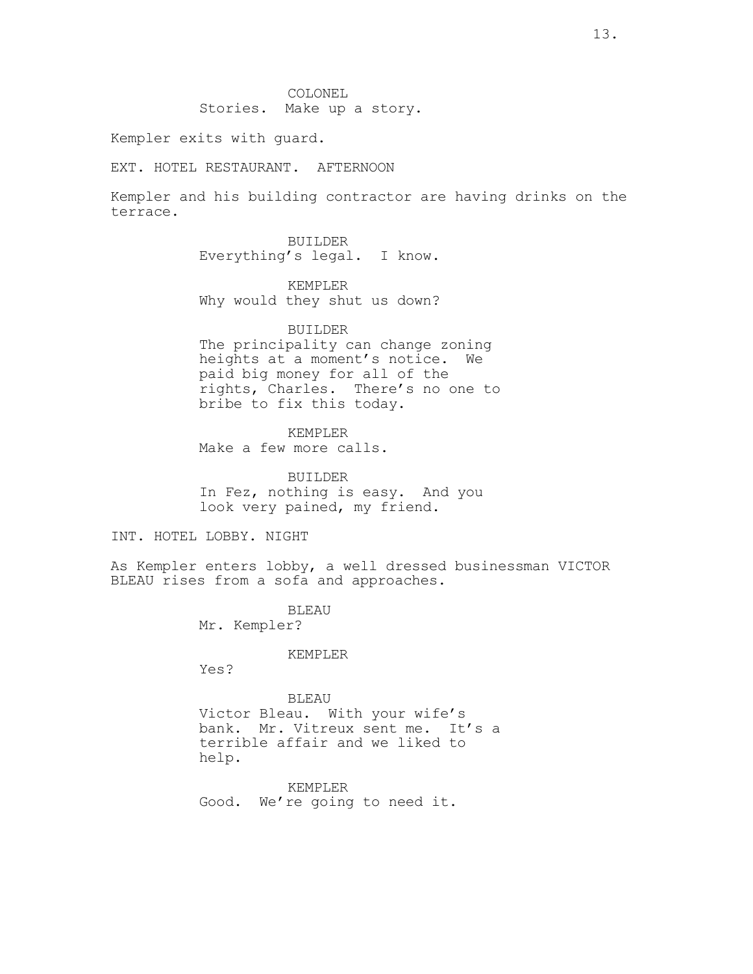COLONEL Stories. Make up a story.

Kempler exits with guard.

EXT. HOTEL RESTAURANT. AFTERNOON

Kempler and his building contractor are having drinks on the terrace.

> BUILDER Everything's legal. I know.

KEMPLER Why would they shut us down?

BUILDER

The principality can change zoning heights at a moment's notice. We paid big money for all of the rights, Charles. There's no one to bribe to fix this today.

KEMPLER Make a few more calls.

BUILDER In Fez, nothing is easy. And you look very pained, my friend.

INT. HOTEL LOBBY. NIGHT

As Kempler enters lobby, a well dressed businessman VICTOR BLEAU rises from a sofa and approaches.

> BLEAU Mr. Kempler?

> > KEMPLER

Yes?

BLEAU Victor Bleau. With your wife's bank. Mr. Vitreux sent me. It's a terrible affair and we liked to help.

KEMPLER Good. We're going to need it.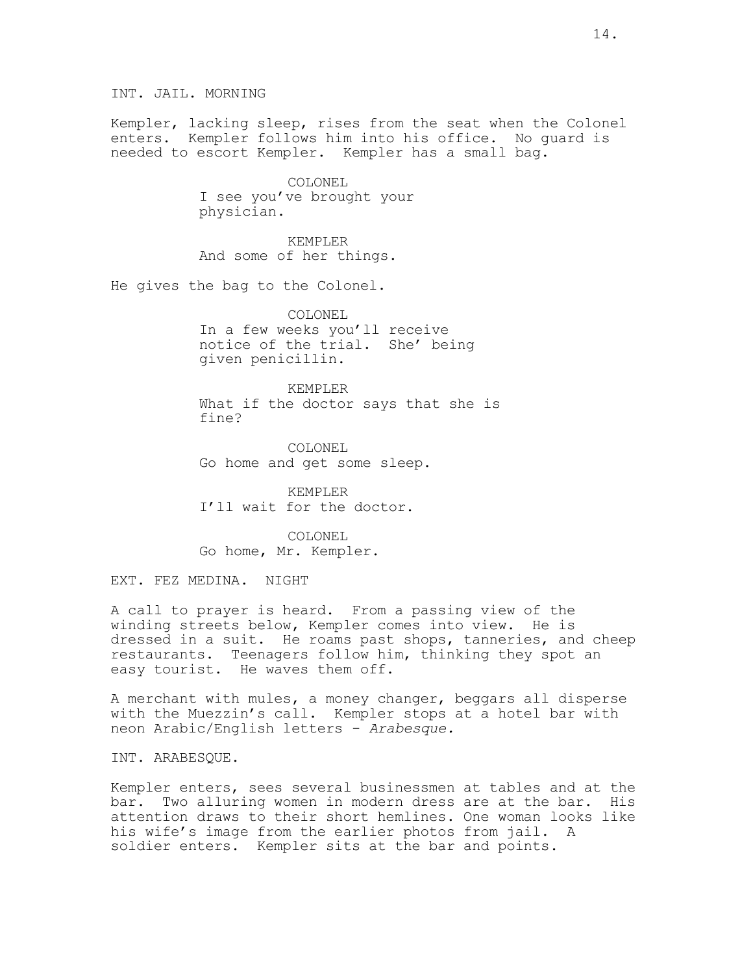INT. JAIL. MORNING

Kempler, lacking sleep, rises from the seat when the Colonel enters. Kempler follows him into his office. No guard is needed to escort Kempler. Kempler has a small bag.

> COLONEL I see you've brought your physician.

KEMPLER And some of her things.

He gives the bag to the Colonel.

COLONEL In a few weeks you'll receive notice of the trial. She' being given penicillin.

KEMPLER What if the doctor says that she is fine?

COLONEL Go home and get some sleep.

KEMPLER I'll wait for the doctor.

COLONEL Go home, Mr. Kempler.

EXT. FEZ MEDINA. NIGHT

A call to prayer is heard. From a passing view of the winding streets below, Kempler comes into view. He is dressed in a suit. He roams past shops, tanneries, and cheep restaurants. Teenagers follow him, thinking they spot an easy tourist. He waves them off.

A merchant with mules, a money changer, beggars all disperse with the Muezzin's call. Kempler stops at a hotel bar with neon Arabic/English letters - Arabesque.

INT. ARABESQUE.

Kempler enters, sees several businessmen at tables and at the bar. Two alluring women in modern dress are at the bar. His attention draws to their short hemlines. One woman looks like his wife's image from the earlier photos from jail. A soldier enters. Kempler sits at the bar and points.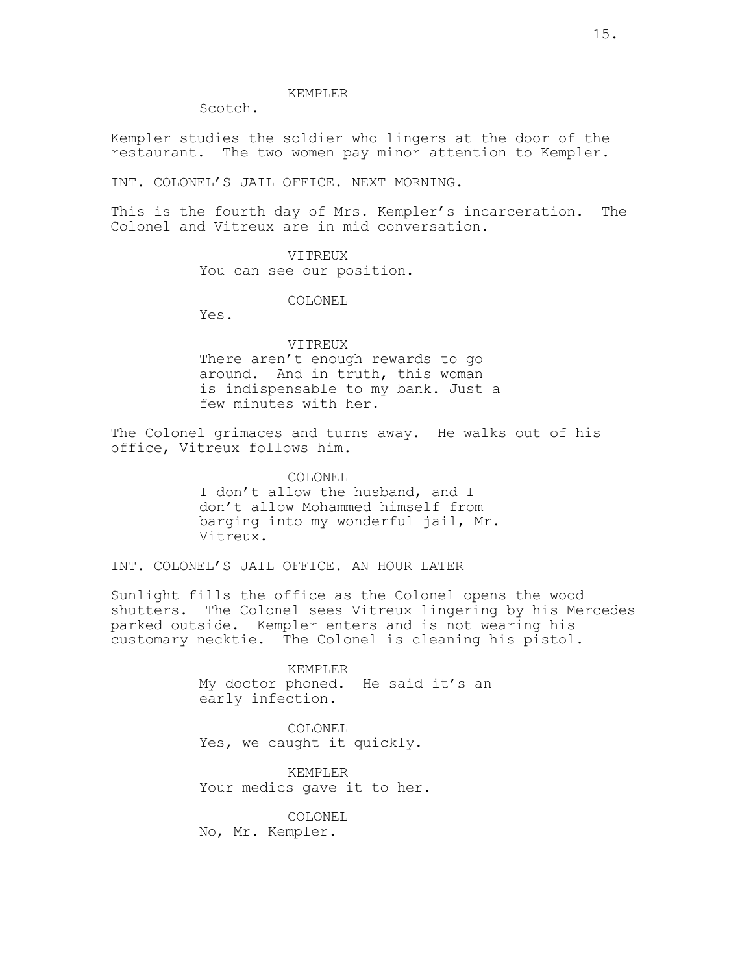#### KEMPLER

Scotch.

Kempler studies the soldier who lingers at the door of the restaurant. The two women pay minor attention to Kempler.

INT. COLONEL'S JAIL OFFICE. NEXT MORNING.

This is the fourth day of Mrs. Kempler's incarceration. The Colonel and Vitreux are in mid conversation.

#### VITREUX

You can see our position.

COLONEL

Yes.

## VITREUX

There aren't enough rewards to go around. And in truth, this woman is indispensable to my bank. Just a few minutes with her.

The Colonel grimaces and turns away. He walks out of his office, Vitreux follows him.

> COLONEL I don't allow the husband, and I don't allow Mohammed himself from barging into my wonderful jail, Mr. Vitreux.

INT. COLONEL'S JAIL OFFICE. AN HOUR LATER

Sunlight fills the office as the Colonel opens the wood shutters. The Colonel sees Vitreux lingering by his Mercedes parked outside. Kempler enters and is not wearing his customary necktie. The Colonel is cleaning his pistol.

> KEMPLER My doctor phoned. He said it's an early infection.

COLONEL Yes, we caught it quickly.

KEMPLER Your medics gave it to her.

COLONEL No, Mr. Kempler.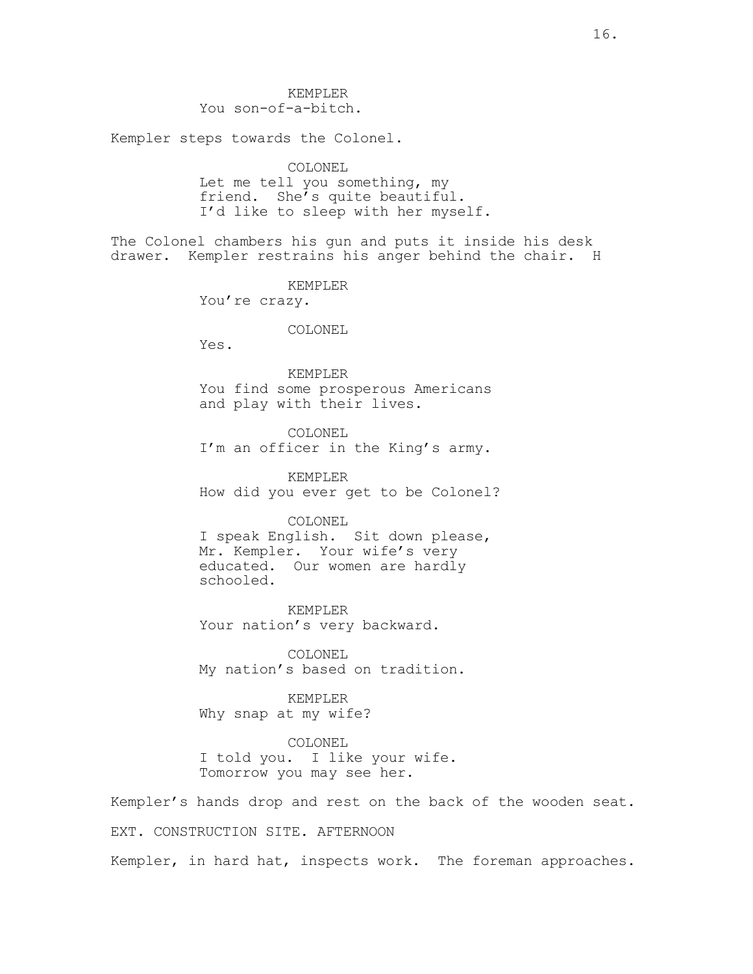KEMPLER You son-of-a-bitch.

Kempler steps towards the Colonel.

COLONEL Let me tell you something, my friend. She's quite beautiful. I'd like to sleep with her myself.

The Colonel chambers his gun and puts it inside his desk drawer. Kempler restrains his anger behind the chair. H

KEMPLER

You're crazy.

COLONEL

Yes.

KEMPLER You find some prosperous Americans and play with their lives.

COLONEL I'm an officer in the King's army.

KEMPLER How did you ever get to be Colonel?

COLONEL I speak English. Sit down please, Mr. Kempler. Your wife's very educated. Our women are hardly schooled.

KEMPLER Your nation's very backward.

COLONEL My nation's based on tradition.

KEMPLER Why snap at my wife?

COLONEL I told you. I like your wife. Tomorrow you may see her.

Kempler's hands drop and rest on the back of the wooden seat. EXT. CONSTRUCTION SITE. AFTERNOON

Kempler, in hard hat, inspects work. The foreman approaches.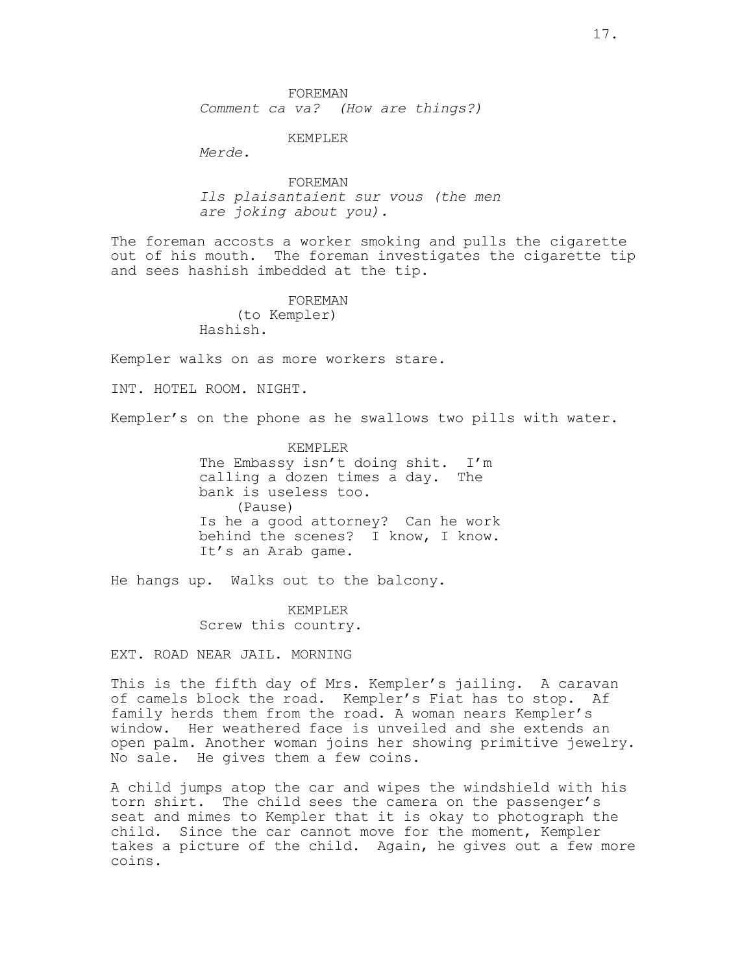FOREMAN Comment ca va? (How are things?)

KEMPLER

Merde.

FOREMAN Ils plaisantaient sur vous (the men are joking about you).

The foreman accosts a worker smoking and pulls the cigarette out of his mouth. The foreman investigates the cigarette tip and sees hashish imbedded at the tip.

FOREMAN

(to Kempler) Hashish.

Kempler walks on as more workers stare.

INT. HOTEL ROOM. NIGHT.

Kempler's on the phone as he swallows two pills with water.

KEMPLER The Embassy isn't doing shit. I'm calling a dozen times a day. The bank is useless too. (Pause) Is he a good attorney? Can he work behind the scenes? I know, I know. It's an Arab game.

He hangs up. Walks out to the balcony.

KEMPLER Screw this country.

EXT. ROAD NEAR JAIL. MORNING

This is the fifth day of Mrs. Kempler's jailing. A caravan of camels block the road. Kempler's Fiat has to stop. Af family herds them from the road. A woman nears Kempler's window. Her weathered face is unveiled and she extends an open palm. Another woman joins her showing primitive jewelry. No sale. He gives them a few coins.

A child jumps atop the car and wipes the windshield with his torn shirt. The child sees the camera on the passenger's seat and mimes to Kempler that it is okay to photograph the child. Since the car cannot move for the moment, Kempler takes a picture of the child. Again, he gives out a few more coins.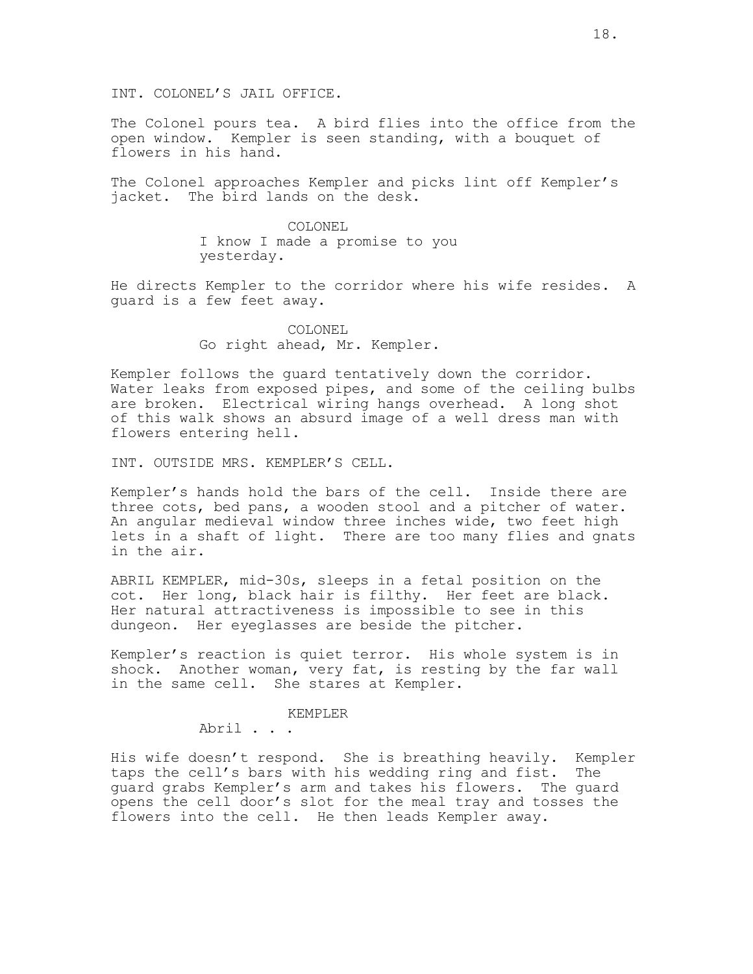INT. COLONEL'S JAIL OFFICE.

The Colonel pours tea. A bird flies into the office from the open window. Kempler is seen standing, with a bouquet of flowers in his hand.

The Colonel approaches Kempler and picks lint off Kempler's jacket. The bird lands on the desk.

> COLONEL I know I made a promise to you yesterday.

He directs Kempler to the corridor where his wife resides. A guard is a few feet away.

> COLONEL Go right ahead, Mr. Kempler.

Kempler follows the guard tentatively down the corridor. Water leaks from exposed pipes, and some of the ceiling bulbs are broken. Electrical wiring hangs overhead. A long shot of this walk shows an absurd image of a well dress man with flowers entering hell.

INT. OUTSIDE MRS. KEMPLER'S CELL.

Kempler's hands hold the bars of the cell. Inside there are three cots, bed pans, a wooden stool and a pitcher of water. An angular medieval window three inches wide, two feet high lets in a shaft of light. There are too many flies and gnats in the air.

ABRIL KEMPLER, mid-30s, sleeps in a fetal position on the cot. Her long, black hair is filthy. Her feet are black. Her natural attractiveness is impossible to see in this dungeon. Her eyeglasses are beside the pitcher.

Kempler's reaction is quiet terror. His whole system is in shock. Another woman, very fat, is resting by the far wall in the same cell. She stares at Kempler.

## KEMPLER

Abril . . .

His wife doesn't respond. She is breathing heavily. Kempler taps the cell's bars with his wedding ring and fist. The guard grabs Kempler's arm and takes his flowers. The guard opens the cell door's slot for the meal tray and tosses the flowers into the cell. He then leads Kempler away.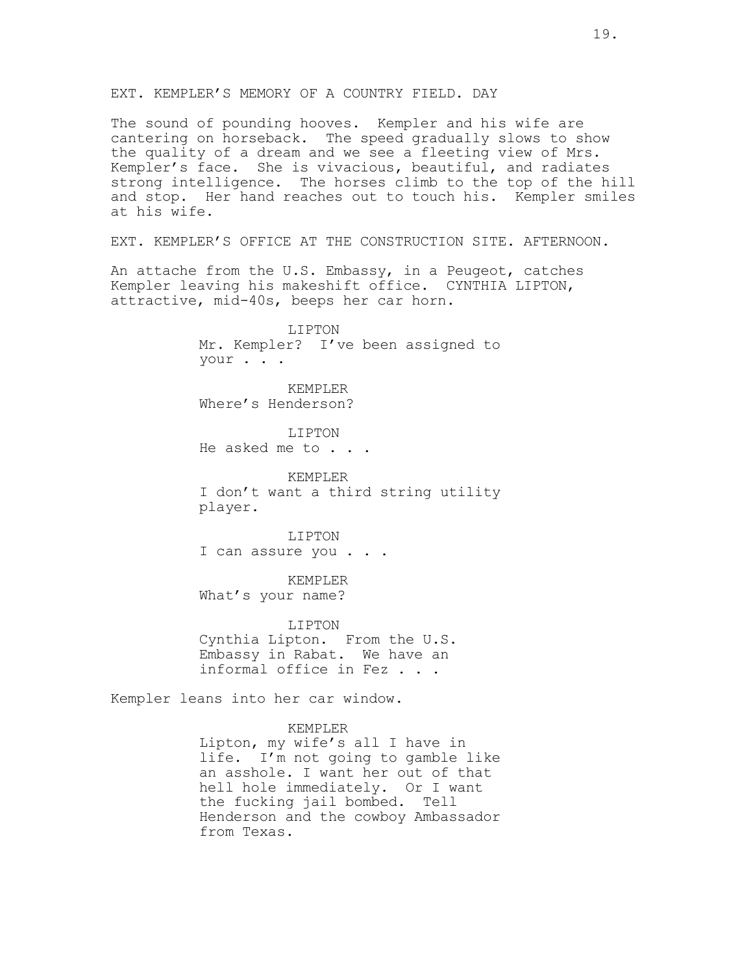The sound of pounding hooves. Kempler and his wife are cantering on horseback. The speed gradually slows to show the quality of a dream and we see a fleeting view of Mrs. Kempler's face. She is vivacious, beautiful, and radiates strong intelligence. The horses climb to the top of the hill and stop. Her hand reaches out to touch his. Kempler smiles at his wife.

EXT. KEMPLER'S OFFICE AT THE CONSTRUCTION SITE. AFTERNOON.

An attache from the U.S. Embassy, in a Peugeot, catches Kempler leaving his makeshift office. CYNTHIA LIPTON, attractive, mid-40s, beeps her car horn.

> LIPTON Mr. Kempler? I've been assigned to your . . .

KEMPLER Where's Henderson?

LIPTON He asked me to . . .

KEMPLER I don't want a third string utility player.

LIPTON I can assure you . . .

KEMPLER What's your name?

LIPTON Cynthia Lipton. From the U.S. Embassy in Rabat. We have an informal office in Fez . . .

Kempler leans into her car window.

KEMPLER

Lipton, my wife's all I have in life. I'm not going to gamble like an asshole. I want her out of that hell hole immediately. Or I want the fucking jail bombed. Tell Henderson and the cowboy Ambassador from Texas.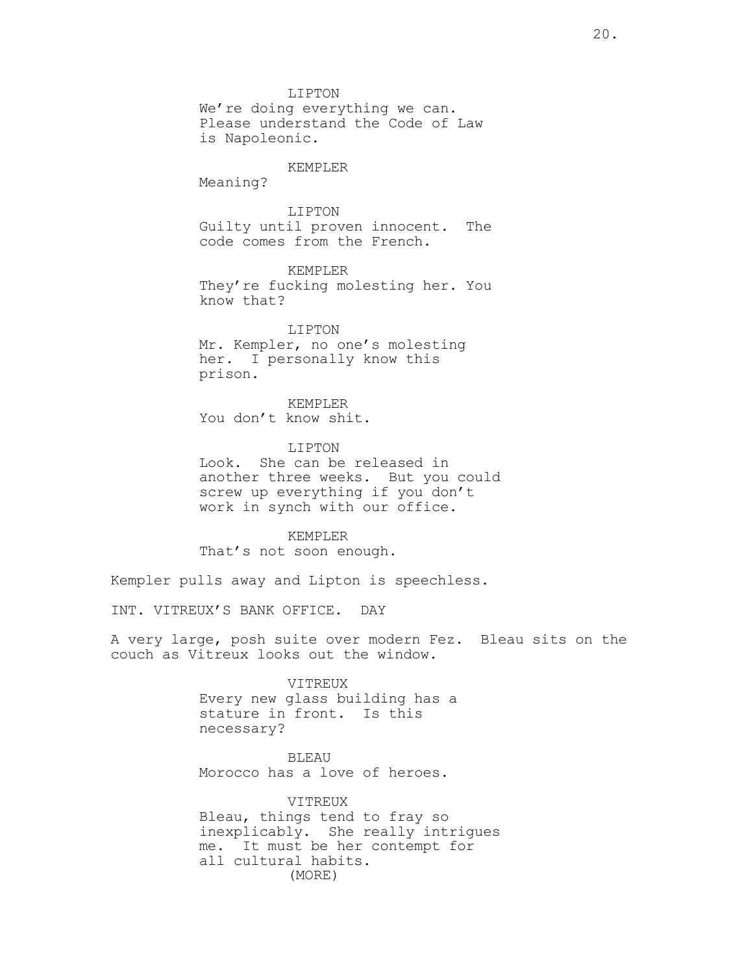LIPTON We're doing everything we can. Please understand the Code of Law is Napoleonic.

#### KEMPLER

Meaning?

LIPTON Guilty until proven innocent. The code comes from the French.

KEMPLER They're fucking molesting her. You know that?

LIPTON Mr. Kempler, no one's molesting her. I personally know this prison.

KEMPLER You don't know shit.

LIPTON Look. She can be released in another three weeks. But you could screw up everything if you don't work in synch with our office.

KEMPLER That's not soon enough.

Kempler pulls away and Lipton is speechless.

INT. VITREUX'S BANK OFFICE. DAY

A very large, posh suite over modern Fez. Bleau sits on the couch as Vitreux looks out the window.

> VITREUX Every new glass building has a stature in front. Is this necessary?

**BLEAU** Morocco has a love of heroes.

VITREUX Bleau, things tend to fray so inexplicably. She really intrigues me. It must be her contempt for all cultural habits. (MORE)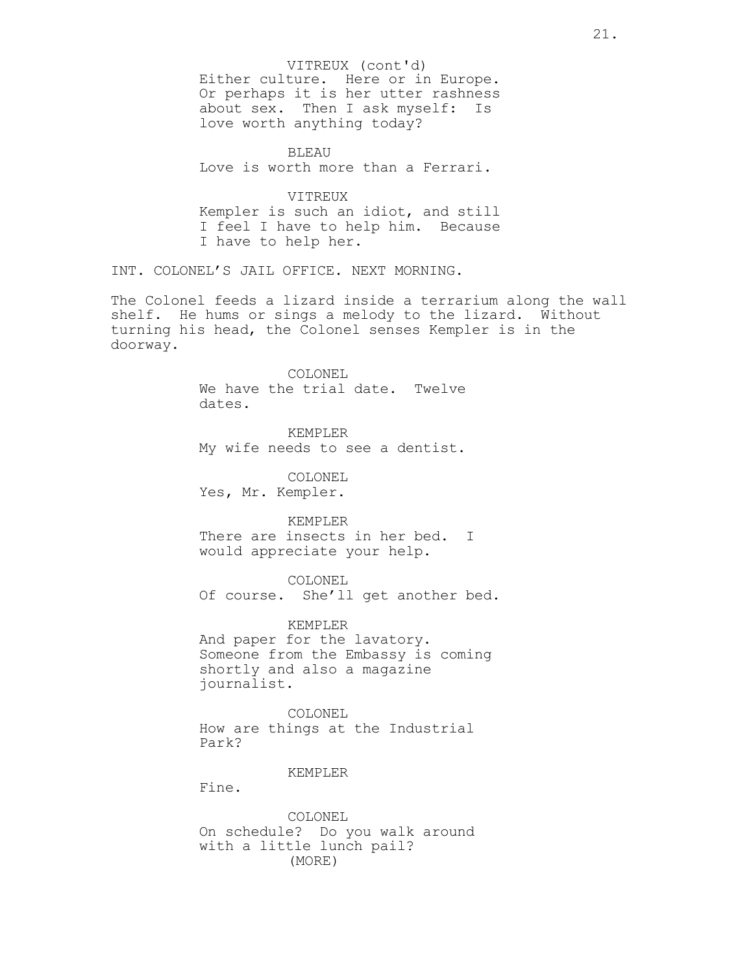Either culture. Here or in Europe. Or perhaps it is her utter rashness about sex. Then I ask myself: Is love worth anything today? VITREUX (cont'd)

BLEAU Love is worth more than a Ferrari.

VITREUX Kempler is such an idiot, and still I feel I have to help him. Because I have to help her.

INT. COLONEL'S JAIL OFFICE. NEXT MORNING.

The Colonel feeds a lizard inside a terrarium along the wall shelf. He hums or sings a melody to the lizard. Without turning his head, the Colonel senses Kempler is in the doorway.

> COLONEL We have the trial date. Twelve dates.

> KEMPLER My wife needs to see a dentist.

COLONEL Yes, Mr. Kempler.

KEMPLER There are insects in her bed. I would appreciate your help.

COLONEL Of course. She'll get another bed.

KEMPLER And paper for the lavatory. Someone from the Embassy is coming shortly and also a magazine journalist.

COLONEL How are things at the Industrial Park?

## KEMPLER

Fine.

COLONEL On schedule? Do you walk around with a little lunch pail? (MORE)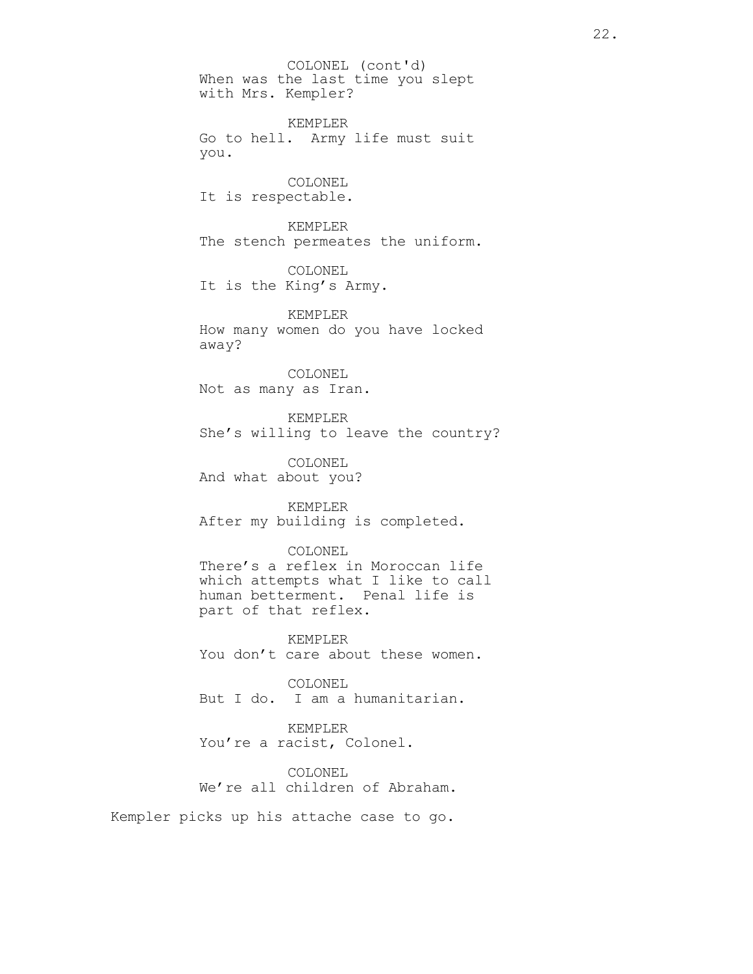When was the last time you slept with Mrs. Kempler? COLONEL (cont'd)

KEMPLER Go to hell. Army life must suit you.

COLONEL It is respectable.

KEMPLER The stench permeates the uniform.

COLONEL It is the King's Army.

KEMPLER How many women do you have locked away?

COLONEL Not as many as Iran.

KEMPLER She's willing to leave the country?

COLONEL And what about you?

KEMPLER After my building is completed.

## COLONEL

There's a reflex in Moroccan life which attempts what I like to call human betterment. Penal life is part of that reflex.

KEMPLER You don't care about these women.

COLONEL But I do. I am a humanitarian.

KEMPLER You're a racist, Colonel.

COLONEL We're all children of Abraham.

Kempler picks up his attache case to go.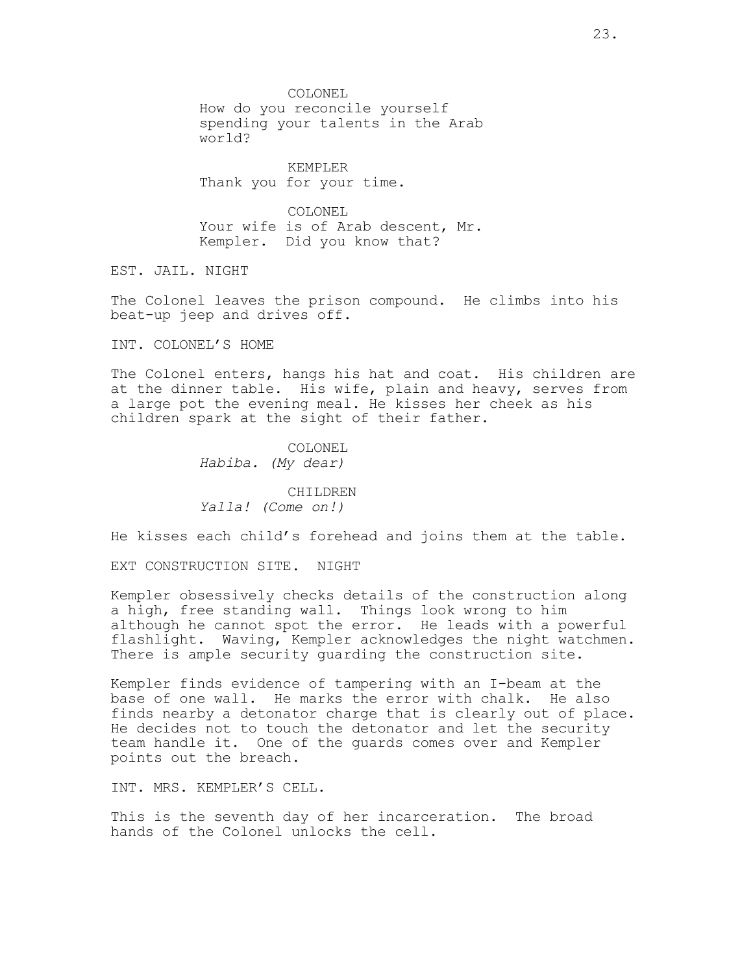COLONEL How do you reconcile yourself spending your talents in the Arab world?

KEMPLER Thank you for your time.

COLONEL Your wife is of Arab descent, Mr. Kempler. Did you know that?

EST. JAIL. NIGHT

The Colonel leaves the prison compound. He climbs into his beat-up jeep and drives off.

INT. COLONEL'S HOME

The Colonel enters, hangs his hat and coat. His children are at the dinner table. His wife, plain and heavy, serves from a large pot the evening meal. He kisses her cheek as his children spark at the sight of their father.

> COLONEL Habiba. (My dear)

CHILDREN Yalla! (Come on!)

He kisses each child's forehead and joins them at the table.

EXT CONSTRUCTION SITE. NIGHT

Kempler obsessively checks details of the construction along a high, free standing wall. Things look wrong to him although he cannot spot the error. He leads with a powerful flashlight. Waving, Kempler acknowledges the night watchmen. There is ample security guarding the construction site.

Kempler finds evidence of tampering with an I-beam at the base of one wall. He marks the error with chalk. He also finds nearby a detonator charge that is clearly out of place. He decides not to touch the detonator and let the security team handle it. One of the guards comes over and Kempler points out the breach.

INT. MRS. KEMPLER'S CELL.

This is the seventh day of her incarceration. The broad hands of the Colonel unlocks the cell.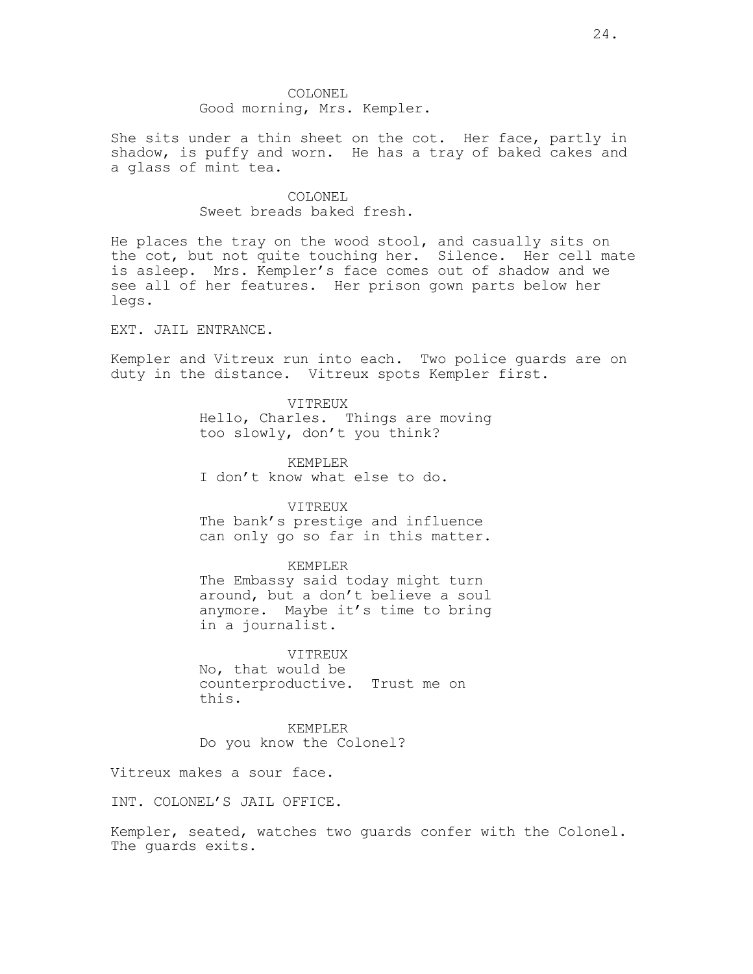She sits under a thin sheet on the cot. Her face, partly in shadow, is puffy and worn. He has a tray of baked cakes and a glass of mint tea.

## COLONEL Sweet breads baked fresh.

He places the tray on the wood stool, and casually sits on the cot, but not quite touching her. Silence. Her cell mate is asleep. Mrs. Kempler's face comes out of shadow and we see all of her features. Her prison gown parts below her legs.

EXT. JAIL ENTRANCE.

Kempler and Vitreux run into each. Two police guards are on duty in the distance. Vitreux spots Kempler first.

#### VITREUX

Hello, Charles. Things are moving too slowly, don't you think?

KEMPLER

I don't know what else to do.

#### VITREUX

The bank's prestige and influence can only go so far in this matter.

#### KEMPLER

The Embassy said today might turn around, but a don't believe a soul anymore. Maybe it's time to bring in a journalist.

VITREUX No, that would be counterproductive. Trust me on this.

KEMPLER Do you know the Colonel?

Vitreux makes a sour face.

INT. COLONEL'S JAIL OFFICE.

Kempler, seated, watches two guards confer with the Colonel. The guards exits.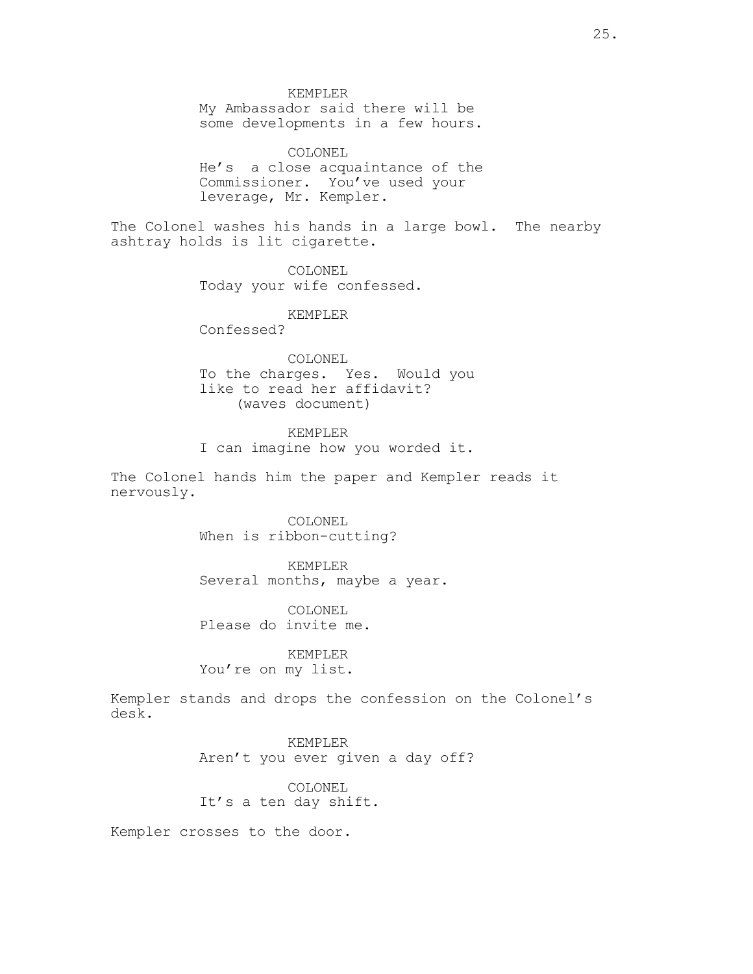KEMPLER

My Ambassador said there will be some developments in a few hours.

COLONEL He's a close acquaintance of the Commissioner. You've used your leverage, Mr. Kempler.

The Colonel washes his hands in a large bowl. The nearby ashtray holds is lit cigarette.

> COLONEL Today your wife confessed.

> > KEMPLER

Confessed?

COLONEL To the charges. Yes. Would you like to read her affidavit? (waves document)

KEMPLER I can imagine how you worded it.

The Colonel hands him the paper and Kempler reads it nervously.

> COLONEL When is ribbon-cutting?

KEMPLER Several months, maybe a year.

COLONEL Please do invite me.

KEMPLER You're on my list.

Kempler stands and drops the confession on the Colonel's desk.

> KEMPLER Aren't you ever given a day off?

COLONEL It's a ten day shift.

Kempler crosses to the door.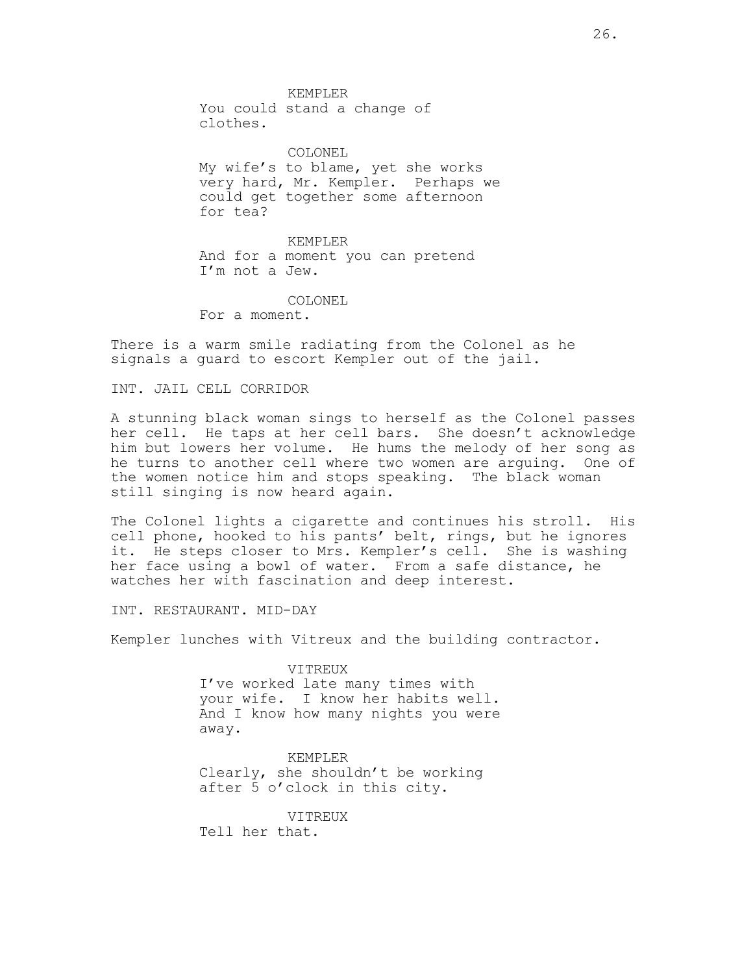KEMPLER You could stand a change of clothes.

COLONEL My wife's to blame, yet she works very hard, Mr. Kempler. Perhaps we could get together some afternoon for tea?

KEMPLER And for a moment you can pretend I'm not a Jew.

COLONEL

For a moment.

There is a warm smile radiating from the Colonel as he signals a guard to escort Kempler out of the jail.

INT. JAIL CELL CORRIDOR

A stunning black woman sings to herself as the Colonel passes her cell. He taps at her cell bars. She doesn't acknowledge him but lowers her volume. He hums the melody of her song as he turns to another cell where two women are arguing. One of the women notice him and stops speaking. The black woman still singing is now heard again.

The Colonel lights a cigarette and continues his stroll. His cell phone, hooked to his pants' belt, rings, but he ignores it. He steps closer to Mrs. Kempler's cell. She is washing her face using a bowl of water. From a safe distance, he watches her with fascination and deep interest.

INT. RESTAURANT. MID-DAY

Kempler lunches with Vitreux and the building contractor.

VITREUX

I've worked late many times with your wife. I know her habits well. And I know how many nights you were away.

KEMPLER Clearly, she shouldn't be working after 5 o'clock in this city.

VITREUX Tell her that.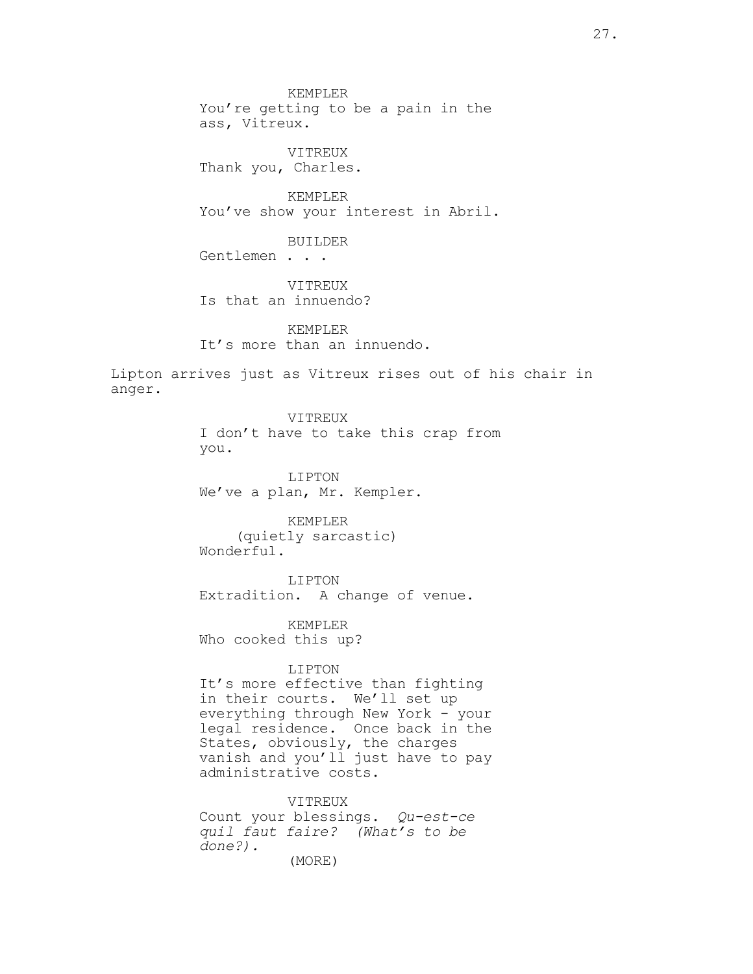KEMPLER You're getting to be a pain in the ass, Vitreux. VITREUX Thank you, Charles. KEMPLER You've show your interest in Abril. BUILDER Gentlemen . . . VITREUX Is that an innuendo? KEMPLER It's more than an innuendo.

Lipton arrives just as Vitreux rises out of his chair in anger.

> VITREUX I don't have to take this crap from you.

LIPTON We've a plan, Mr. Kempler.

KEMPLER (quietly sarcastic) Wonderful.

LIPTON Extradition. A change of venue.

KEMPLER Who cooked this up?

## LIPTON

It's more effective than fighting in their courts. We'll set up everything through New York - your legal residence. Once back in the States, obviously, the charges vanish and you'll just have to pay administrative costs.

VITREUX Count your blessings. Qu-est-ce quil faut faire? (What's to be done?). (MORE)

27.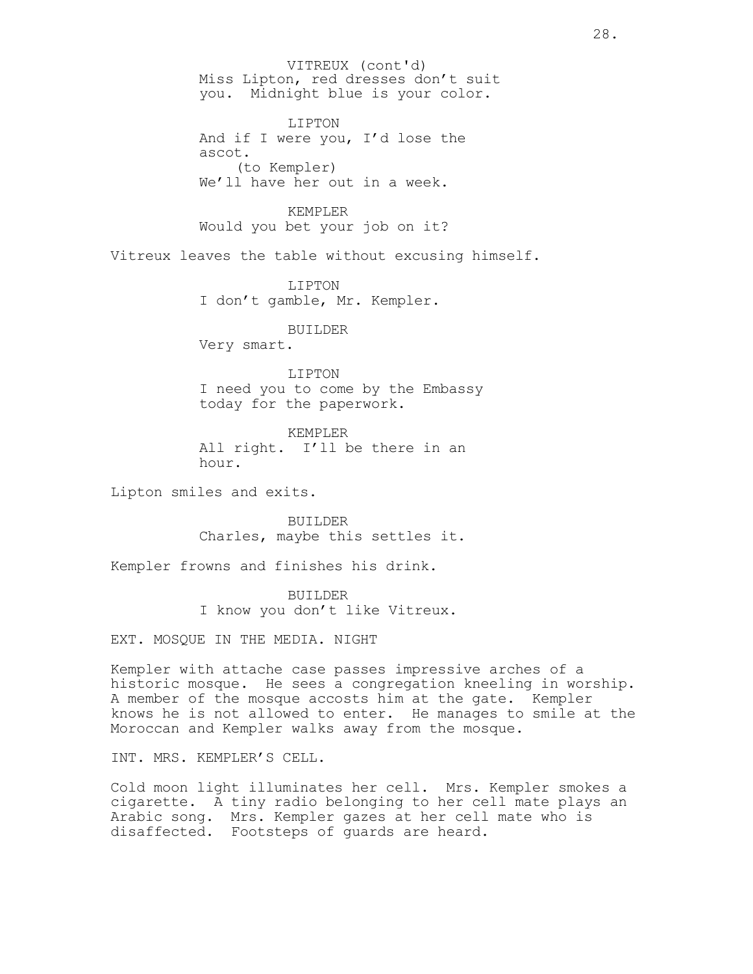Miss Lipton, red dresses don't suit you. Midnight blue is your color. LIPTON And if I were you, I'd lose the ascot. (to Kempler) We'll have her out in a week. KEMPLER Would you bet your job on it? Vitreux leaves the table without excusing himself. LIPTON I don't gamble, Mr. Kempler. BUILDER Very smart. LIPTON I need you to come by the Embassy today for the paperwork. KEMPLER All right. I'll be there in an hour. Lipton smiles and exits. BUILDER Charles, maybe this settles it. Kempler frowns and finishes his drink. BUILDER I know you don't like Vitreux. EXT. MOSQUE IN THE MEDIA. NIGHT Kempler with attache case passes impressive arches of a historic mosque. He sees a congregation kneeling in worship. A member of the mosque accosts him at the gate. Kempler knows he is not allowed to enter. He manages to smile at the Moroccan and Kempler walks away from the mosque. INT. MRS. KEMPLER'S CELL. VITREUX (cont'd)

Cold moon light illuminates her cell. Mrs. Kempler smokes a cigarette. A tiny radio belonging to her cell mate plays an Arabic song. Mrs. Kempler gazes at her cell mate who is disaffected. Footsteps of guards are heard.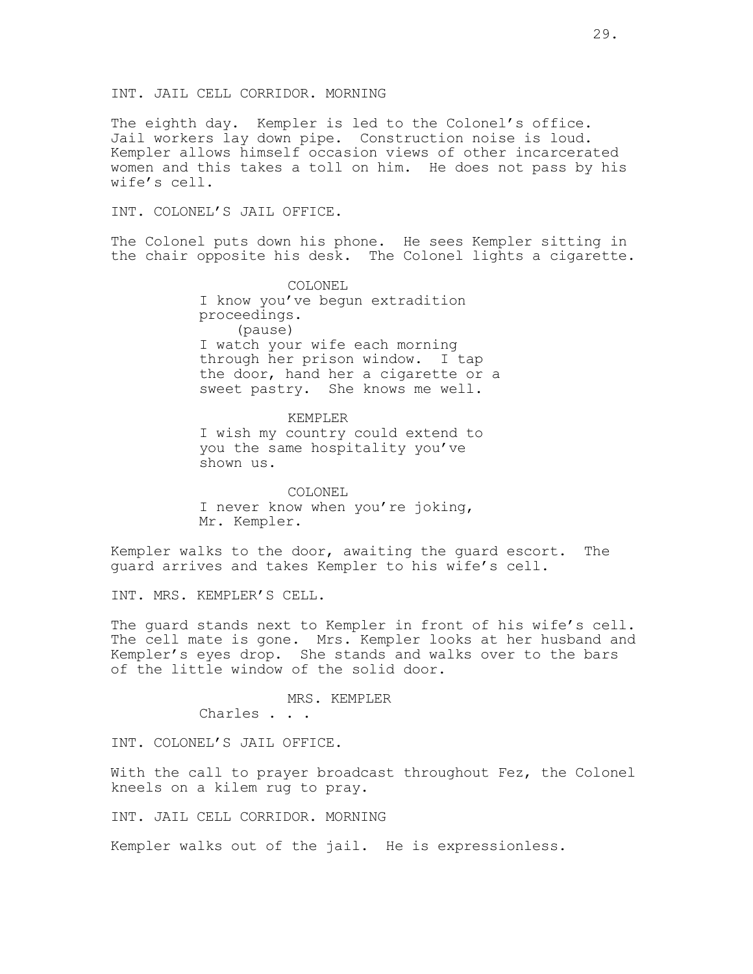The eighth day. Kempler is led to the Colonel's office. Jail workers lay down pipe. Construction noise is loud. Kempler allows himself occasion views of other incarcerated women and this takes a toll on him. He does not pass by his wife's cell.

INT. COLONEL'S JAIL OFFICE.

The Colonel puts down his phone. He sees Kempler sitting in the chair opposite his desk. The Colonel lights a cigarette.

> COLONEL I know you've begun extradition proceedings. (pause) I watch your wife each morning through her prison window. I tap the door, hand her a cigarette or a sweet pastry. She knows me well.

KEMPLER I wish my country could extend to you the same hospitality you've shown us.

COLONEL I never know when you're joking, Mr. Kempler.

Kempler walks to the door, awaiting the guard escort. The guard arrives and takes Kempler to his wife's cell.

INT. MRS. KEMPLER'S CELL.

The guard stands next to Kempler in front of his wife's cell. The cell mate is gone. Mrs. Kempler looks at her husband and Kempler's eyes drop. She stands and walks over to the bars of the little window of the solid door.

> MRS. KEMPLER Charles . . .

INT. COLONEL'S JAIL OFFICE.

With the call to prayer broadcast throughout Fez, the Colonel kneels on a kilem rug to pray.

INT. JAIL CELL CORRIDOR. MORNING

Kempler walks out of the jail. He is expressionless.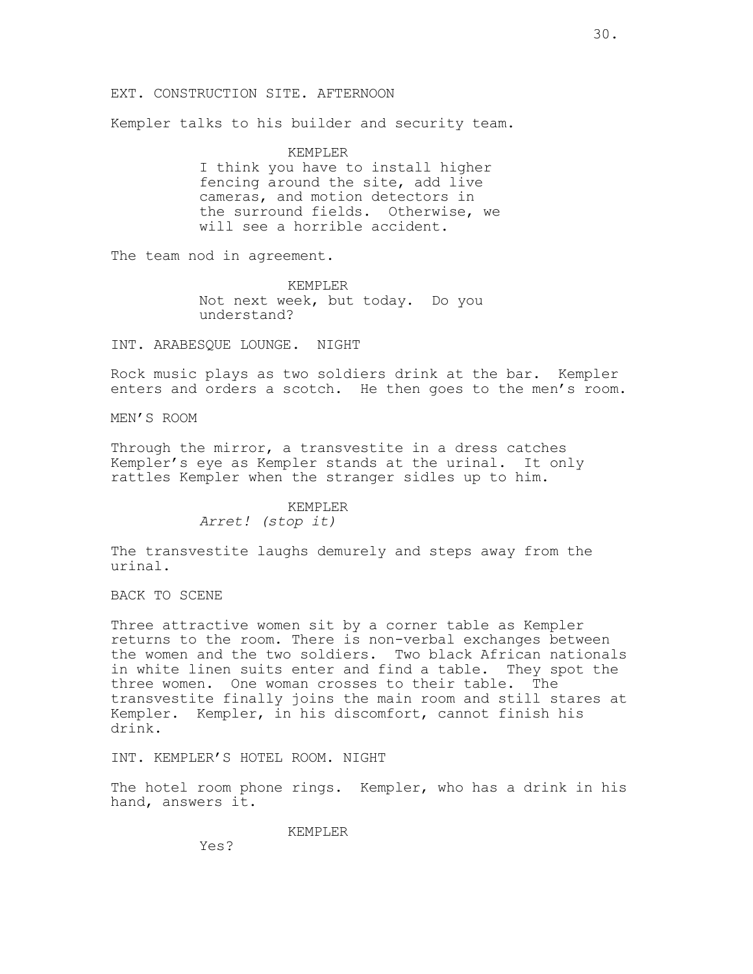#### EXT. CONSTRUCTION SITE. AFTERNOON

Kempler talks to his builder and security team.

KEMPLER I think you have to install higher fencing around the site, add live cameras, and motion detectors in the surround fields. Otherwise, we will see a horrible accident.

The team nod in agreement.

KEMPLER Not next week, but today. Do you understand?

INT. ARABESQUE LOUNGE. NIGHT

Rock music plays as two soldiers drink at the bar. Kempler enters and orders a scotch. He then goes to the men's room.

MEN'S ROOM

Through the mirror, a transvestite in a dress catches Kempler's eye as Kempler stands at the urinal. It only rattles Kempler when the stranger sidles up to him.

# KEMPLER

Arret! (stop it)

The transvestite laughs demurely and steps away from the urinal.

BACK TO SCENE

Three attractive women sit by a corner table as Kempler returns to the room. There is non-verbal exchanges between the women and the two soldiers. Two black African nationals in white linen suits enter and find a table. They spot the three women. One woman crosses to their table. The transvestite finally joins the main room and still stares at Kempler. Kempler, in his discomfort, cannot finish his drink.

INT. KEMPLER'S HOTEL ROOM. NIGHT

The hotel room phone rings. Kempler, who has a drink in his hand, answers it.

KEMPLER

Yes?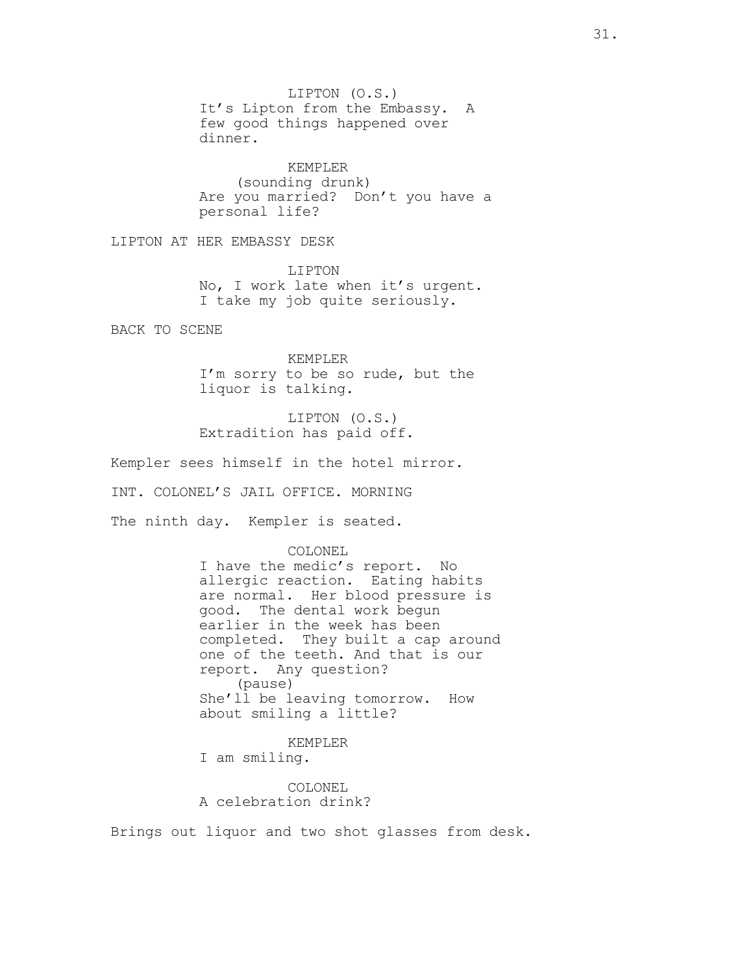LIPTON (O.S.) It's Lipton from the Embassy. A few good things happened over dinner.

KEMPLER (sounding drunk) Are you married? Don't you have a personal life?

LIPTON AT HER EMBASSY DESK

LIPTON No, I work late when it's urgent. I take my job quite seriously.

BACK TO SCENE

KEMPLER I'm sorry to be so rude, but the liquor is talking.

LIPTON (O.S.) Extradition has paid off.

Kempler sees himself in the hotel mirror. INT. COLONEL'S JAIL OFFICE. MORNING The ninth day. Kempler is seated.

> COLONEL I have the medic's report. No allergic reaction. Eating habits are normal. Her blood pressure is good. The dental work begun earlier in the week has been completed. They built a cap around one of the teeth. And that is our report. Any question? (pause) She'll be leaving tomorrow. How about smiling a little?

KEMPLER I am smiling.

COLONEL A celebration drink?

Brings out liquor and two shot glasses from desk.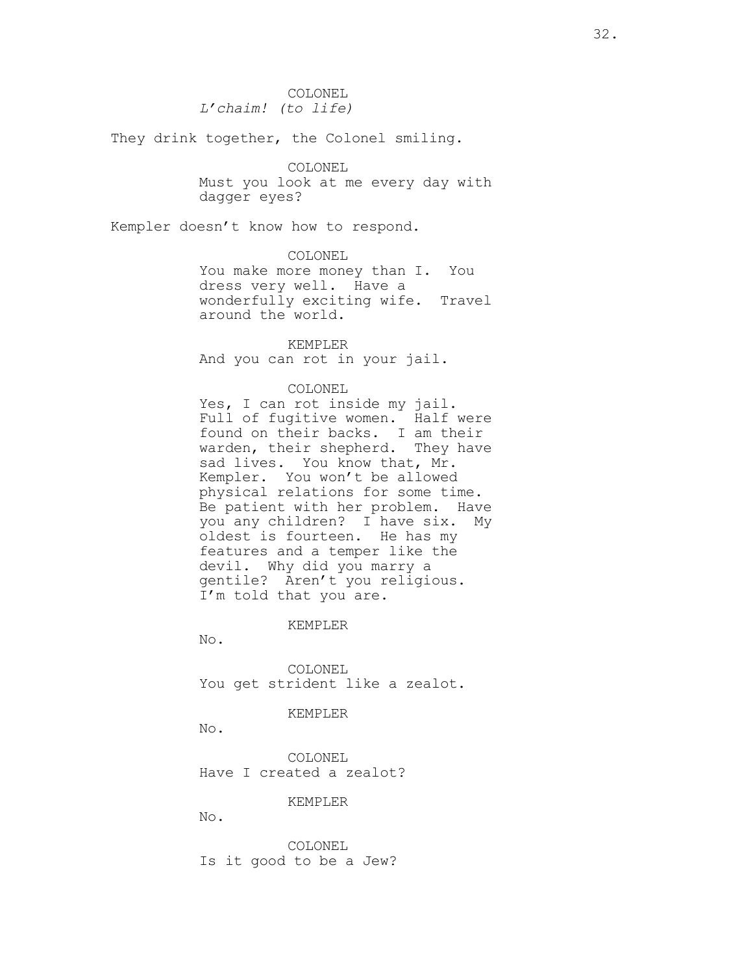COLONEL L'chaim! (to life)

They drink together, the Colonel smiling.

COLONEL Must you look at me every day with dagger eyes?

Kempler doesn't know how to respond.

COLONEL

You make more money than I. You dress very well. Have a wonderfully exciting wife. Travel around the world.

KEMPLER And you can rot in your jail.

COLONEL

Yes, I can rot inside my jail. Full of fugitive women. Half were found on their backs. I am their warden, their shepherd. They have sad lives. You know that, Mr. Kempler. You won't be allowed physical relations for some time. Be patient with her problem. Have you any children? I have six. My oldest is fourteen. He has my features and a temper like the devil. Why did you marry a gentile? Aren't you religious. I'm told that you are.

KEMPLER

No.

COLONEL You get strident like a zealot.

#### KEMPLER

No.

COLONEL Have I created a zealot?

#### KEMPLER

No.

COLONEL Is it good to be a Jew?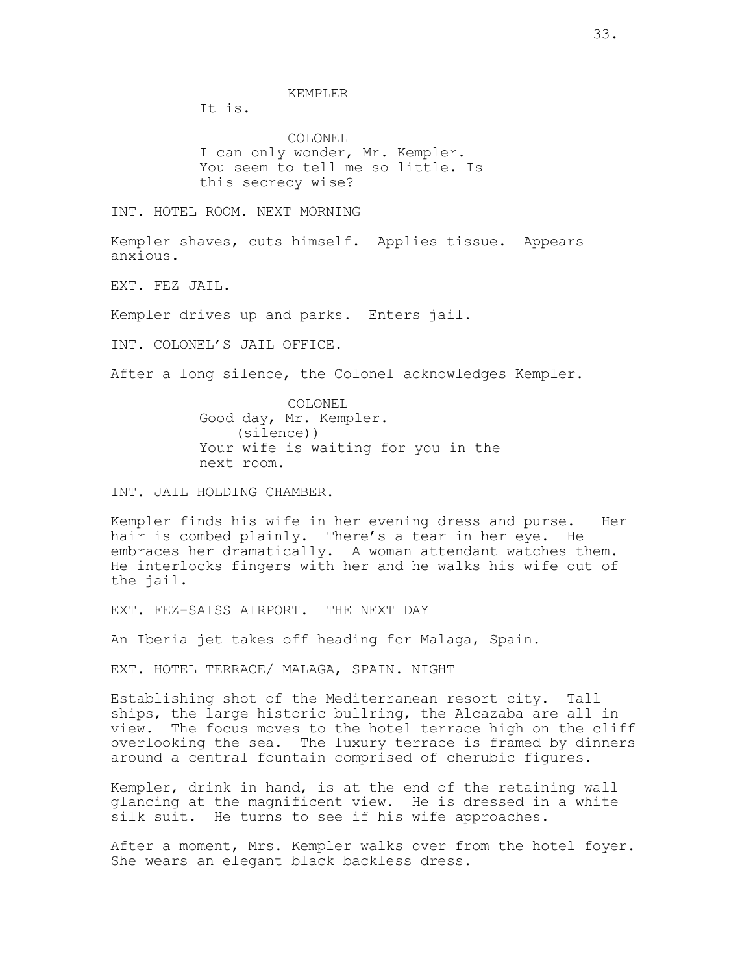KEMPLER

It is.

COLONEL I can only wonder, Mr. Kempler. You seem to tell me so little. Is this secrecy wise?

INT. HOTEL ROOM. NEXT MORNING

Kempler shaves, cuts himself. Applies tissue. Appears anxious.

EXT. FEZ JAIL.

Kempler drives up and parks. Enters jail.

INT. COLONEL'S JAIL OFFICE.

After a long silence, the Colonel acknowledges Kempler.

COLONEL Good day, Mr. Kempler. (silence)) Your wife is waiting for you in the next room.

INT. JAIL HOLDING CHAMBER.

Kempler finds his wife in her evening dress and purse. Her hair is combed plainly. There's a tear in her eye. He embraces her dramatically. A woman attendant watches them. He interlocks fingers with her and he walks his wife out of the jail.

EXT. FEZ-SAISS AIRPORT. THE NEXT DAY

An Iberia jet takes off heading for Malaga, Spain.

EXT. HOTEL TERRACE/ MALAGA, SPAIN. NIGHT

Establishing shot of the Mediterranean resort city. Tall ships, the large historic bullring, the Alcazaba are all in view. The focus moves to the hotel terrace high on the cliff overlooking the sea. The luxury terrace is framed by dinners around a central fountain comprised of cherubic figures.

Kempler, drink in hand, is at the end of the retaining wall glancing at the magnificent view. He is dressed in a white silk suit. He turns to see if his wife approaches.

After a moment, Mrs. Kempler walks over from the hotel foyer. She wears an elegant black backless dress.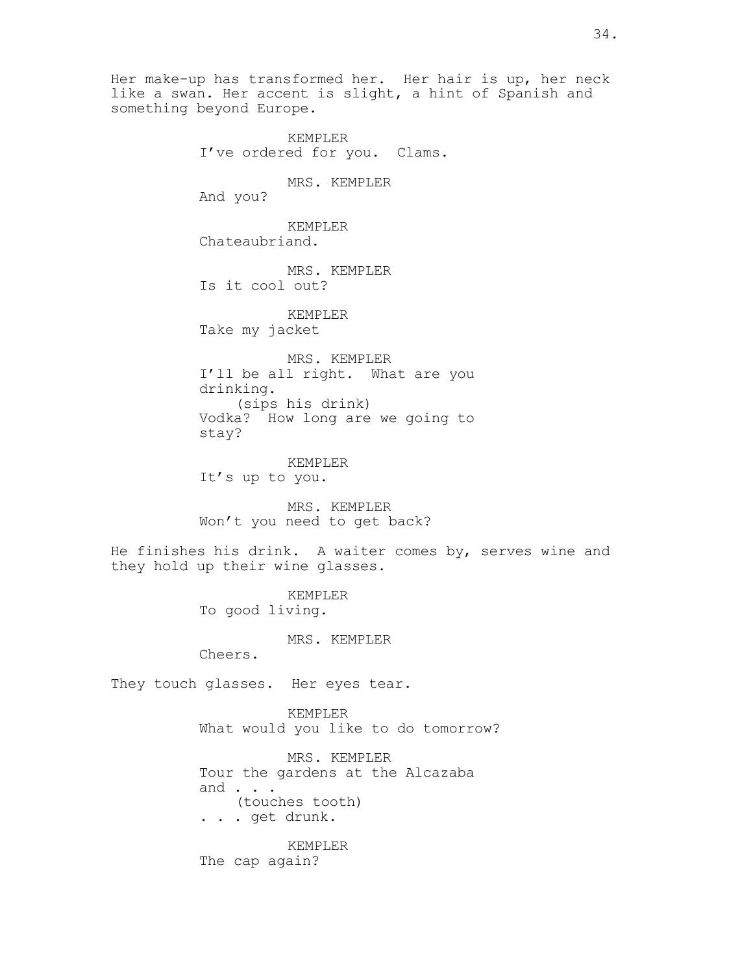Her make-up has transformed her. Her hair is up, her neck like a swan. Her accent is slight, a hint of Spanish and something beyond Europe.

> KEMPLER I've ordered for you. Clams. MRS. KEMPLER And you? KEMPLER Chateaubriand. MRS. KEMPLER Is it cool out? KEMPLER Take my jacket MRS. KEMPLER I'll be all right. What are you drinking. (sips his drink) Vodka? How long are we going to stay? KEMPLER It's up to you.

MRS. KEMPLER Won't you need to get back?

He finishes his drink. A waiter comes by, serves wine and they hold up their wine glasses.

> KEMPLER To good living.

> > MRS. KEMPLER

Cheers.

They touch glasses. Her eyes tear.

KEMPLER What would you like to do tomorrow?

MRS. KEMPLER Tour the gardens at the Alcazaba and . . . (touches tooth) . . . get drunk.

KEMPLER The cap again?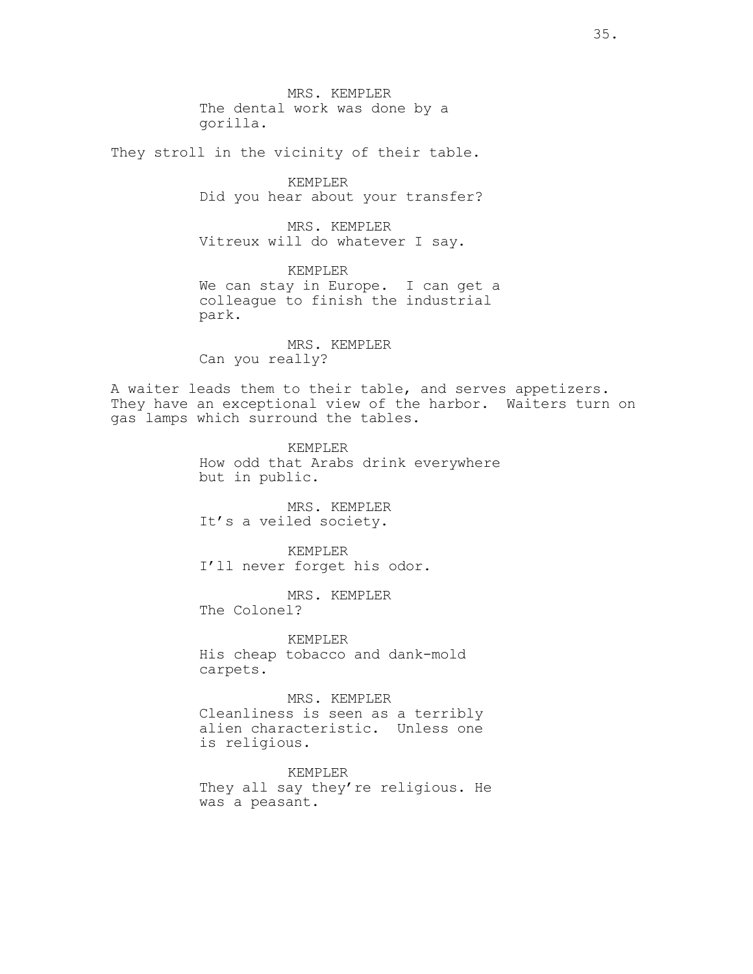MRS. KEMPLER The dental work was done by a gorilla.

They stroll in the vicinity of their table.

KEMPLER Did you hear about your transfer?

MRS. KEMPLER Vitreux will do whatever I say.

KEMPLER We can stay in Europe. I can get a colleague to finish the industrial park.

MRS. KEMPLER Can you really?

A waiter leads them to their table, and serves appetizers. They have an exceptional view of the harbor. Waiters turn on gas lamps which surround the tables.

> KEMPLER How odd that Arabs drink everywhere but in public.

MRS. KEMPLER It's a veiled society.

KEMPLER I'll never forget his odor.

MRS. KEMPLER The Colonel?

KEMPLER His cheap tobacco and dank-mold carpets.

MRS. KEMPLER Cleanliness is seen as a terribly alien characteristic. Unless one is religious.

KEMPLER They all say they're religious. He was a peasant.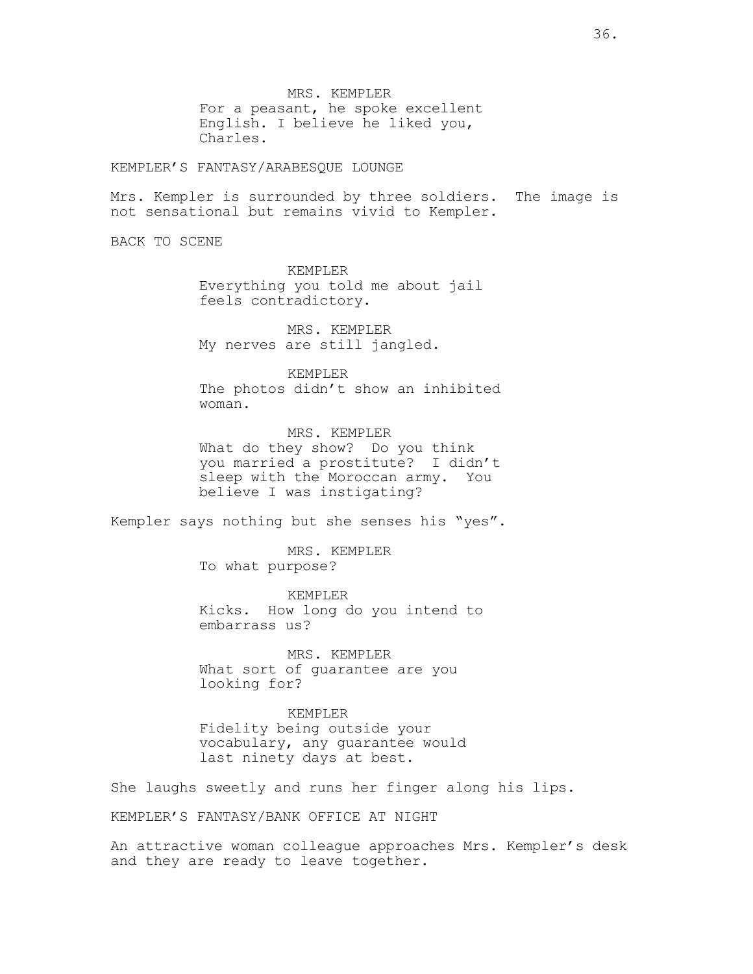MRS. KEMPLER For a peasant, he spoke excellent English. I believe he liked you, Charles.

KEMPLER'S FANTASY/ARABESQUE LOUNGE

Mrs. Kempler is surrounded by three soldiers. The image is not sensational but remains vivid to Kempler.

BACK TO SCENE

KEMPLER Everything you told me about jail feels contradictory.

MRS. KEMPLER My nerves are still jangled.

KEMPLER The photos didn't show an inhibited woman.

MRS. KEMPLER What do they show? Do you think you married a prostitute? I didn't sleep with the Moroccan army. You believe I was instigating?

Kempler says nothing but she senses his "yes".

MRS. KEMPLER To what purpose?

KEMPLER Kicks. How long do you intend to embarrass us?

MRS. KEMPLER What sort of guarantee are you looking for?

KEMPLER Fidelity being outside your vocabulary, any guarantee would last ninety days at best.

She laughs sweetly and runs her finger along his lips.

KEMPLER'S FANTASY/BANK OFFICE AT NIGHT

An attractive woman colleague approaches Mrs. Kempler's desk and they are ready to leave together.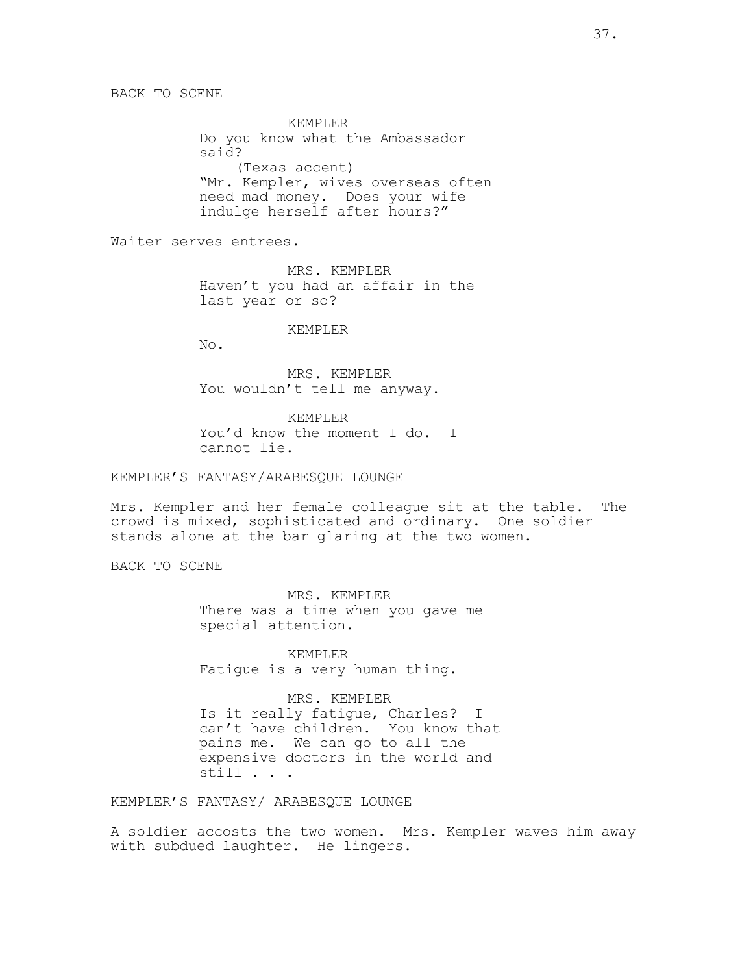KEMPLER Do you know what the Ambassador said? (Texas accent) "Mr. Kempler, wives overseas often need mad money. Does your wife indulge herself after hours?"

Waiter serves entrees.

MRS. KEMPLER Haven't you had an affair in the last year or so?

KEMPLER

No.

MRS. KEMPLER You wouldn't tell me anyway.

KEMPLER You'd know the moment I do. I cannot lie.

KEMPLER'S FANTASY/ARABESQUE LOUNGE

Mrs. Kempler and her female colleague sit at the table. The crowd is mixed, sophisticated and ordinary. One soldier stands alone at the bar glaring at the two women.

BACK TO SCENE

MRS. KEMPLER There was a time when you gave me special attention.

KEMPLER Fatigue is a very human thing.

MRS. KEMPLER Is it really fatigue, Charles? I can't have children. You know that pains me. We can go to all the expensive doctors in the world and still . . .

KEMPLER'S FANTASY/ ARABESQUE LOUNGE

A soldier accosts the two women. Mrs. Kempler waves him away with subdued laughter. He lingers.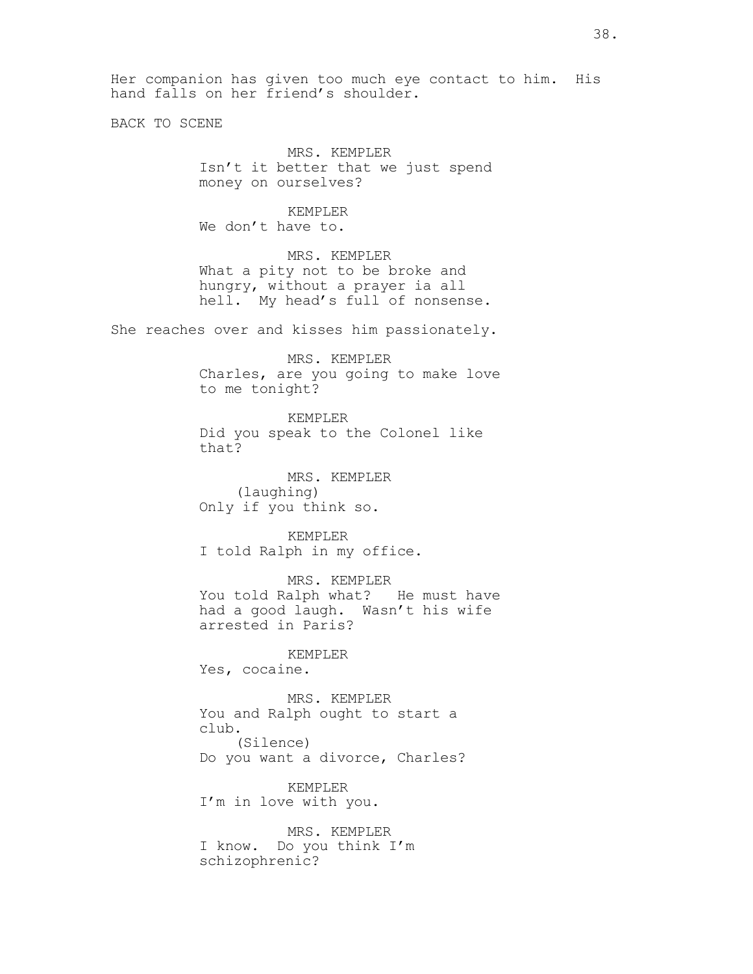Her companion has given too much eye contact to him. His hand falls on her friend's shoulder.

BACK TO SCENE

MRS. KEMPLER Isn't it better that we just spend money on ourselves?

KEMPLER We don't have to.

MRS. KEMPLER What a pity not to be broke and hungry, without a prayer ia all hell. My head's full of nonsense.

She reaches over and kisses him passionately.

MRS. KEMPLER Charles, are you going to make love to me tonight?

KEMPLER Did you speak to the Colonel like that?

MRS. KEMPLER (laughing) Only if you think so.

KEMPLER I told Ralph in my office.

MRS. KEMPLER You told Ralph what? He must have had a good laugh. Wasn't his wife arrested in Paris?

KEMPLER Yes, cocaine.

MRS. KEMPLER You and Ralph ought to start a club. (Silence) Do you want a divorce, Charles?

KEMPLER I'm in love with you.

MRS. KEMPLER I know. Do you think I'm schizophrenic?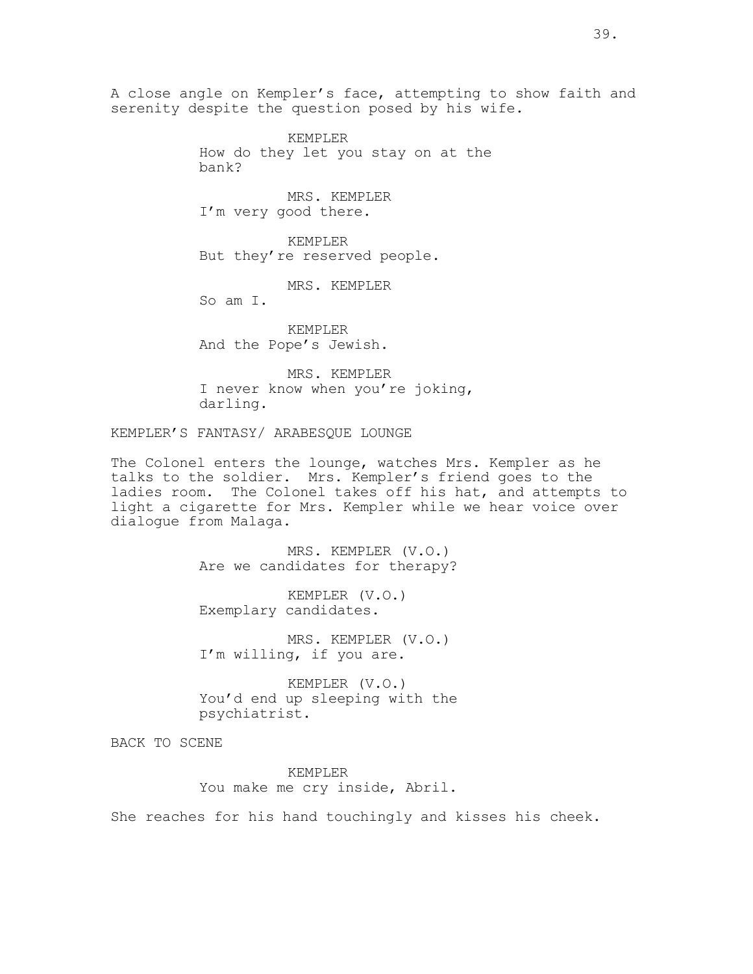A close angle on Kempler's face, attempting to show faith and serenity despite the question posed by his wife.

> KEMPLER How do they let you stay on at the bank?

MRS. KEMPLER I'm very good there.

KEMPLER But they're reserved people.

MRS. KEMPLER

So am I.

KEMPLER And the Pope's Jewish.

MRS. KEMPLER I never know when you're joking, darling.

KEMPLER'S FANTASY/ ARABESQUE LOUNGE

The Colonel enters the lounge, watches Mrs. Kempler as he talks to the soldier. Mrs. Kempler's friend goes to the ladies room. The Colonel takes off his hat, and attempts to light a cigarette for Mrs. Kempler while we hear voice over dialogue from Malaga.

> MRS. KEMPLER (V.O.) Are we candidates for therapy?

KEMPLER (V.O.) Exemplary candidates.

MRS. KEMPLER (V.O.) I'm willing, if you are.

KEMPLER (V.O.) You'd end up sleeping with the psychiatrist.

BACK TO SCENE

KEMPLER You make me cry inside, Abril.

She reaches for his hand touchingly and kisses his cheek.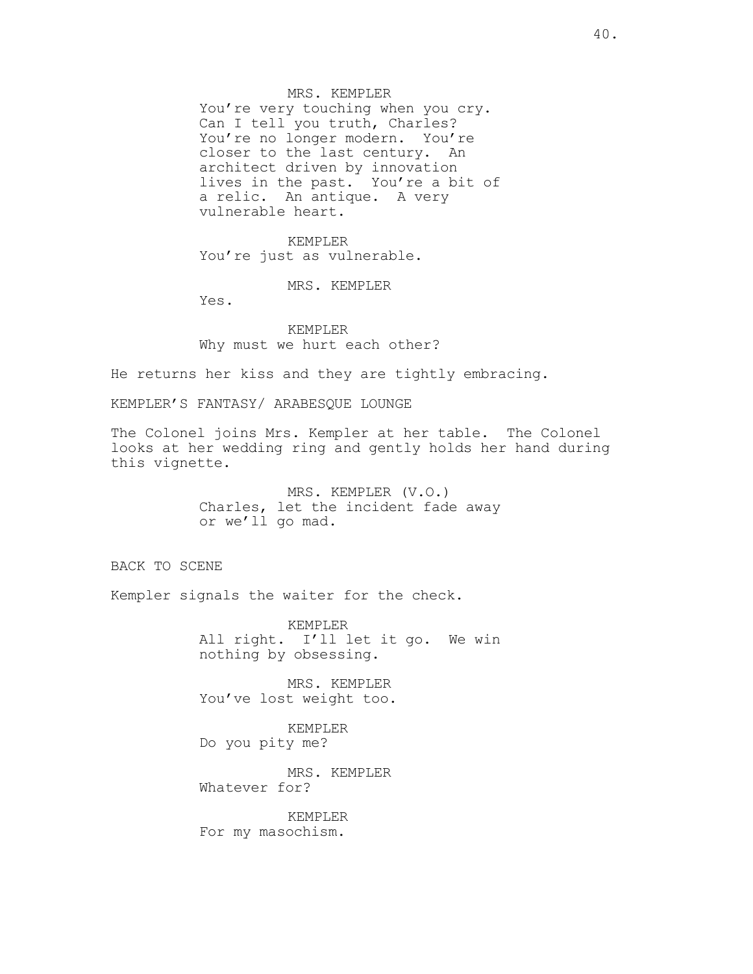MRS. KEMPLER You're very touching when you cry. Can I tell you truth, Charles? You're no longer modern. You're closer to the last century. An architect driven by innovation lives in the past. You're a bit of a relic. An antique. A very vulnerable heart.

KEMPLER You're just as vulnerable.

MRS. KEMPLER

Yes.

KEMPLER Why must we hurt each other?

He returns her kiss and they are tightly embracing.

KEMPLER'S FANTASY/ ARABESQUE LOUNGE

The Colonel joins Mrs. Kempler at her table. The Colonel looks at her wedding ring and gently holds her hand during this vignette.

> MRS. KEMPLER (V.O.) Charles, let the incident fade away or we'll go mad.

BACK TO SCENE

Kempler signals the waiter for the check.

KEMPLER All right. I'll let it go. We win nothing by obsessing.

MRS. KEMPLER You've lost weight too.

KEMPLER Do you pity me?

MRS. KEMPLER Whatever for?

KEMPLER For my masochism.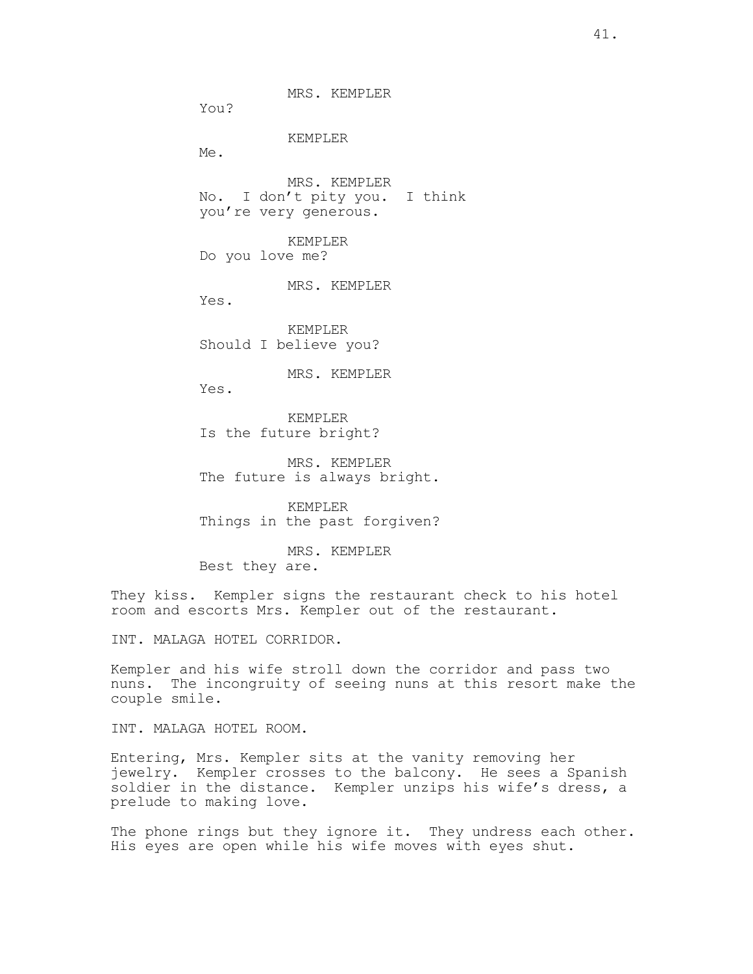MRS. KEMPLER

You?

### KEMPLER

Me.

MRS. KEMPLER No. I don't pity you. I think you're very generous.

KEMPLER Do you love me?

MRS. KEMPLER

Yes.

KEMPLER Should I believe you?

MRS. KEMPLER

Yes.

KEMPLER Is the future bright?

MRS. KEMPLER The future is always bright.

KEMPLER Things in the past forgiven?

MRS. KEMPLER Best they are.

They kiss. Kempler signs the restaurant check to his hotel room and escorts Mrs. Kempler out of the restaurant.

INT. MALAGA HOTEL CORRIDOR.

Kempler and his wife stroll down the corridor and pass two nuns. The incongruity of seeing nuns at this resort make the couple smile.

INT. MALAGA HOTEL ROOM.

Entering, Mrs. Kempler sits at the vanity removing her jewelry. Kempler crosses to the balcony. He sees a Spanish soldier in the distance. Kempler unzips his wife's dress, a prelude to making love.

The phone rings but they ignore it. They undress each other. His eyes are open while his wife moves with eyes shut.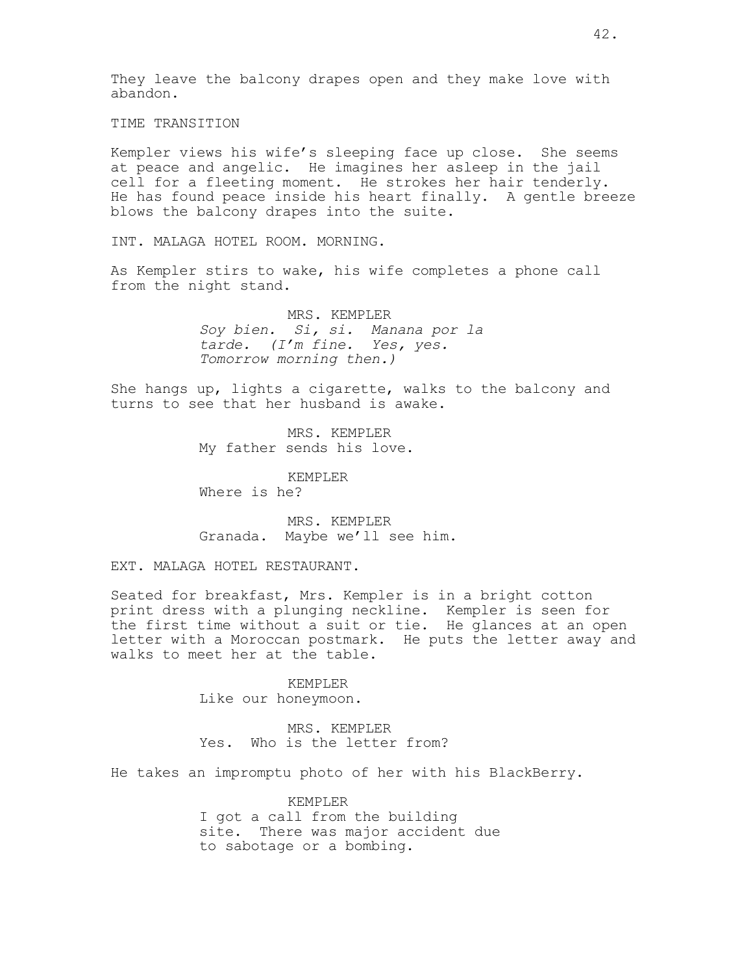They leave the balcony drapes open and they make love with abandon.

TIME TRANSITION

Kempler views his wife's sleeping face up close. She seems at peace and angelic. He imagines her asleep in the jail cell for a fleeting moment. He strokes her hair tenderly. He has found peace inside his heart finally. A gentle breeze blows the balcony drapes into the suite.

INT. MALAGA HOTEL ROOM. MORNING.

As Kempler stirs to wake, his wife completes a phone call from the night stand.

> MRS. KEMPLER Soy bien. Si, si. Manana por la tarde. (I'm fine. Yes, yes. Tomorrow morning then.)

She hangs up, lights a cigarette, walks to the balcony and turns to see that her husband is awake.

> MRS. KEMPLER My father sends his love.

KEMPLER Where is he?

MRS. KEMPLER Granada. Maybe we'll see him.

EXT. MALAGA HOTEL RESTAURANT.

Seated for breakfast, Mrs. Kempler is in a bright cotton print dress with a plunging neckline. Kempler is seen for the first time without a suit or tie. He glances at an open letter with a Moroccan postmark. He puts the letter away and walks to meet her at the table.

> KEMPLER Like our honeymoon.

MRS. KEMPLER Yes. Who is the letter from?

He takes an impromptu photo of her with his BlackBerry.

KEMPLER I got a call from the building site. There was major accident due to sabotage or a bombing.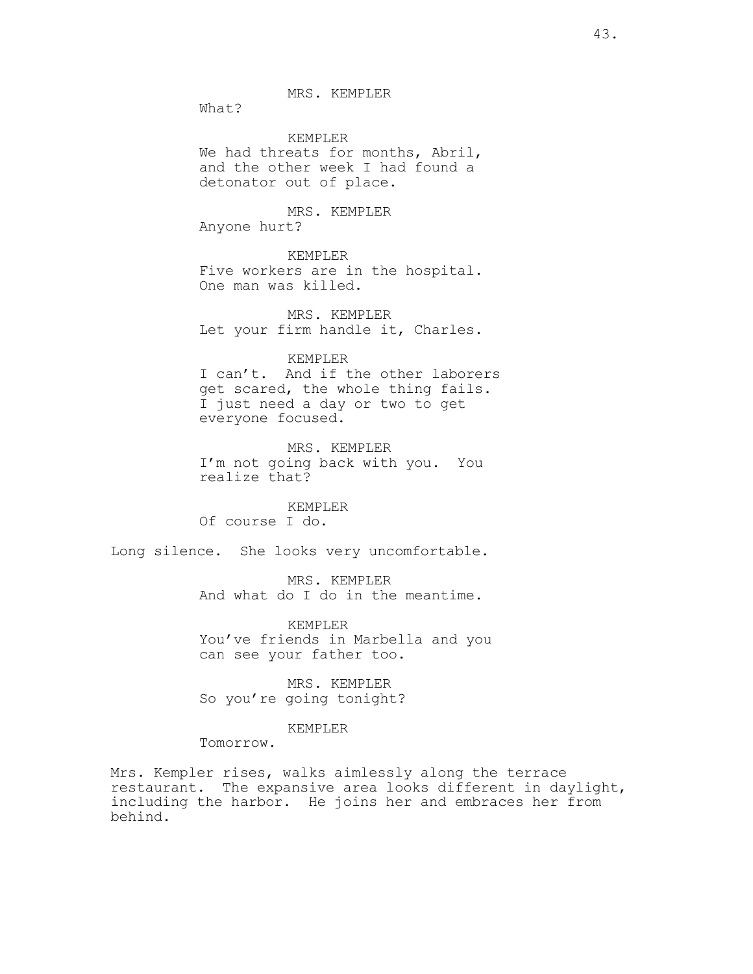MRS. KEMPLER

What?

KEMPLER We had threats for months, Abril, and the other week I had found a detonator out of place.

MRS. KEMPLER Anyone hurt?

KEMPLER Five workers are in the hospital. One man was killed.

MRS. KEMPLER Let your firm handle it, Charles.

KEMPLER

I can't. And if the other laborers get scared, the whole thing fails. I just need a day or two to get everyone focused.

MRS. KEMPLER I'm not going back with you. You realize that?

KEMPLER Of course I do.

Long silence. She looks very uncomfortable.

MRS. KEMPLER And what do I do in the meantime.

KEMPLER You've friends in Marbella and you can see your father too.

MRS. KEMPLER So you're going tonight?

KEMPLER

Tomorrow.

Mrs. Kempler rises, walks aimlessly along the terrace restaurant. The expansive area looks different in daylight, including the harbor. He joins her and embraces her from behind.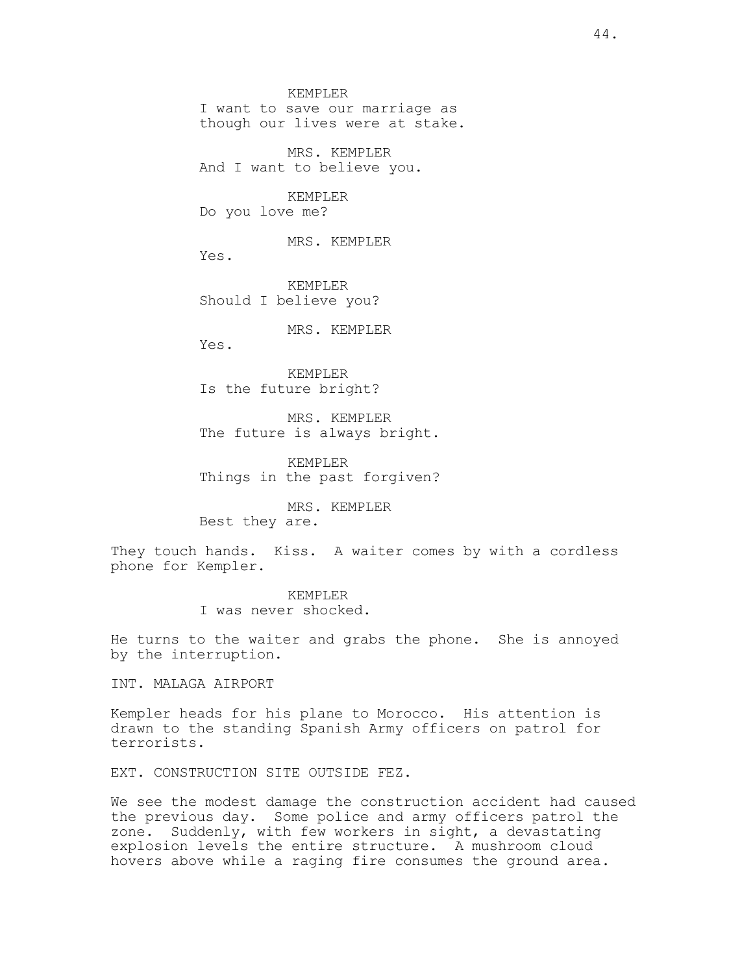KEMPLER

I want to save our marriage as though our lives were at stake.

MRS. KEMPLER And I want to believe you.

# KEMPLER

Do you love me?

MRS. KEMPLER

Yes.

KEMPLER Should I believe you?

MRS. KEMPLER

Yes.

KEMPLER Is the future bright?

MRS. KEMPLER The future is always bright.

KEMPLER Things in the past forgiven?

MRS. KEMPLER Best they are.

They touch hands. Kiss. A waiter comes by with a cordless phone for Kempler.

> KEMPLER I was never shocked.

He turns to the waiter and grabs the phone. She is annoyed by the interruption.

INT. MALAGA AIRPORT

Kempler heads for his plane to Morocco. His attention is drawn to the standing Spanish Army officers on patrol for terrorists.

EXT. CONSTRUCTION SITE OUTSIDE FEZ.

We see the modest damage the construction accident had caused the previous day. Some police and army officers patrol the zone. Suddenly, with few workers in sight, a devastating explosion levels the entire structure. A mushroom cloud hovers above while a raging fire consumes the ground area.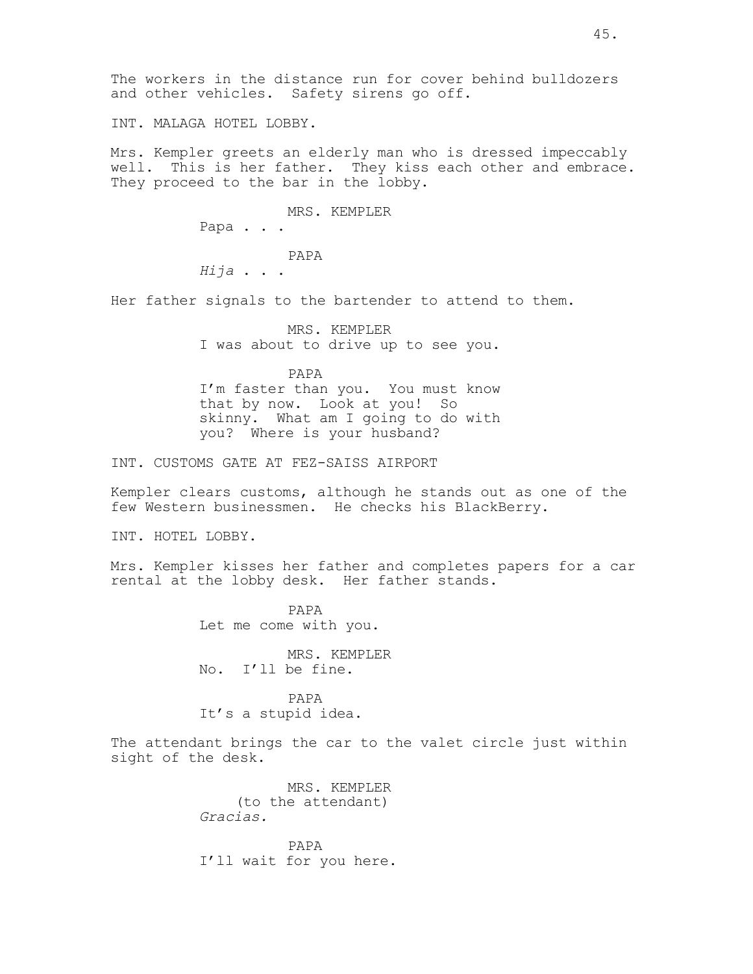INT. MALAGA HOTEL LOBBY.

Mrs. Kempler greets an elderly man who is dressed impeccably well. This is her father. They kiss each other and embrace. They proceed to the bar in the lobby.

> MRS. KEMPLER Papa . . . PAPA Hija . . .

Her father signals to the bartender to attend to them.

MRS. KEMPLER I was about to drive up to see you.

PAPA I'm faster than you. You must know that by now. Look at you! So skinny. What am I going to do with you? Where is your husband?

INT. CUSTOMS GATE AT FEZ-SAISS AIRPORT

Kempler clears customs, although he stands out as one of the few Western businessmen. He checks his BlackBerry.

INT. HOTEL LOBBY.

Mrs. Kempler kisses her father and completes papers for a car rental at the lobby desk. Her father stands.

> PAPA Let me come with you.

MRS. KEMPLER No. I'll be fine.

PAPA It's a stupid idea.

The attendant brings the car to the valet circle just within sight of the desk.

> MRS. KEMPLER (to the attendant) Gracias.

PAPA I'll wait for you here.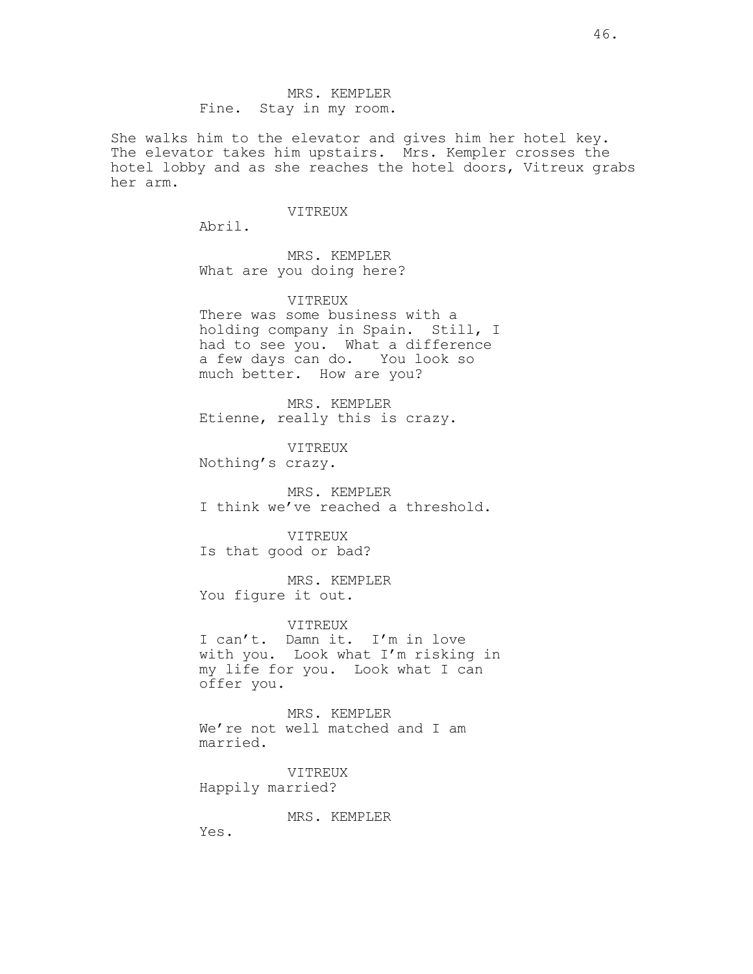MRS. KEMPLER Fine. Stay in my room.

She walks him to the elevator and gives him her hotel key. The elevator takes him upstairs. Mrs. Kempler crosses the hotel lobby and as she reaches the hotel doors, Vitreux grabs her arm.

## VITREUX

Abril.

MRS. KEMPLER What are you doing here?

VITREUX

There was some business with a holding company in Spain. Still, I had to see you. What a difference a few days can do. You look so much better. How are you?

MRS. KEMPLER Etienne, really this is crazy.

VITREUX Nothing's crazy.

MRS. KEMPLER I think we've reached a threshold.

VITREUX Is that good or bad?

MRS. KEMPLER You figure it out.

VITREUX I can't. Damn it. I'm in love

with you. Look what I'm risking in my life for you. Look what I can offer you.

MRS. KEMPLER We're not well matched and I am married.

VITREUX Happily married?

MRS. KEMPLER

Yes.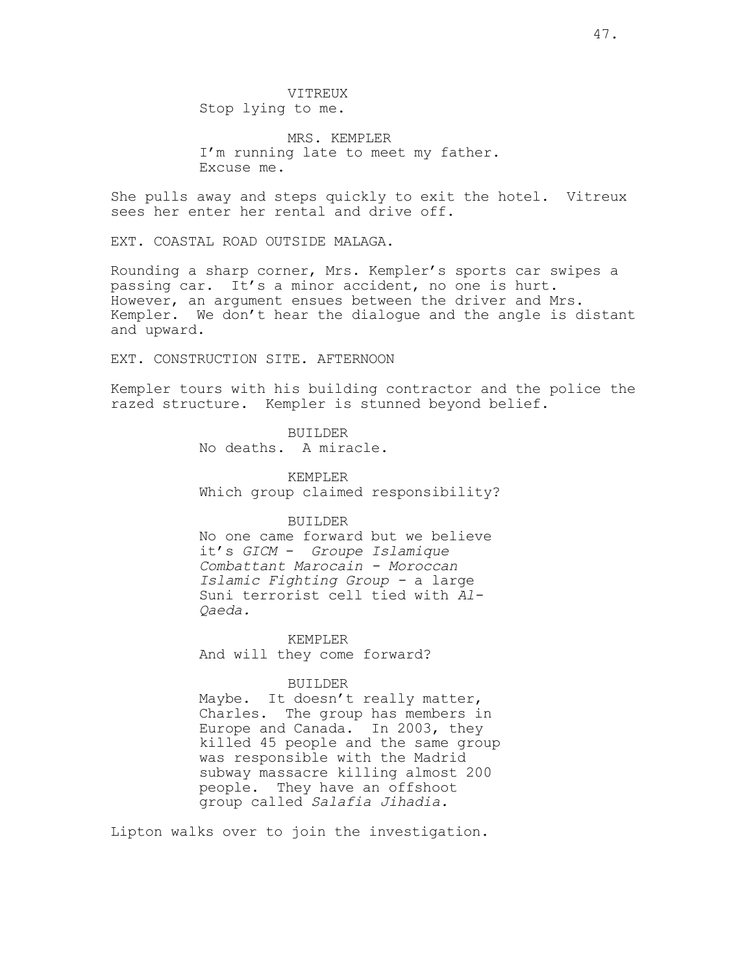VITREUX Stop lying to me.

MRS. KEMPLER I'm running late to meet my father. Excuse me.

She pulls away and steps quickly to exit the hotel. Vitreux sees her enter her rental and drive off.

EXT. COASTAL ROAD OUTSIDE MALAGA.

Rounding a sharp corner, Mrs. Kempler's sports car swipes a passing car. It's a minor accident, no one is hurt. However, an argument ensues between the driver and Mrs. Kempler. We don't hear the dialogue and the angle is distant and upward.

EXT. CONSTRUCTION SITE. AFTERNOON

Kempler tours with his building contractor and the police the razed structure. Kempler is stunned beyond belief.

> BUILDER No deaths. A miracle.

KEMPLER Which group claimed responsibility?

## BUILDER

No one came forward but we believe it's GICM - Groupe Islamique Combattant Marocain - Moroccan Islamic Fighting Group - a large Suni terrorist cell tied with Al-Qaeda.

KEMPLER And will they come forward?

### BUILDER

Maybe. It doesn't really matter, Charles. The group has members in Europe and Canada. In 2003, they killed 45 people and the same group was responsible with the Madrid subway massacre killing almost 200 people. They have an offshoot group called Salafia Jihadia.

Lipton walks over to join the investigation.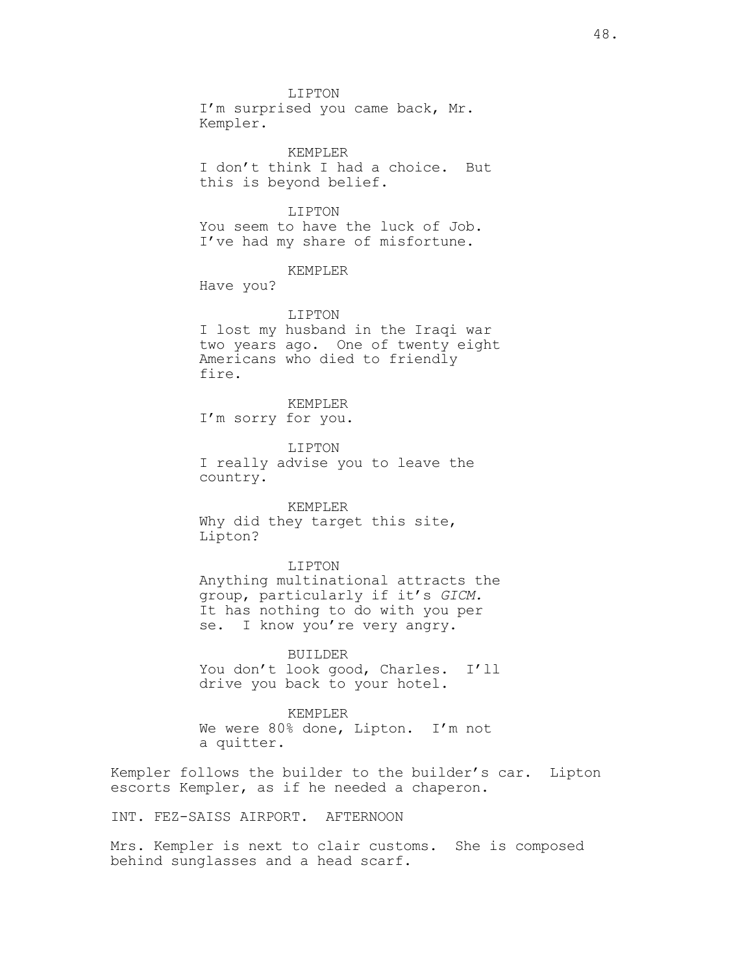LIPTON I'm surprised you came back, Mr. Kempler.

KEMPLER I don't think I had a choice. But this is beyond belief.

LIPTON You seem to have the luck of Job. I've had my share of misfortune.

### KEMPLER

Have you?

LIPTON I lost my husband in the Iraqi war two years ago. One of twenty eight Americans who died to friendly fire.

KEMPLER I'm sorry for you.

LIPTON I really advise you to leave the country.

KEMPLER Why did they target this site, Lipton?

LIPTON Anything multinational attracts the group, particularly if it's GICM. It has nothing to do with you per se. I know you're very angry.

BUILDER You don't look good, Charles. I'll drive you back to your hotel.

KEMPLER We were 80% done, Lipton. I'm not a quitter.

Kempler follows the builder to the builder's car. Lipton escorts Kempler, as if he needed a chaperon.

INT. FEZ-SAISS AIRPORT. AFTERNOON

Mrs. Kempler is next to clair customs. She is composed behind sunglasses and a head scarf.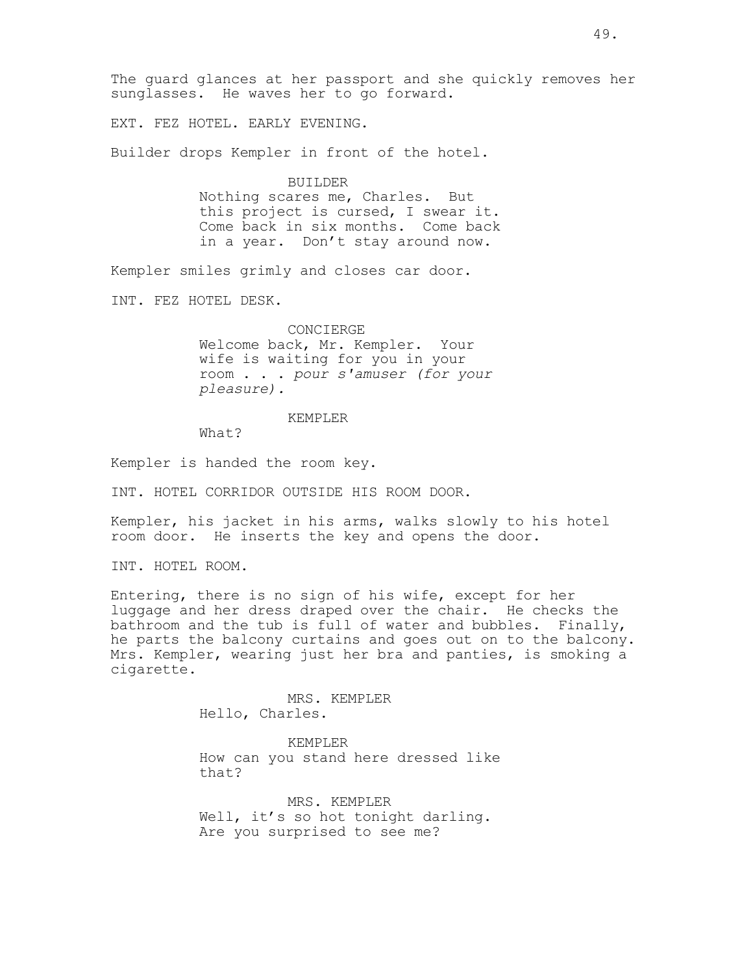The guard glances at her passport and she quickly removes her sunglasses. He waves her to go forward.

EXT. FEZ HOTEL. EARLY EVENING.

Builder drops Kempler in front of the hotel.

BUILDER Nothing scares me, Charles. But this project is cursed, I swear it. Come back in six months. Come back in a year. Don't stay around now.

Kempler smiles grimly and closes car door.

INT. FEZ HOTEL DESK.

CONCIERGE Welcome back, Mr. Kempler. Your wife is waiting for you in your room . . . pour s'amuser (for your pleasure).

#### KEMPLER

What?

Kempler is handed the room key.

INT. HOTEL CORRIDOR OUTSIDE HIS ROOM DOOR.

Kempler, his jacket in his arms, walks slowly to his hotel room door. He inserts the key and opens the door.

INT. HOTEL ROOM.

Entering, there is no sign of his wife, except for her luggage and her dress draped over the chair. He checks the bathroom and the tub is full of water and bubbles. Finally, he parts the balcony curtains and goes out on to the balcony. Mrs. Kempler, wearing just her bra and panties, is smoking a cigarette.

> MRS. KEMPLER Hello, Charles.

KEMPLER How can you stand here dressed like that?

MRS. KEMPLER Well, it's so hot tonight darling. Are you surprised to see me?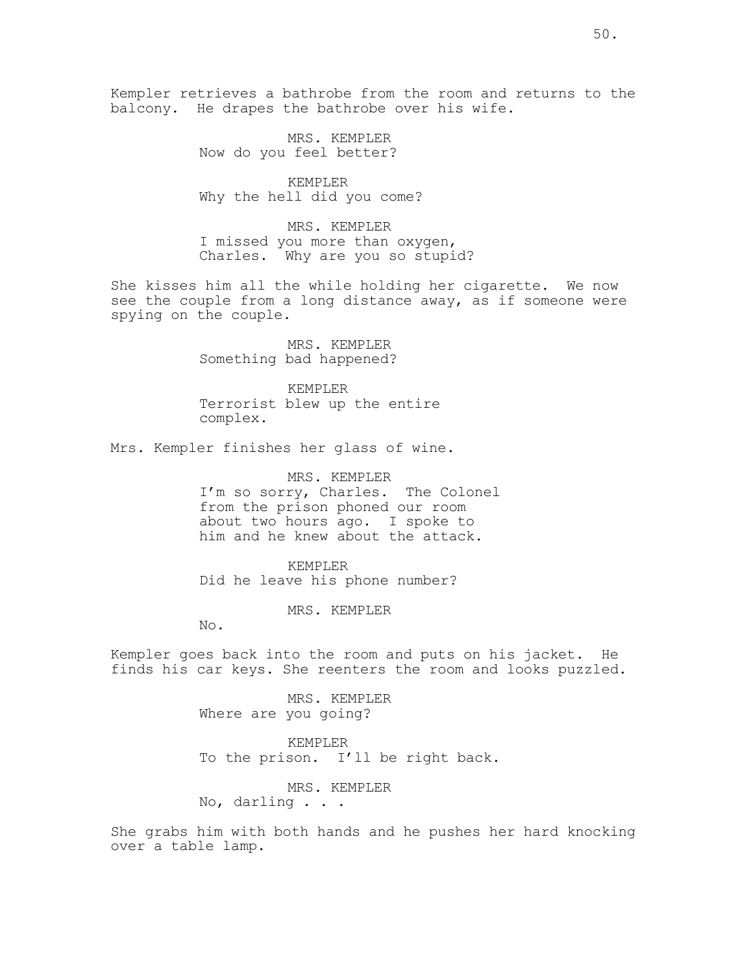Kempler retrieves a bathrobe from the room and returns to the balcony. He drapes the bathrobe over his wife.

> MRS. KEMPLER Now do you feel better?

KEMPLER Why the hell did you come?

MRS. KEMPLER I missed you more than oxygen, Charles. Why are you so stupid?

She kisses him all the while holding her cigarette. We now see the couple from a long distance away, as if someone were spying on the couple.

> MRS. KEMPLER Something bad happened?

KEMPLER Terrorist blew up the entire complex.

Mrs. Kempler finishes her glass of wine.

MRS. KEMPLER I'm so sorry, Charles. The Colonel from the prison phoned our room about two hours ago. I spoke to him and he knew about the attack.

KEMPLER Did he leave his phone number?

MRS. KEMPLER

No.

Kempler goes back into the room and puts on his jacket. He finds his car keys. She reenters the room and looks puzzled.

> MRS. KEMPLER Where are you going?

KEMPLER To the prison. I'll be right back.

MRS. KEMPLER

No, darling . . .

She grabs him with both hands and he pushes her hard knocking over a table lamp.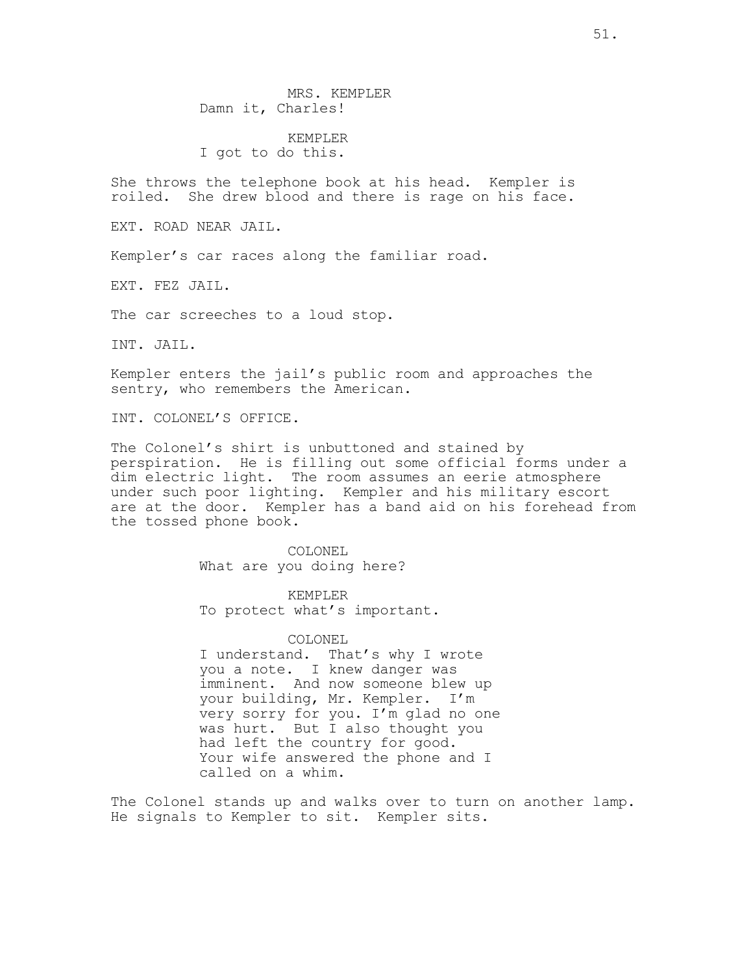MRS. KEMPLER Damn it, Charles!

KEMPLER I got to do this.

She throws the telephone book at his head. Kempler is roiled. She drew blood and there is rage on his face.

EXT. ROAD NEAR JAIL.

Kempler's car races along the familiar road.

EXT. FEZ JAIL.

The car screeches to a loud stop.

INT. JAIL.

Kempler enters the jail's public room and approaches the sentry, who remembers the American.

INT. COLONEL'S OFFICE.

The Colonel's shirt is unbuttoned and stained by perspiration. He is filling out some official forms under a dim electric light. The room assumes an eerie atmosphere under such poor lighting. Kempler and his military escort are at the door. Kempler has a band aid on his forehead from the tossed phone book.

> COLONEL What are you doing here?

KEMPLER To protect what's important.

COLONEL I understand. That's why I wrote you a note. I knew danger was imminent. And now someone blew up your building, Mr. Kempler. I'm very sorry for you. I'm glad no one was hurt. But I also thought you had left the country for good. Your wife answered the phone and I called on a whim.

The Colonel stands up and walks over to turn on another lamp. He signals to Kempler to sit. Kempler sits.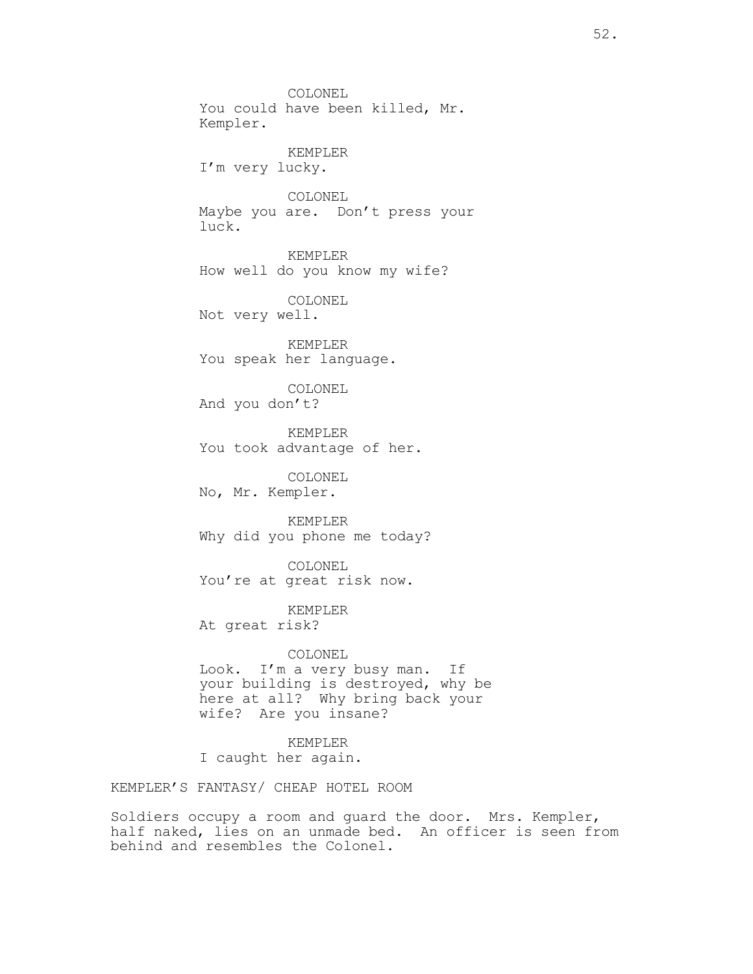COLONEL You could have been killed, Mr. Kempler. KEMPLER I'm very lucky. COLONEL Maybe you are. Don't press your luck. KEMPLER How well do you know my wife? COLONEL Not very well. KEMPLER You speak her language. COLONEL And you don't? KEMPLER You took advantage of her. COLONEL No, Mr. Kempler. KEMPLER Why did you phone me today? COLONEL You're at great risk now. KEMPLER At great risk? COLONEL Look. I'm a very busy man. If your building is destroyed, why be here at all? Why bring back your wife? Are you insane?

KEMPLER I caught her again.

KEMPLER'S FANTASY/ CHEAP HOTEL ROOM

Soldiers occupy a room and guard the door. Mrs. Kempler, half naked, lies on an unmade bed. An officer is seen from behind and resembles the Colonel.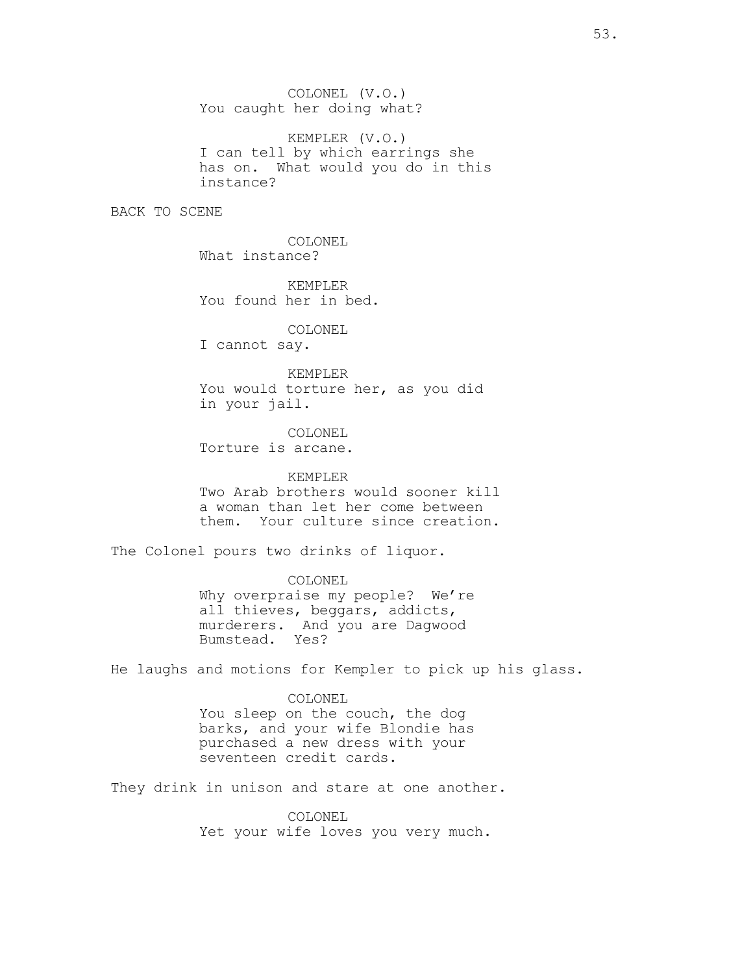COLONEL (V.O.) You caught her doing what?

KEMPLER (V.O.) I can tell by which earrings she has on. What would you do in this instance?

BACK TO SCENE

COLONEL What instance?

KEMPLER You found her in bed.

COLONEL

I cannot say.

KEMPLER You would torture her, as you did in your jail.

COLONEL Torture is arcane.

KEMPLER Two Arab brothers would sooner kill a woman than let her come between them. Your culture since creation.

The Colonel pours two drinks of liquor.

COLONEL Why overpraise my people? We're all thieves, beggars, addicts, murderers. And you are Dagwood Bumstead. Yes?

He laughs and motions for Kempler to pick up his glass.

COLONEL You sleep on the couch, the dog barks, and your wife Blondie has purchased a new dress with your seventeen credit cards.

They drink in unison and stare at one another.

COLONEL Yet your wife loves you very much.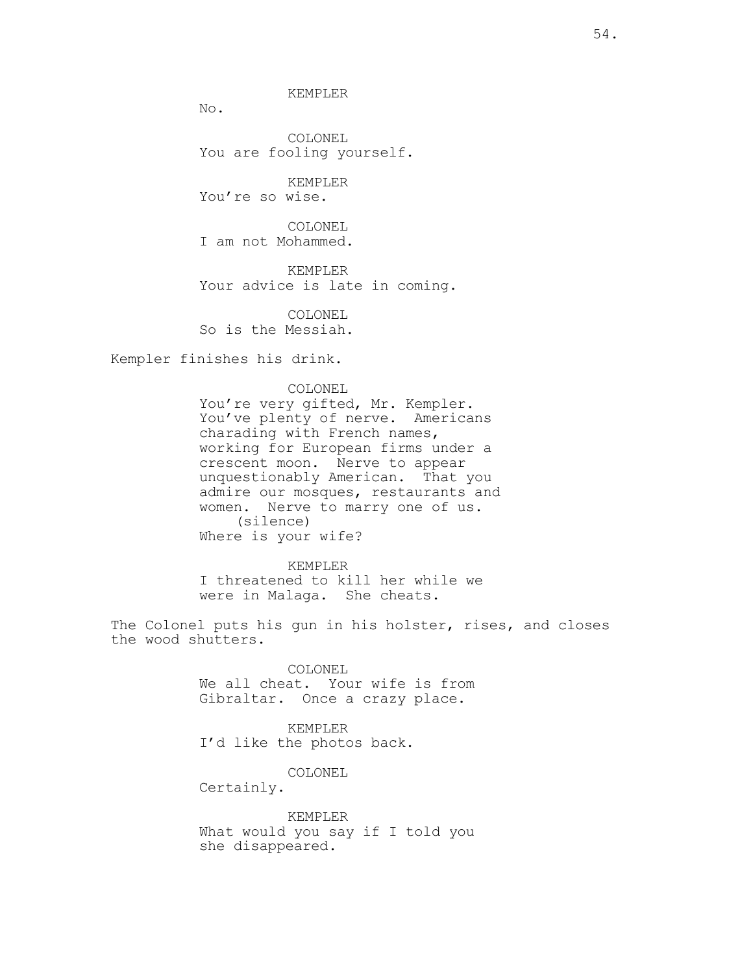KEMPLER

No.

COLONEL You are fooling yourself.

KEMPLER You're so wise.

COLONEL I am not Mohammed.

KEMPLER Your advice is late in coming.

COLONEL So is the Messiah.

Kempler finishes his drink.

COLONEL

You're very gifted, Mr. Kempler. You've plenty of nerve. Americans charading with French names, working for European firms under a crescent moon. Nerve to appear unquestionably American. That you admire our mosques, restaurants and women. Nerve to marry one of us. (silence) Where is your wife?

KEMPLER I threatened to kill her while we were in Malaga. She cheats.

The Colonel puts his gun in his holster, rises, and closes the wood shutters.

> COLONEL We all cheat. Your wife is from Gibraltar. Once a crazy place.

KEMPLER I'd like the photos back.

COLONEL

Certainly.

KEMPLER What would you say if I told you she disappeared.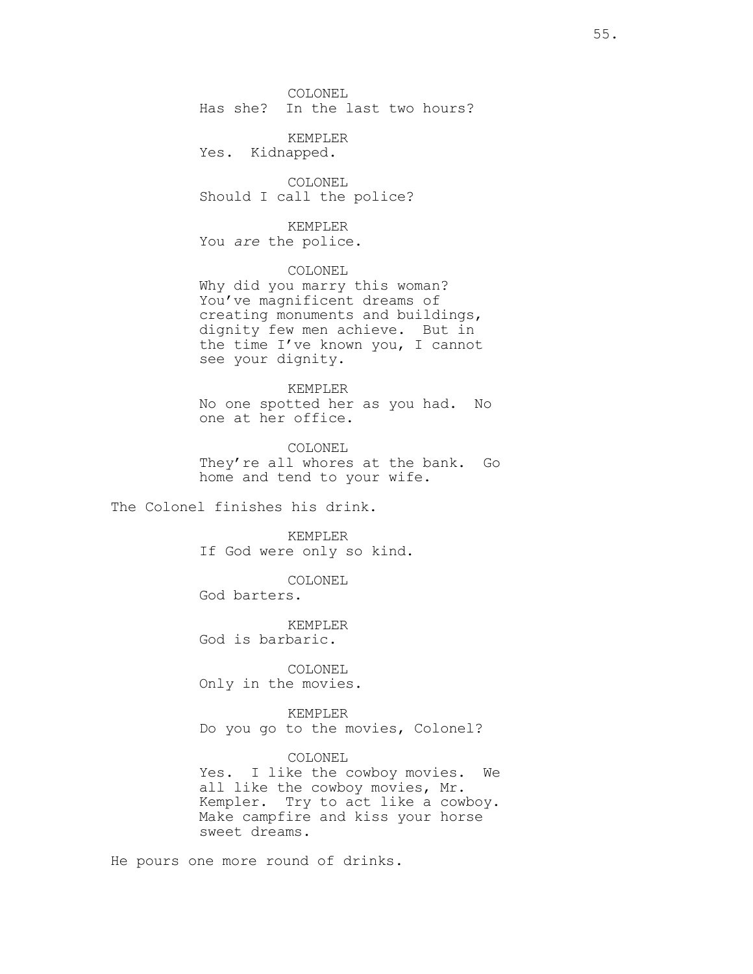COLONEL Has she? In the last two hours?

KEMPLER Yes. Kidnapped.

COLONEL Should I call the police?

KEMPLER

You are the police.

COLONEL Why did you marry this woman? You've magnificent dreams of creating monuments and buildings, dignity few men achieve. But in the time I've known you, I cannot see your dignity.

KEMPLER No one spotted her as you had. No one at her office.

COLONEL They're all whores at the bank. Go home and tend to your wife.

The Colonel finishes his drink.

KEMPLER If God were only so kind.

COLONEL

God barters.

KEMPLER God is barbaric.

COLONEL Only in the movies.

KEMPLER Do you go to the movies, Colonel?

COLONEL Yes. I like the cowboy movies. We all like the cowboy movies, Mr. Kempler. Try to act like a cowboy. Make campfire and kiss your horse sweet dreams.

He pours one more round of drinks.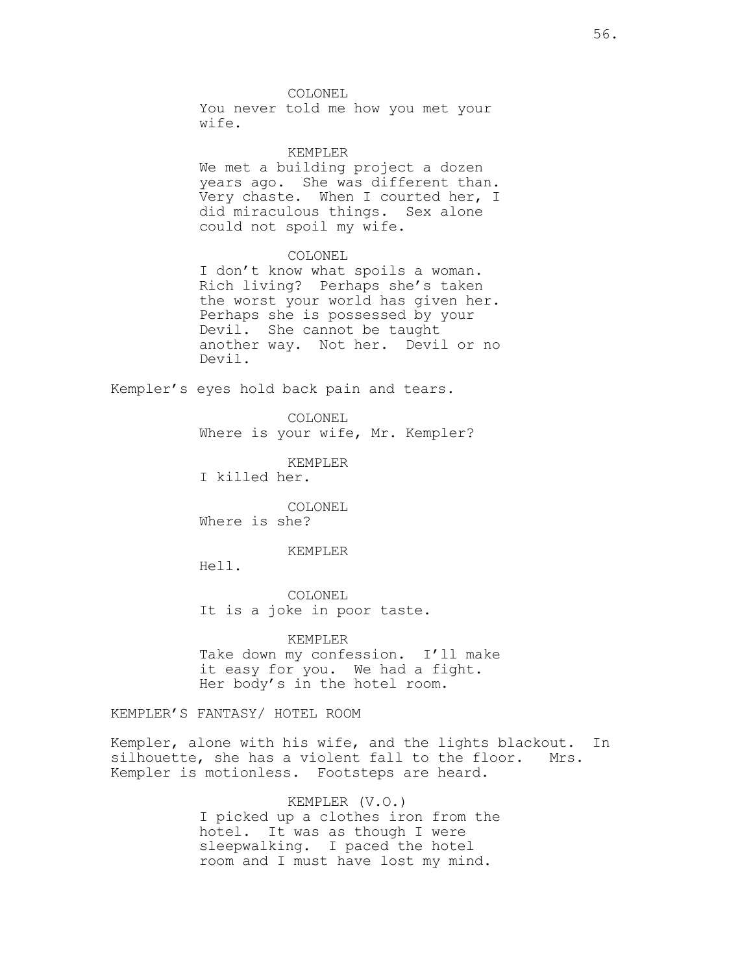COLONEL

You never told me how you met your wife.

KEMPLER

We met a building project a dozen years ago. She was different than. Very chaste. When I courted her, I did miraculous things. Sex alone could not spoil my wife.

#### COLONEL

I don't know what spoils a woman. Rich living? Perhaps she's taken the worst your world has given her. Perhaps she is possessed by your Devil. She cannot be taught another way. Not her. Devil or no Devil.

Kempler's eyes hold back pain and tears.

COLONEL Where is your wife, Mr. Kempler?

KEMPLER

I killed her.

COLONEL Where is she?

#### KEMPLER

Hell.

COLONEL It is a joke in poor taste.

KEMPLER Take down my confession. I'll make it easy for you. We had a fight. Her body's in the hotel room.

KEMPLER'S FANTASY/ HOTEL ROOM

Kempler, alone with his wife, and the lights blackout. In silhouette, she has a violent fall to the floor. Mrs. Kempler is motionless. Footsteps are heard.

> KEMPLER (V.O.) I picked up a clothes iron from the hotel. It was as though I were sleepwalking. I paced the hotel room and I must have lost my mind.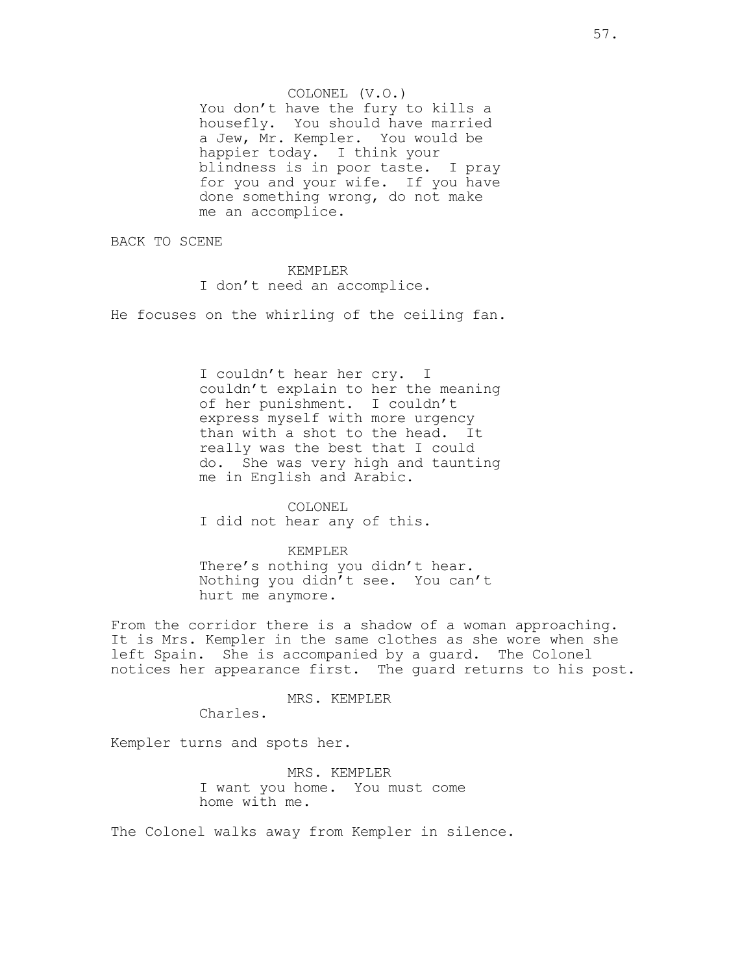COLONEL (V.O.) You don't have the fury to kills a housefly. You should have married a Jew, Mr. Kempler. You would be happier today. I think your<br>blindness is in poor taste. I pray blindness is in poor taste. for you and your wife. If you have done something wrong, do not make me an accomplice.

BACK TO SCENE

### KEMPLER

I don't need an accomplice.

He focuses on the whirling of the ceiling fan.

I couldn't hear her cry. I couldn't explain to her the meaning of her punishment. I couldn't express myself with more urgency than with a shot to the head. It really was the best that I could do. She was very high and taunting me in English and Arabic.

#### COLONEL

I did not hear any of this.

#### KEMPLER

There's nothing you didn't hear. Nothing you didn't see. You can't hurt me anymore.

From the corridor there is a shadow of a woman approaching. It is Mrs. Kempler in the same clothes as she wore when she left Spain. She is accompanied by a guard. The Colonel notices her appearance first. The guard returns to his post.

### MRS. KEMPLER

Charles.

Kempler turns and spots her.

MRS. KEMPLER I want you home. You must come home with me.

The Colonel walks away from Kempler in silence.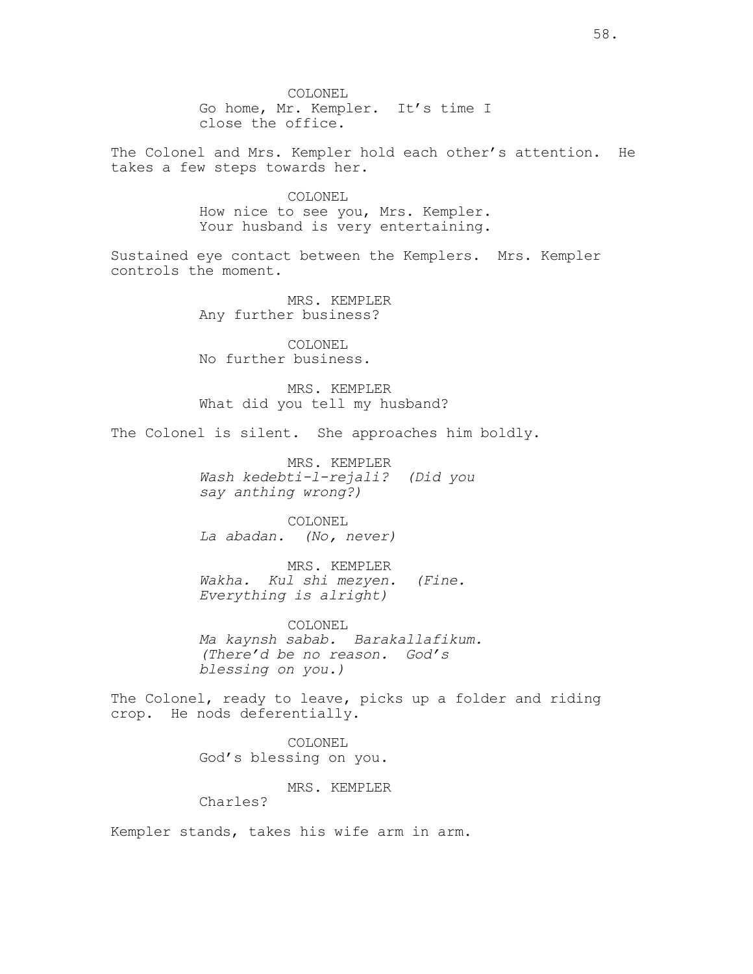COLONEL Go home, Mr. Kempler. It's time I close the office.

The Colonel and Mrs. Kempler hold each other's attention. He takes a few steps towards her.

> COLONEL How nice to see you, Mrs. Kempler. Your husband is very entertaining.

Sustained eye contact between the Kemplers. Mrs. Kempler controls the moment.

> MRS. KEMPLER Any further business?

COLONEL No further business.

MRS. KEMPLER What did you tell my husband?

The Colonel is silent. She approaches him boldly.

MRS. KEMPLER Wash kedebti-l-rejali? (Did you say anthing wrong?)

COLONEL La abadan. (No, never)

MRS. KEMPLER Wakha. Kul shi mezyen. (Fine. Everything is alright)

COLONEL Ma kaynsh sabab. Barakallafikum. (There'd be no reason. God's blessing on you.)

The Colonel, ready to leave, picks up a folder and riding crop. He nods deferentially.

> COLONEL God's blessing on you.

> > MRS. KEMPLER

Charles?

Kempler stands, takes his wife arm in arm.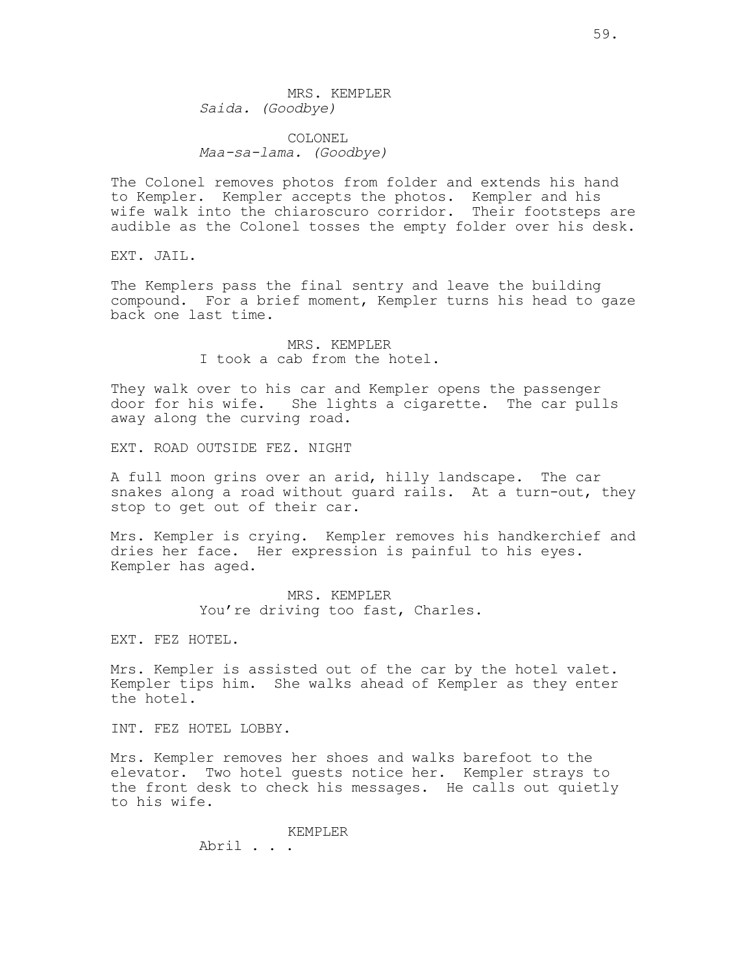MRS. KEMPLER Saida. (Goodbye)

COLONEL Maa-sa-lama. (Goodbye)

The Colonel removes photos from folder and extends his hand to Kempler. Kempler accepts the photos. Kempler and his wife walk into the chiaroscuro corridor. Their footsteps are audible as the Colonel tosses the empty folder over his desk.

EXT. JAIL.

The Kemplers pass the final sentry and leave the building compound. For a brief moment, Kempler turns his head to gaze back one last time.

> MRS. KEMPLER I took a cab from the hotel.

They walk over to his car and Kempler opens the passenger door for his wife. She lights a cigarette. The car pulls away along the curving road.

EXT. ROAD OUTSIDE FEZ. NIGHT

A full moon grins over an arid, hilly landscape. The car snakes along a road without quard rails. At a turn-out, they stop to get out of their car.

Mrs. Kempler is crying. Kempler removes his handkerchief and dries her face. Her expression is painful to his eyes. Kempler has aged.

> MRS. KEMPLER You're driving too fast, Charles.

EXT. FEZ HOTEL.

Mrs. Kempler is assisted out of the car by the hotel valet. Kempler tips him. She walks ahead of Kempler as they enter the hotel.

INT. FEZ HOTEL LOBBY.

Mrs. Kempler removes her shoes and walks barefoot to the elevator. Two hotel guests notice her. Kempler strays to the front desk to check his messages. He calls out quietly to his wife.

> KEMPLER Abril . . .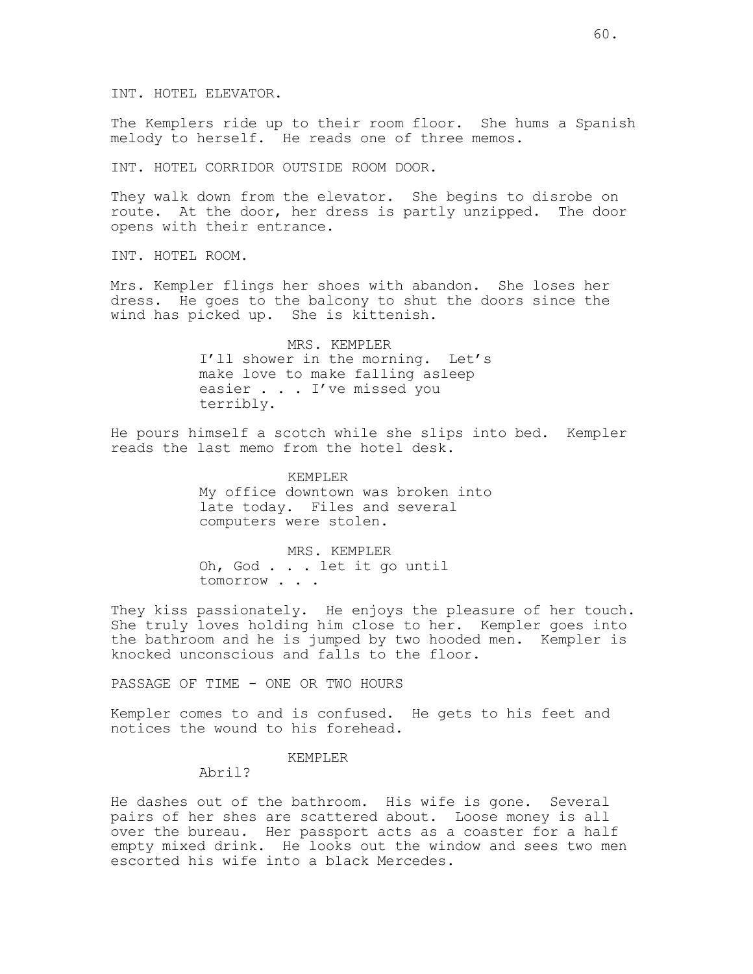INT. HOTEL ELEVATOR.

The Kemplers ride up to their room floor. She hums a Spanish melody to herself. He reads one of three memos.

INT. HOTEL CORRIDOR OUTSIDE ROOM DOOR.

They walk down from the elevator. She begins to disrobe on route. At the door, her dress is partly unzipped. The door opens with their entrance.

INT. HOTEL ROOM.

Mrs. Kempler flings her shoes with abandon. She loses her dress. He goes to the balcony to shut the doors since the wind has picked up. She is kittenish.

> MRS. KEMPLER I'll shower in the morning. Let's make love to make falling asleep easier . . . I've missed you terribly.

He pours himself a scotch while she slips into bed. Kempler reads the last memo from the hotel desk.

> KEMPLER My office downtown was broken into late today. Files and several computers were stolen.

MRS. KEMPLER Oh, God . . . let it go until tomorrow . . .

They kiss passionately. He enjoys the pleasure of her touch. She truly loves holding him close to her. Kempler goes into the bathroom and he is jumped by two hooded men. Kempler is knocked unconscious and falls to the floor.

PASSAGE OF TIME - ONE OR TWO HOURS

Kempler comes to and is confused. He gets to his feet and notices the wound to his forehead.

# KEMPLER

Abril?

He dashes out of the bathroom. His wife is gone. Several pairs of her shes are scattered about. Loose money is all over the bureau. Her passport acts as a coaster for a half empty mixed drink. He looks out the window and sees two men escorted his wife into a black Mercedes.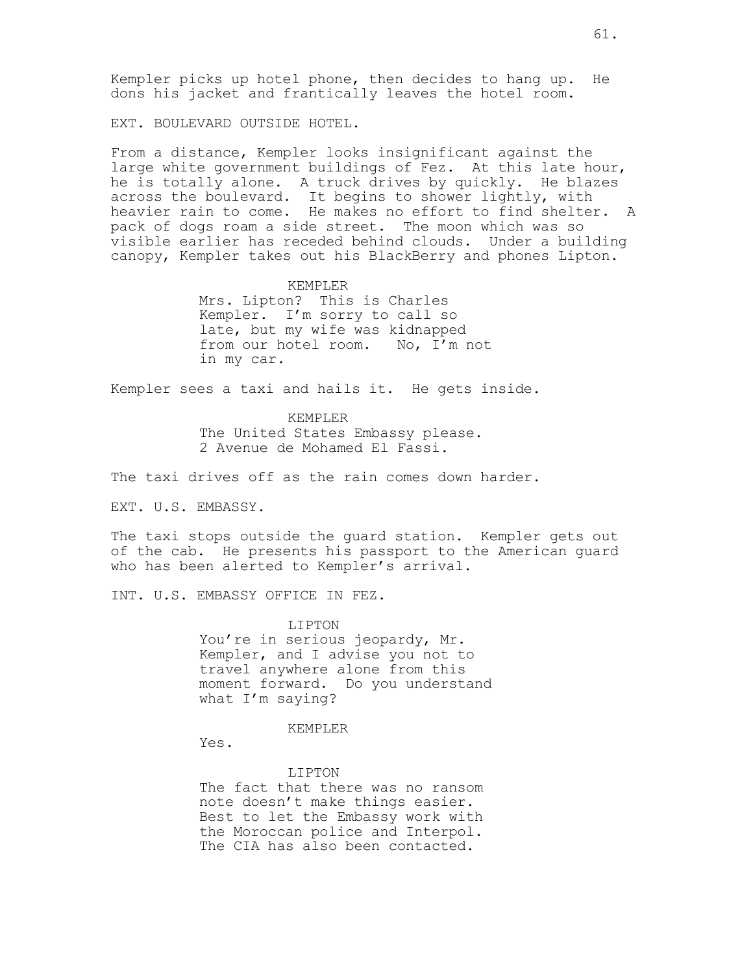Kempler picks up hotel phone, then decides to hang up. He dons his jacket and frantically leaves the hotel room.

EXT. BOULEVARD OUTSIDE HOTEL.

From a distance, Kempler looks insignificant against the large white government buildings of Fez. At this late hour, he is totally alone. A truck drives by quickly. He blazes across the boulevard. It begins to shower lightly, with heavier rain to come. He makes no effort to find shelter. A pack of dogs roam a side street. The moon which was so visible earlier has receded behind clouds. Under a building canopy, Kempler takes out his BlackBerry and phones Lipton.

#### KEMPLER

Mrs. Lipton? This is Charles Kempler. I'm sorry to call so late, but my wife was kidnapped from our hotel room. No, I'm not in my car.

Kempler sees a taxi and hails it. He gets inside.

#### KEMPLER

The United States Embassy please. 2 Avenue de Mohamed El Fassi.

The taxi drives off as the rain comes down harder.

EXT. U.S. EMBASSY.

The taxi stops outside the guard station. Kempler gets out of the cab. He presents his passport to the American guard who has been alerted to Kempler's arrival.

INT. U.S. EMBASSY OFFICE IN FEZ.

LIPTON You're in serious jeopardy, Mr. Kempler, and I advise you not to travel anywhere alone from this moment forward. Do you understand what I'm saying?

#### KEMPLER

Yes.

## LIPTON

The fact that there was no ransom note doesn't make things easier. Best to let the Embassy work with the Moroccan police and Interpol. The CIA has also been contacted.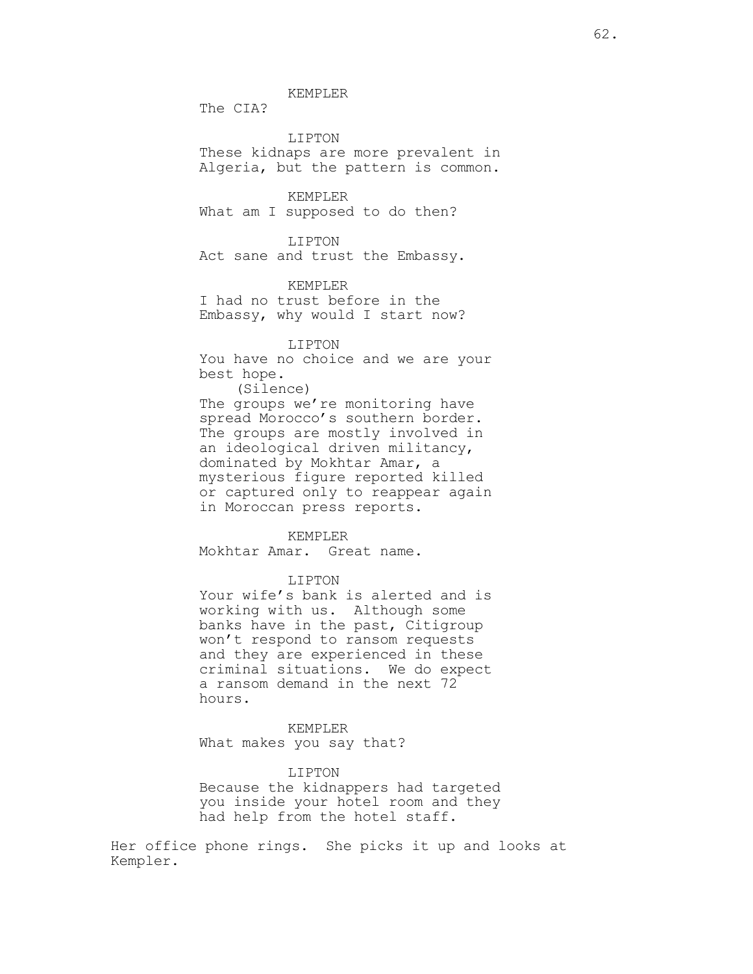KEMPLER

The CIA?

LIPTON These kidnaps are more prevalent in Algeria, but the pattern is common.

KEMPLER What am I supposed to do then?

LIPTON Act sane and trust the Embassy.

# KEMPLER

I had no trust before in the Embassy, why would I start now?

### LIPTON

You have no choice and we are your best hope. (Silence) The groups we're monitoring have spread Morocco's southern border. The groups are mostly involved in an ideological driven militancy, dominated by Mokhtar Amar, a mysterious figure reported killed or captured only to reappear again in Moroccan press reports.

#### KEMPLER

Mokhtar Amar. Great name.

## LIPTON

Your wife's bank is alerted and is working with us. Although some banks have in the past, Citigroup won't respond to ransom requests and they are experienced in these criminal situations. We do expect a ransom demand in the next 72 hours.

KEMPLER What makes you say that?

## LIPTON

Because the kidnappers had targeted you inside your hotel room and they had help from the hotel staff.

Her office phone rings. She picks it up and looks at Kempler.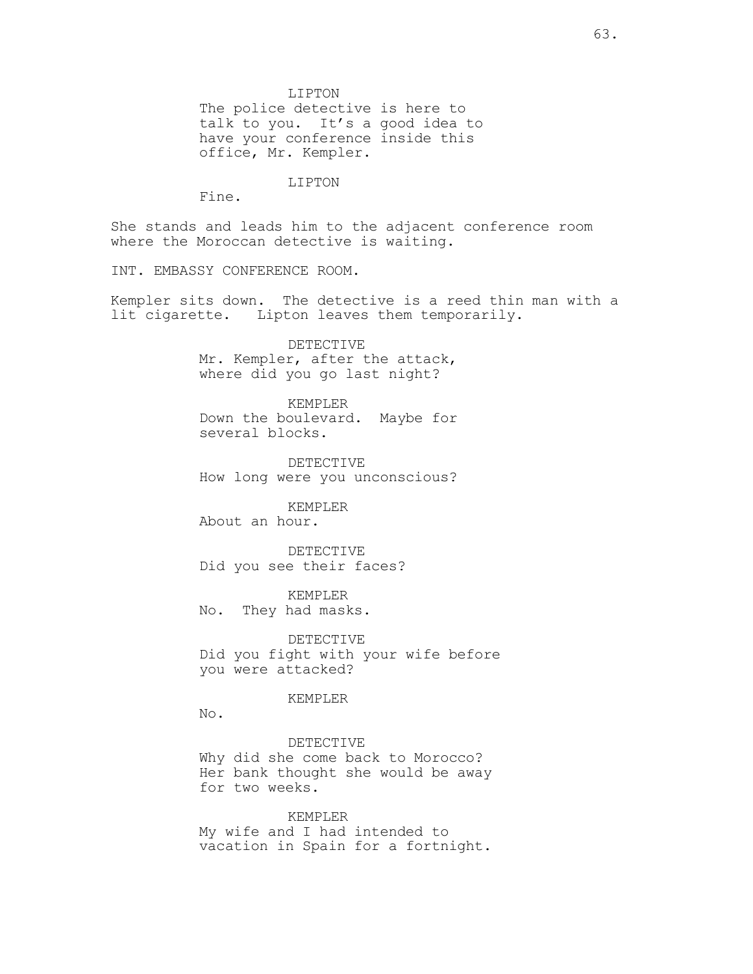LIPTON The police detective is here to talk to you. It's a good idea to have your conference inside this office, Mr. Kempler.

LIPTON

Fine.

She stands and leads him to the adjacent conference room where the Moroccan detective is waiting.

INT. EMBASSY CONFERENCE ROOM.

Kempler sits down. The detective is a reed thin man with a lit cigarette. Lipton leaves them temporarily.

> DETECTIVE Mr. Kempler, after the attack, where did you go last night?

KEMPLER Down the boulevard. Maybe for several blocks.

DETECTIVE How long were you unconscious?

KEMPLER About an hour.

DETECTIVE Did you see their faces?

KEMPLER No. They had masks.

DETECTIVE Did you fight with your wife before you were attacked?

## KEMPLER

No.

DETECTIVE Why did she come back to Morocco? Her bank thought she would be away for two weeks.

KEMPLER My wife and I had intended to vacation in Spain for a fortnight.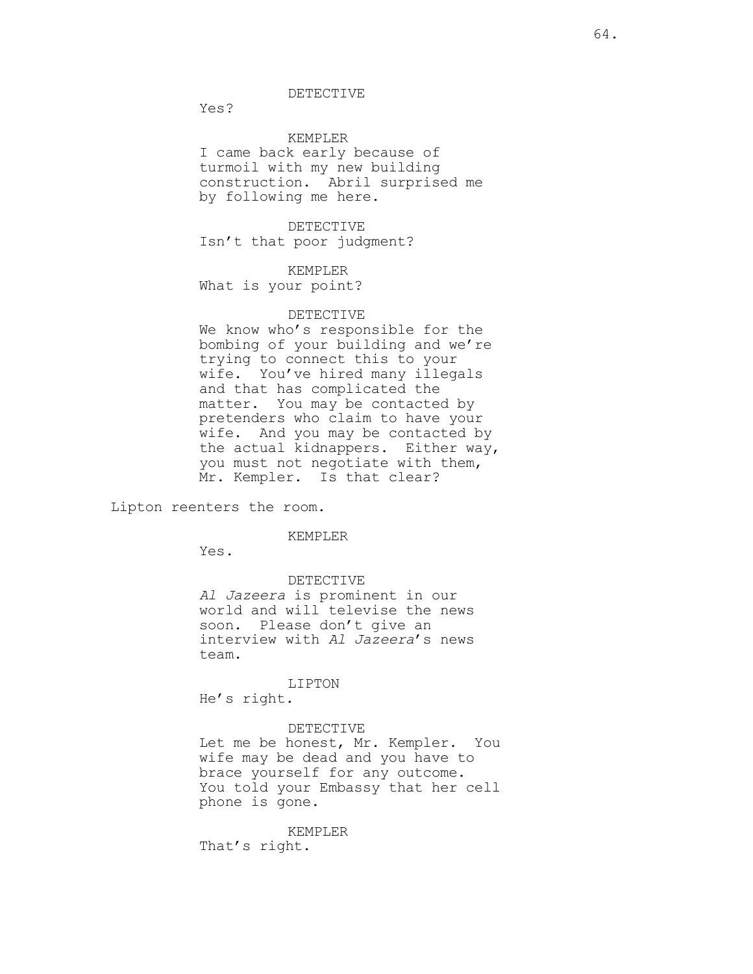DETECTIVE

Yes?

KEMPLER

I came back early because of turmoil with my new building construction. Abril surprised me by following me here.

DETECTIVE Isn't that poor judgment?

## KEMPLER

What is your point?

### DETECTIVE

We know who's responsible for the bombing of your building and we're trying to connect this to your wife. You've hired many illegals and that has complicated the matter. You may be contacted by pretenders who claim to have your wife. And you may be contacted by the actual kidnappers. Either way, you must not negotiate with them, Mr. Kempler. Is that clear?

Lipton reenters the room.

## KEMPLER

Yes.

#### DETECTIVE

Al Jazeera is prominent in our world and will televise the news soon. Please don't give an interview with Al Jazeera's news team.

#### LIPTON

He's right.

#### DETECTIVE

Let me be honest, Mr. Kempler. You wife may be dead and you have to brace yourself for any outcome. You told your Embassy that her cell phone is gone.

#### KEMPLER

That's right.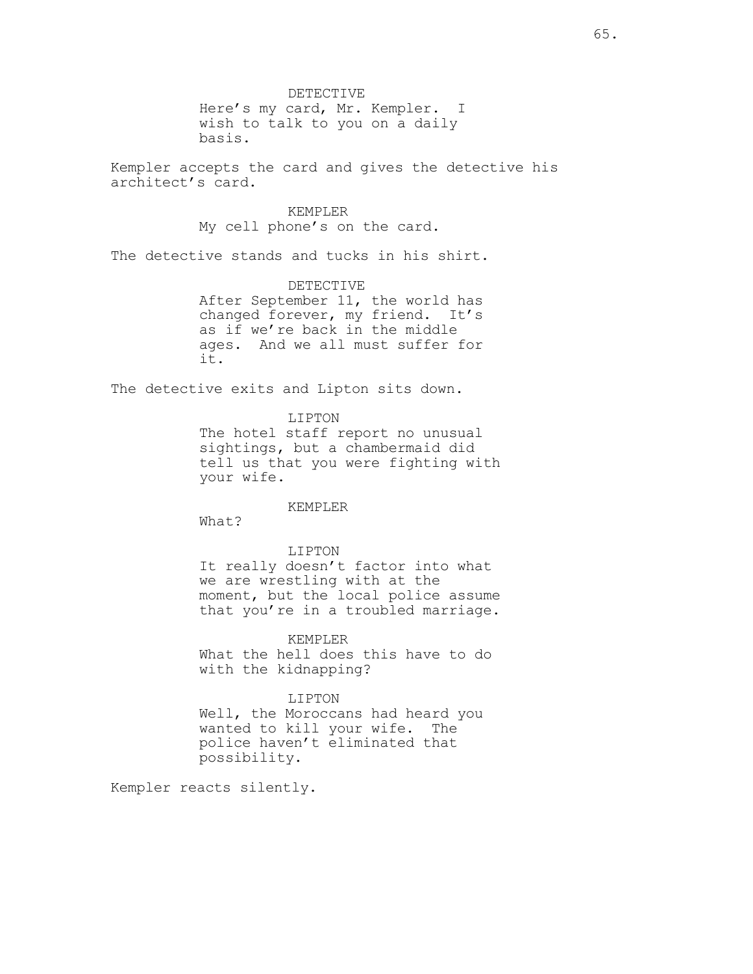DETECTIVE Here's my card, Mr. Kempler. I wish to talk to you on a daily basis.

Kempler accepts the card and gives the detective his architect's card.

> KEMPLER My cell phone's on the card.

The detective stands and tucks in his shirt.

DETECTIVE After September 11, the world has changed forever, my friend. It's as if we're back in the middle ages. And we all must suffer for it.

The detective exits and Lipton sits down.

LIPTON The hotel staff report no unusual sightings, but a chambermaid did tell us that you were fighting with your wife.

KEMPLER

What?

LIPTON It really doesn't factor into what we are wrestling with at the moment, but the local police assume that you're in a troubled marriage.

#### KEMPLER

What the hell does this have to do with the kidnapping?

# LIPTON

Well, the Moroccans had heard you wanted to kill your wife. The police haven't eliminated that possibility.

Kempler reacts silently.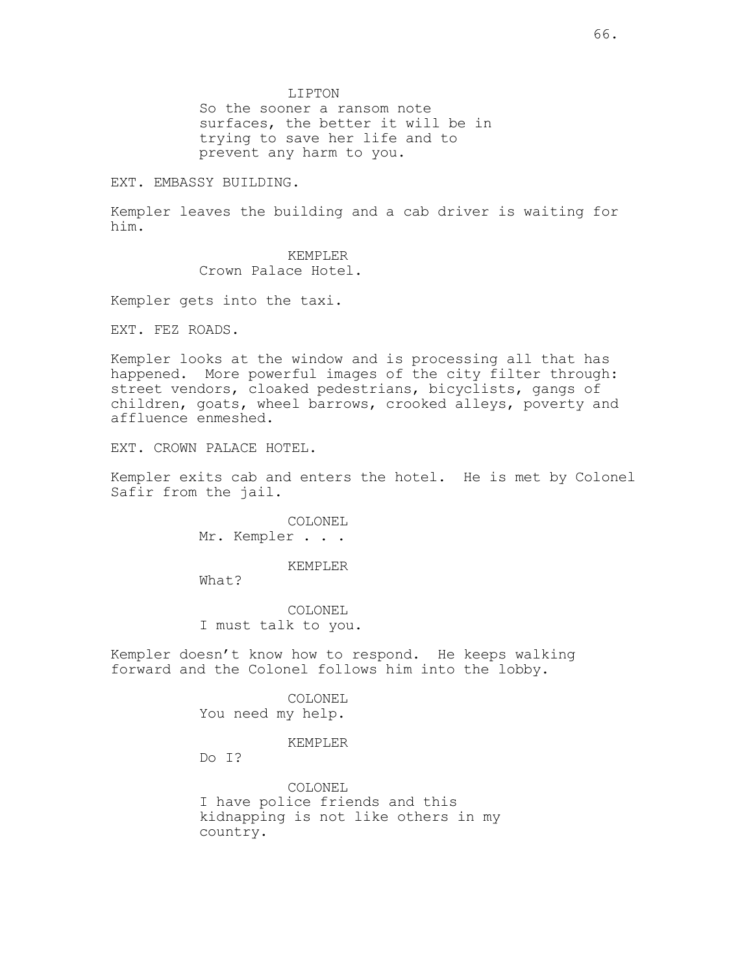LIPTON

So the sooner a ransom note surfaces, the better it will be in trying to save her life and to prevent any harm to you.

EXT. EMBASSY BUILDING.

Kempler leaves the building and a cab driver is waiting for him.

> KEMPLER Crown Palace Hotel.

Kempler gets into the taxi.

EXT. FEZ ROADS.

Kempler looks at the window and is processing all that has happened. More powerful images of the city filter through: street vendors, cloaked pedestrians, bicyclists, gangs of children, goats, wheel barrows, crooked alleys, poverty and affluence enmeshed.

EXT. CROWN PALACE HOTEL.

Kempler exits cab and enters the hotel. He is met by Colonel Safir from the jail.

> COLONEL Mr. Kempler . . .

> > KEMPLER

What?

COLONEL I must talk to you.

Kempler doesn't know how to respond. He keeps walking forward and the Colonel follows him into the lobby.

> COLONEL You need my help.

#### KEMPLER

Do I?

COLONEL I have police friends and this kidnapping is not like others in my country.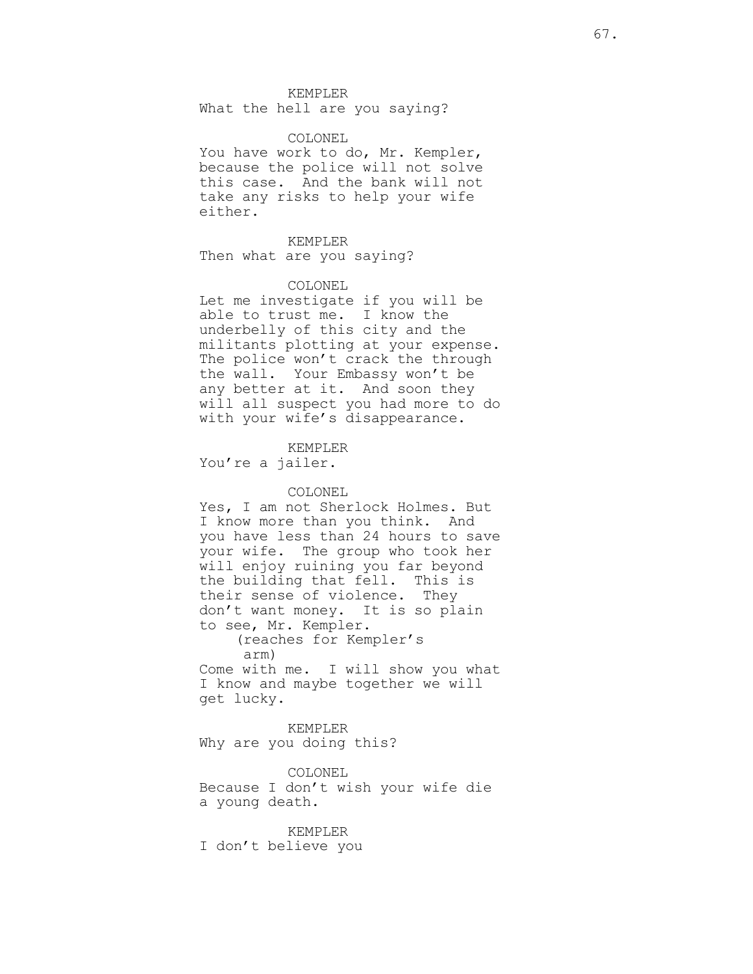KEMPLER

What the hell are you saying?

### COLONEL

You have work to do, Mr. Kempler, because the police will not solve this case. And the bank will not take any risks to help your wife either.

KEMPLER Then what are you saying?

### COLONEL

Let me investigate if you will be able to trust me. I know the underbelly of this city and the militants plotting at your expense. The police won't crack the through the wall. Your Embassy won't be any better at it. And soon they will all suspect you had more to do with your wife's disappearance.

KEMPLER You're a jailer.

### COLONEL

Yes, I am not Sherlock Holmes. But I know more than you think. And you have less than 24 hours to save your wife. The group who took her will enjoy ruining you far beyond the building that fell. This is their sense of violence. They don't want money. It is so plain to see, Mr. Kempler.

> (reaches for Kempler's arm)

Come with me. I will show you what I know and maybe together we will get lucky.

KEMPLER Why are you doing this?

COLONEL Because I don't wish your wife die a young death.

#### KEMPLER

I don't believe you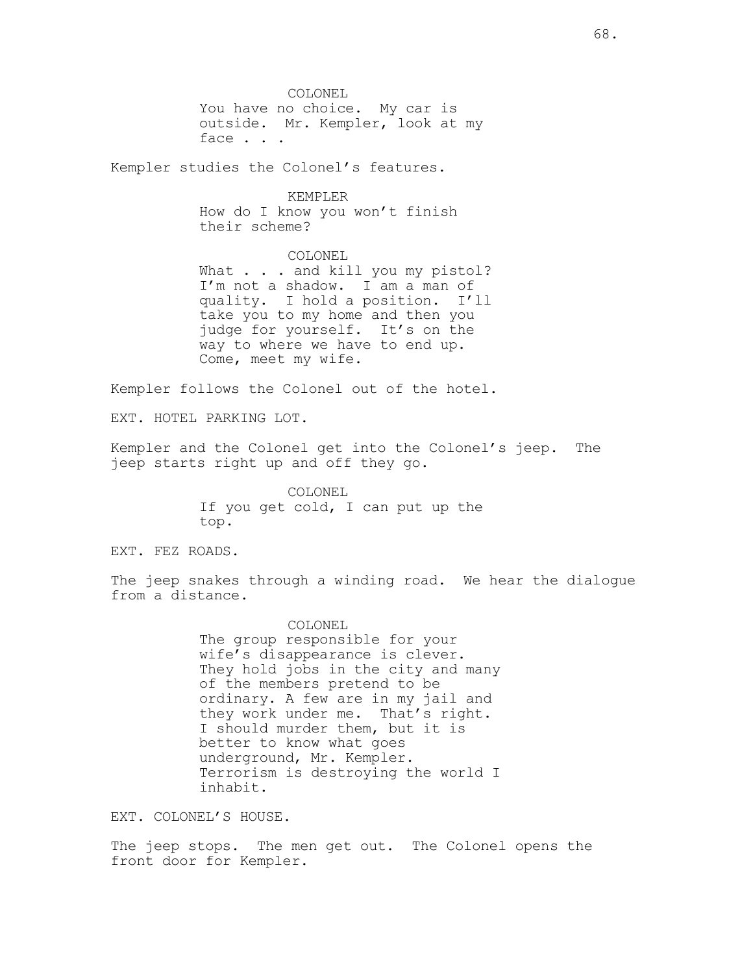COLONEL You have no choice. My car is outside. Mr. Kempler, look at my face . . .

Kempler studies the Colonel's features.

KEMPLER How do I know you won't finish

their scheme?

COLONEL

What . . . and kill you my pistol? I'm not a shadow. I am a man of quality. I hold a position. I'll take you to my home and then you judge for yourself. It's on the way to where we have to end up. Come, meet my wife.

Kempler follows the Colonel out of the hotel.

EXT. HOTEL PARKING LOT.

Kempler and the Colonel get into the Colonel's jeep. The jeep starts right up and off they go.

> COLONEL If you get cold, I can put up the top.

EXT. FEZ ROADS.

The jeep snakes through a winding road. We hear the dialogue from a distance.

> COLONEL The group responsible for your wife's disappearance is clever. They hold jobs in the city and many of the members pretend to be ordinary. A few are in my jail and they work under me. That's right. I should murder them, but it is better to know what goes underground, Mr. Kempler. Terrorism is destroying the world I inhabit.

EXT. COLONEL'S HOUSE.

The jeep stops. The men get out. The Colonel opens the front door for Kempler.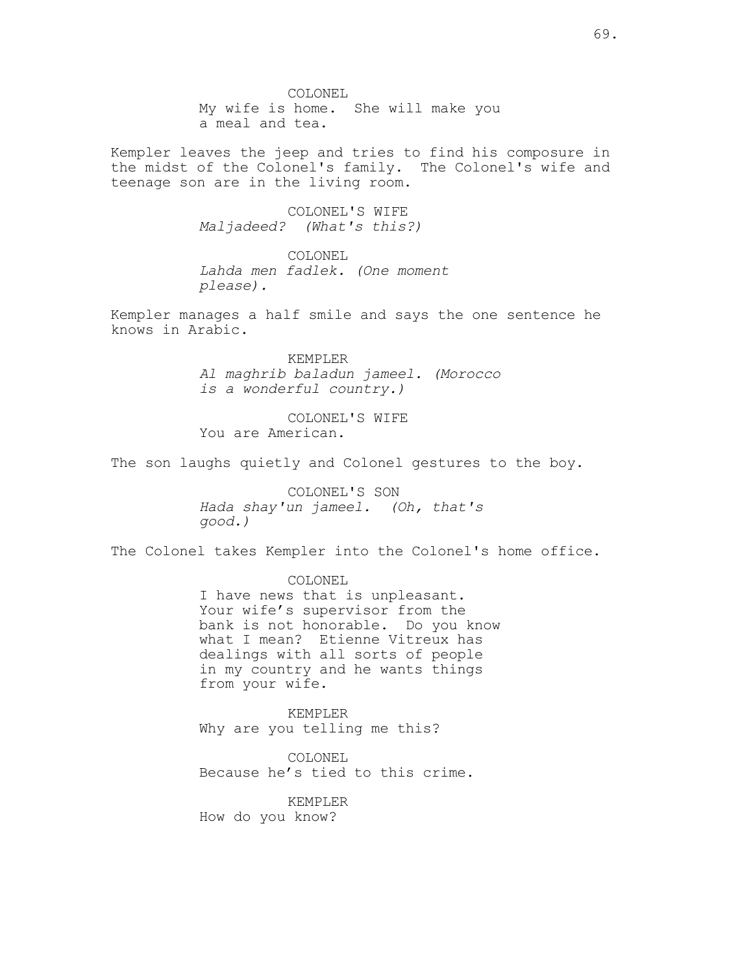COLONEL My wife is home. She will make you a meal and tea.

Kempler leaves the jeep and tries to find his composure in the midst of the Colonel's family. The Colonel's wife and teenage son are in the living room.

> COLONEL'S WIFE Maljadeed? (What's this?)

COLONEL Lahda men fadlek. (One moment please).

Kempler manages a half smile and says the one sentence he knows in Arabic.

> KEMPLER Al maghrib baladun jameel. (Morocco is a wonderful country.)

COLONEL'S WIFE You are American.

The son laughs quietly and Colonel gestures to the boy.

COLONEL'S SON Hada shay'un jameel. (Oh, that's good.)

The Colonel takes Kempler into the Colonel's home office.

COLONEL I have news that is unpleasant. Your wife's supervisor from the bank is not honorable. Do you know what I mean? Etienne Vitreux has dealings with all sorts of people in my country and he wants things from your wife.

KEMPLER Why are you telling me this?

COLONEL Because he's tied to this crime.

KEMPLER How do you know?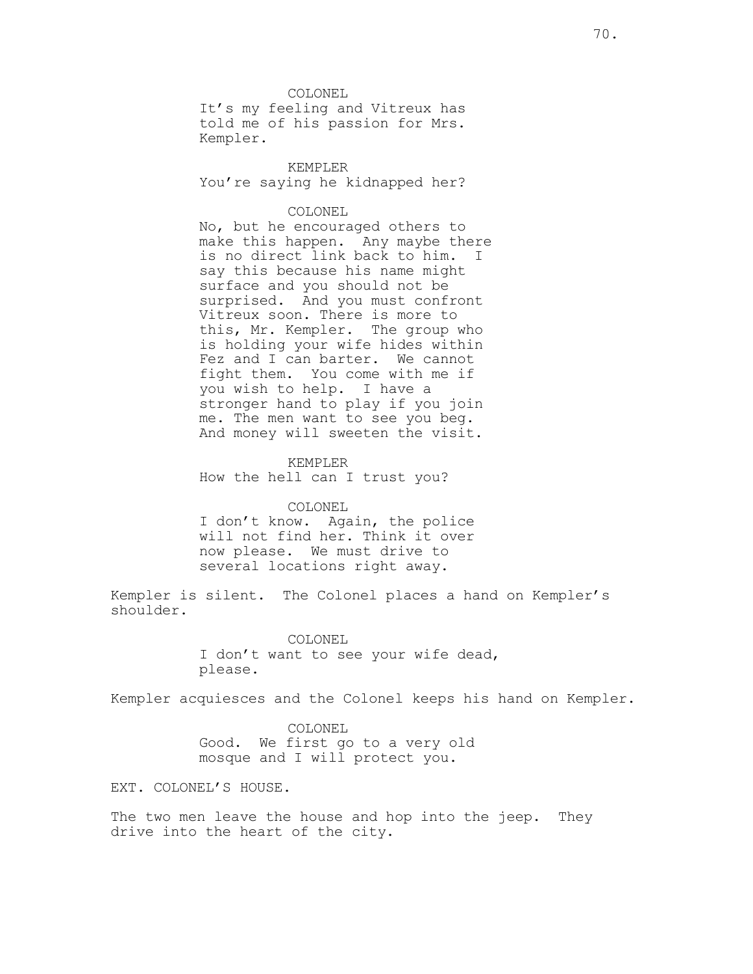COLONEL It's my feeling and Vitreux has told me of his passion for Mrs. Kempler.

KEMPLER You're saying he kidnapped her?

# COLONEL

No, but he encouraged others to make this happen. Any maybe there is no direct link back to him. I say this because his name might surface and you should not be surprised. And you must confront Vitreux soon. There is more to this, Mr. Kempler. The group who is holding your wife hides within Fez and I can barter. We cannot fight them. You come with me if you wish to help. I have a stronger hand to play if you join me. The men want to see you beg. And money will sweeten the visit.

#### KEMPLER

How the hell can I trust you?

#### COLONEL

I don't know. Again, the police will not find her. Think it over now please. We must drive to several locations right away.

Kempler is silent. The Colonel places a hand on Kempler's shoulder.

#### COLONEL

I don't want to see your wife dead, please.

Kempler acquiesces and the Colonel keeps his hand on Kempler.

COLONEL Good. We first go to a very old mosque and I will protect you.

EXT. COLONEL'S HOUSE.

The two men leave the house and hop into the jeep. They drive into the heart of the city.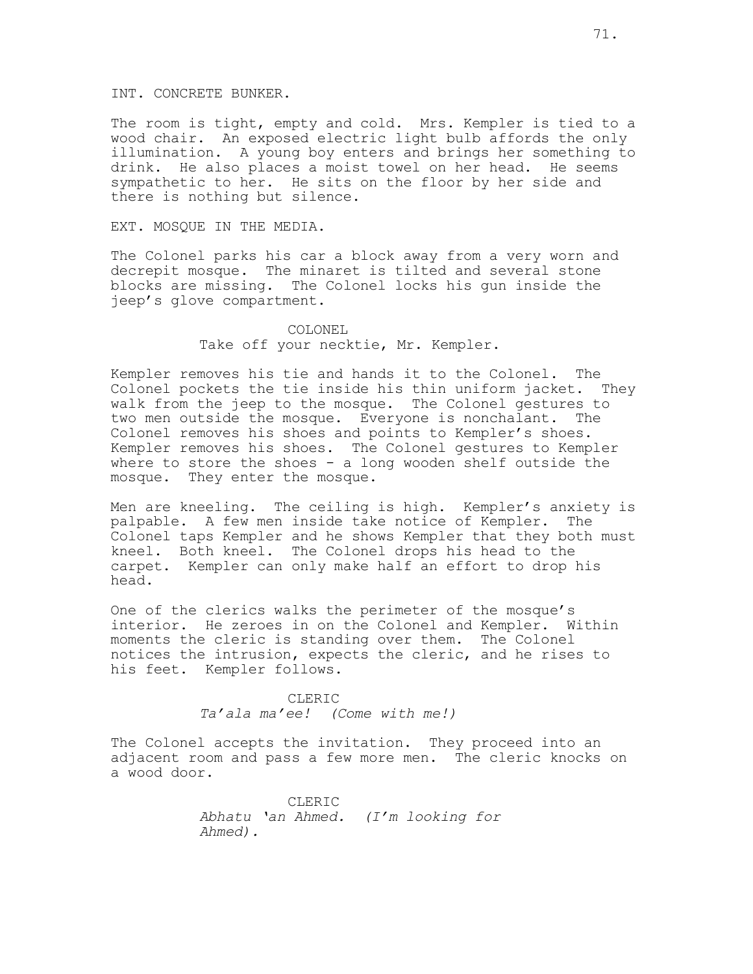INT. CONCRETE BUNKER.

The room is tight, empty and cold. Mrs. Kempler is tied to a wood chair. An exposed electric light bulb affords the only illumination. A young boy enters and brings her something to drink. He also places a moist towel on her head. He seems sympathetic to her. He sits on the floor by her side and there is nothing but silence.

## EXT. MOSQUE IN THE MEDIA.

The Colonel parks his car a block away from a very worn and decrepit mosque. The minaret is tilted and several stone blocks are missing. The Colonel locks his gun inside the jeep's glove compartment.

## COLONEL Take off your necktie, Mr. Kempler.

Kempler removes his tie and hands it to the Colonel. The Colonel pockets the tie inside his thin uniform jacket. They walk from the jeep to the mosque. The Colonel gestures to two men outside the mosque. Everyone is nonchalant. The Colonel removes his shoes and points to Kempler's shoes. Kempler removes his shoes. The Colonel gestures to Kempler where to store the shoes - a long wooden shelf outside the mosque. They enter the mosque.

Men are kneeling. The ceiling is high. Kempler's anxiety is palpable. A few men inside take notice of Kempler. The Colonel taps Kempler and he shows Kempler that they both must kneel. Both kneel. The Colonel drops his head to the carpet. Kempler can only make half an effort to drop his head.

One of the clerics walks the perimeter of the mosque's interior. He zeroes in on the Colonel and Kempler. Within moments the cleric is standing over them. The Colonel notices the intrusion, expects the cleric, and he rises to his feet. Kempler follows.

> CLERIC Ta'ala ma'ee! (Come with me!)

The Colonel accepts the invitation. They proceed into an adjacent room and pass a few more men. The cleric knocks on a wood door.

> CLERIC Abhatu 'an Ahmed. (I'm looking for Ahmed).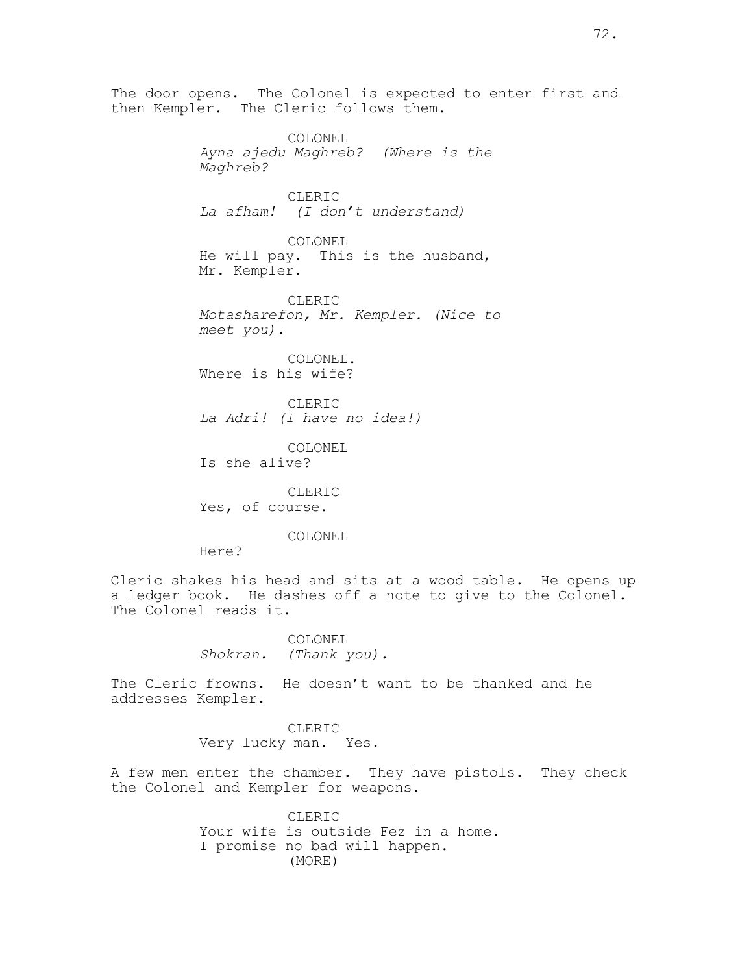then Kempler. The Cleric follows them. COLONEL Ayna ajedu Maghreb? (Where is the Maghreb? CLERIC La afham! (I don't understand) COLONEL He will pay. This is the husband, Mr. Kempler. CLERIC Motasharefon, Mr. Kempler. (Nice to meet you). COLONEL. Where is his wife? CLERIC La Adri! (I have no idea!) COLONEL Is she alive? CLERIC Yes, of course. COLONEL Here? Cleric shakes his head and sits at a wood table. He opens up a ledger book. He dashes off a note to give to the Colonel. The Colonel reads it. COLONEL Shokran. (Thank you). The Cleric frowns. He doesn't want to be thanked and he addresses Kempler. CLERIC Very lucky man. Yes. A few men enter the chamber. They have pistols. They check the Colonel and Kempler for weapons. CLERIC Your wife is outside Fez in a home. I promise no bad will happen. (MORE)

The door opens. The Colonel is expected to enter first and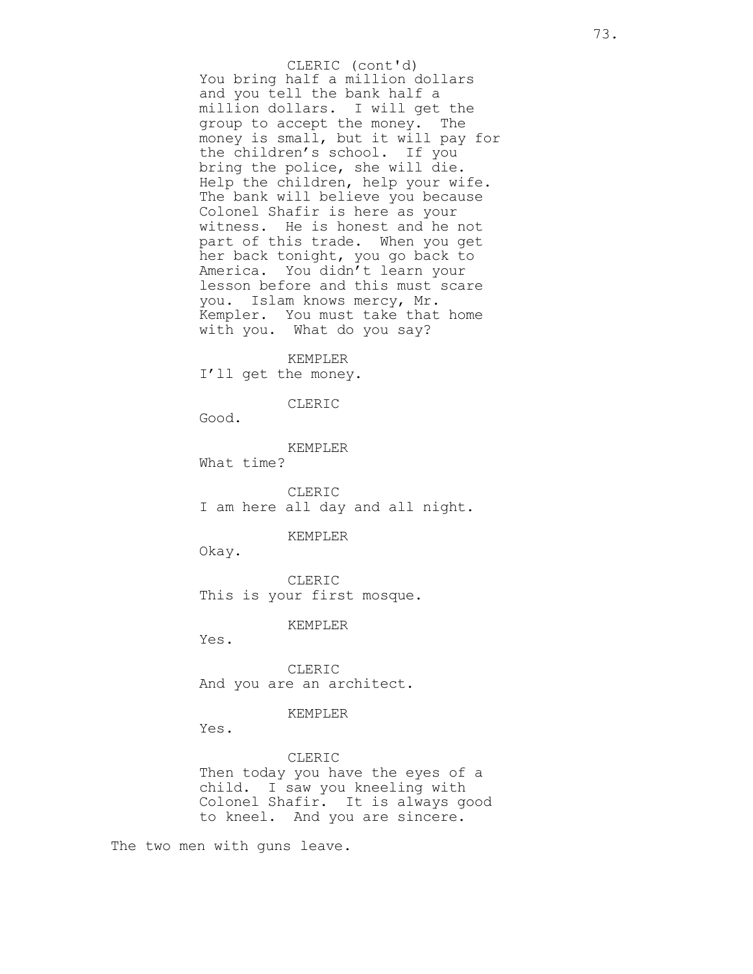You bring half a million dollars and you tell the bank half a million dollars. I will get the group to accept the money. The money is small, but it will pay for the children's school. If you bring the police, she will die. Help the children, help your wife. The bank will believe you because Colonel Shafir is here as your witness. He is honest and he not part of this trade. When you get her back tonight, you go back to America. You didn't learn your lesson before and this must scare you. Islam knows mercy, Mr. Kempler. You must take that home with you. What do you say? CLERIC (cont'd)

KEMPLER

I'll get the money.

CLERIC

Good.

KEMPLER What time?

CLERIC I am here all day and all night.

## KEMPLER

Okay.

CLERIC This is your first mosque.

### KEMPLER

Yes.

CLERIC And you are an architect.

## KEMPLER

Yes.

CLERIC Then today you have the eyes of a child. I saw you kneeling with Colonel Shafir. It is always good to kneel. And you are sincere.

The two men with guns leave.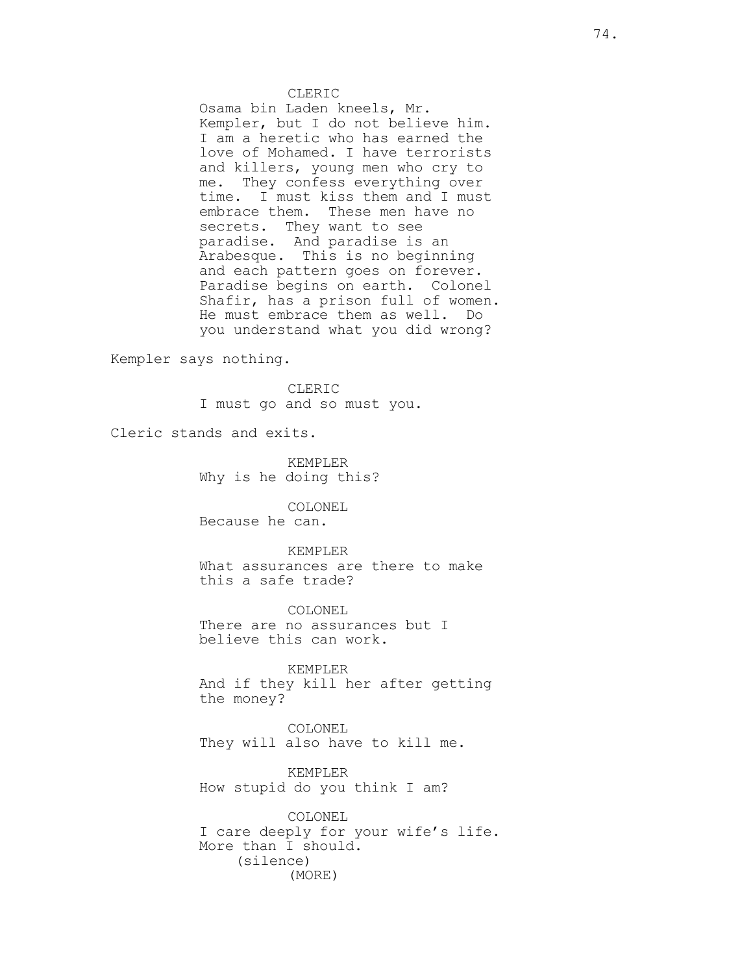#### CLERIC

Osama bin Laden kneels, Mr. Kempler, but I do not believe him. I am a heretic who has earned the love of Mohamed. I have terrorists and killers, young men who cry to me. They confess everything over time. I must kiss them and I must embrace them. These men have no secrets. They want to see paradise. And paradise is an Arabesque. This is no beginning and each pattern goes on forever. Paradise begins on earth. Colonel Shafir, has a prison full of women. He must embrace them as well. Do you understand what you did wrong?

Kempler says nothing.

CLERIC I must go and so must you.

Cleric stands and exits.

KEMPLER Why is he doing this?

COLONEL Because he can.

KEMPLER What assurances are there to make this a safe trade?

COLONEL There are no assurances but I believe this can work.

KEMPLER And if they kill her after getting the money?

COLONEL They will also have to kill me.

KEMPLER How stupid do you think I am?

COLONEL I care deeply for your wife's life. More than I should. (silence) (MORE)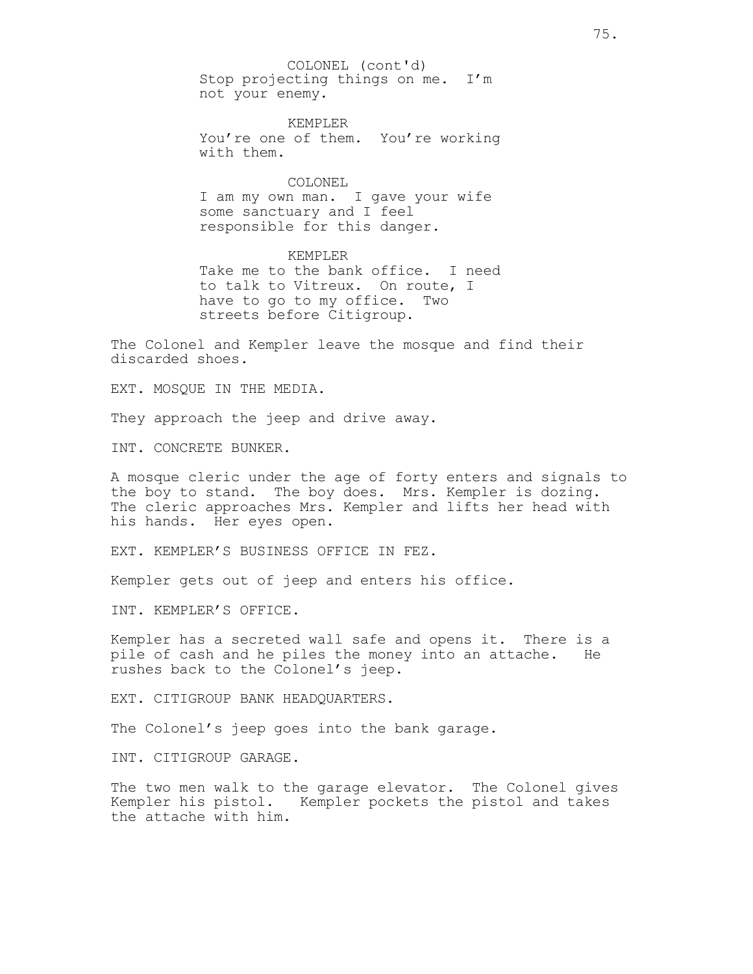Stop projecting things on me. I'm not your enemy. COLONEL (cont'd)

KEMPLER You're one of them. You're working with them.

## COLONEL

I am my own man. I gave your wife some sanctuary and I feel responsible for this danger.

KEMPLER Take me to the bank office. I need to talk to Vitreux. On route, I have to go to my office. Two streets before Citigroup.

The Colonel and Kempler leave the mosque and find their discarded shoes.

EXT. MOSQUE IN THE MEDIA.

They approach the jeep and drive away.

INT. CONCRETE BUNKER.

A mosque cleric under the age of forty enters and signals to the boy to stand. The boy does. Mrs. Kempler is dozing. The cleric approaches Mrs. Kempler and lifts her head with his hands. Her eyes open.

EXT. KEMPLER'S BUSINESS OFFICE IN FEZ.

Kempler gets out of jeep and enters his office.

INT. KEMPLER'S OFFICE.

Kempler has a secreted wall safe and opens it. There is a pile of cash and he piles the money into an attache. He rushes back to the Colonel's jeep.

EXT. CITIGROUP BANK HEADQUARTERS.

The Colonel's jeep goes into the bank garage.

INT. CITIGROUP GARAGE.

The two men walk to the garage elevator. The Colonel gives Kempler his pistol. Kempler pockets the pistol and takes the attache with him.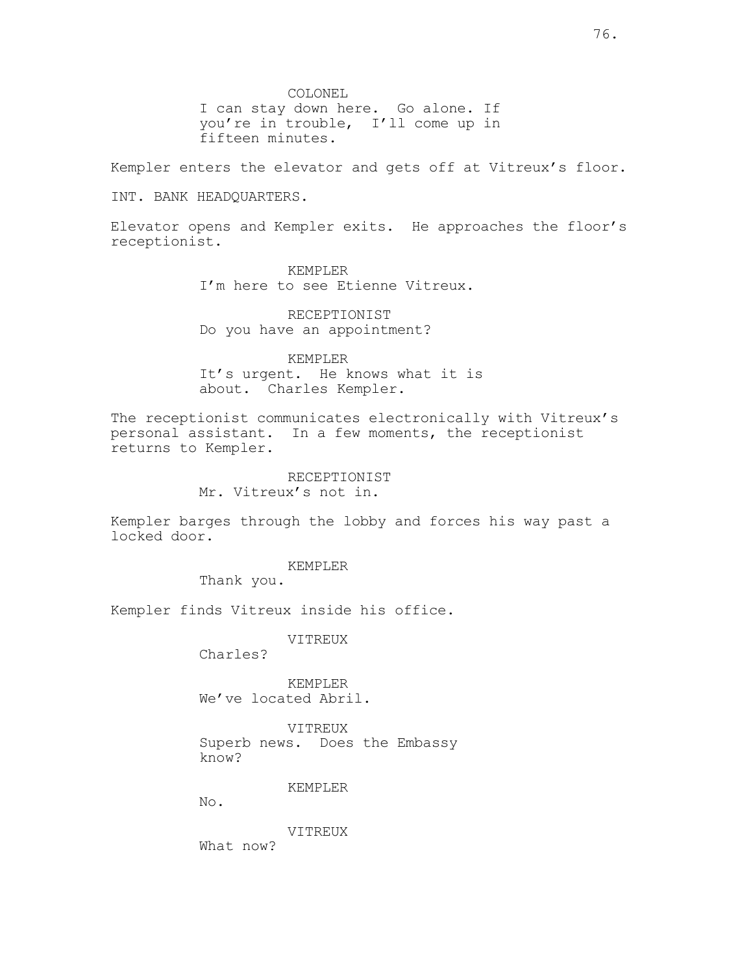COLONEL

I can stay down here. Go alone. If you're in trouble, I'll come up in fifteen minutes.

Kempler enters the elevator and gets off at Vitreux's floor.

INT. BANK HEADQUARTERS.

Elevator opens and Kempler exits. He approaches the floor's receptionist.

> KEMPLER I'm here to see Etienne Vitreux.

RECEPTIONIST Do you have an appointment?

KEMPLER It's urgent. He knows what it is about. Charles Kempler.

The receptionist communicates electronically with Vitreux's personal assistant. In a few moments, the receptionist returns to Kempler.

## RECEPTIONIST

Mr. Vitreux's not in.

Kempler barges through the lobby and forces his way past a locked door.

KEMPLER

Thank you.

Kempler finds Vitreux inside his office.

VITREUX

Charles?

KEMPLER We've located Abril.

VITREUX Superb news. Does the Embassy know?

#### KEMPLER

No.

VITREUX

What now?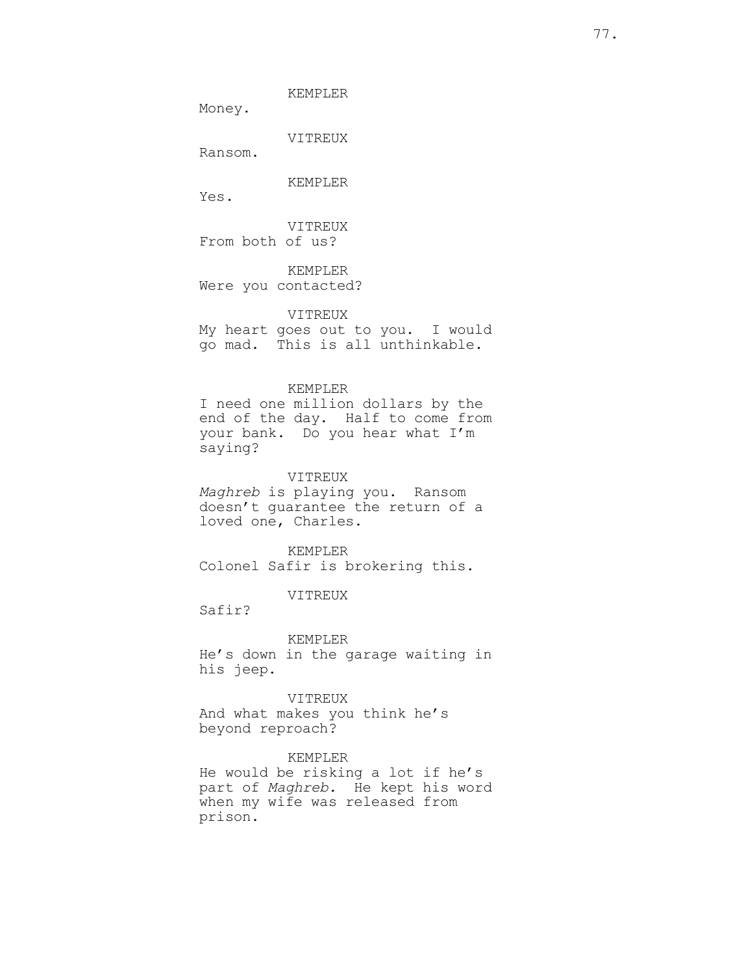KEMPLER

Money.

VITREUX

Ransom.

KEMPLER

Yes.

VITREUX From both of us?

KEMPLER Were you contacted?

VITREUX

My heart goes out to you. I would go mad. This is all unthinkable.

### KEMPLER

I need one million dollars by the end of the day. Half to come from your bank. Do you hear what I'm saying?

## VITREUX

Maghreb is playing you. Ransom doesn't guarantee the return of a loved one, Charles.

KEMPLER

Colonel Safir is brokering this.

# VITREUX

Safir?

KEMPLER

He's down in the garage waiting in his jeep.

VITREUX And what makes you think he's beyond reproach?

# KEMPLER

He would be risking a lot if he's part of Maghreb. He kept his word when my wife was released from prison.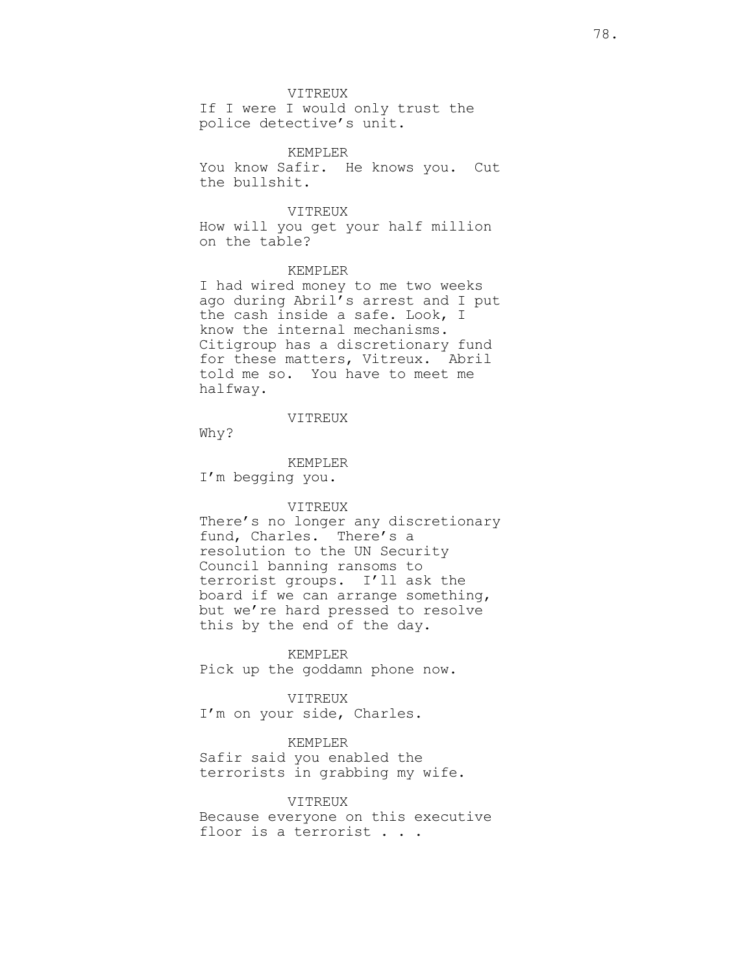VITREUX

If I were I would only trust the police detective's unit.

KEMPLER You know Safir. He knows you. Cut the bullshit.

VITREUX

How will you get your half million on the table?

# KEMPLER

I had wired money to me two weeks ago during Abril's arrest and I put the cash inside a safe. Look, I know the internal mechanisms. Citigroup has a discretionary fund for these matters, Vitreux. Abril told me so. You have to meet me halfway.

VITREUX

Why?

KEMPLER

I'm begging you.

## VITREUX

There's no longer any discretionary fund, Charles. There's a resolution to the UN Security Council banning ransoms to terrorist groups. I'll ask the board if we can arrange something, but we're hard pressed to resolve this by the end of the day.

KEMPLER

Pick up the goddamn phone now.

VITREUX

I'm on your side, Charles.

KEMPLER

Safir said you enabled the terrorists in grabbing my wife.

#### VITREUX

Because everyone on this executive floor is a terrorist . . .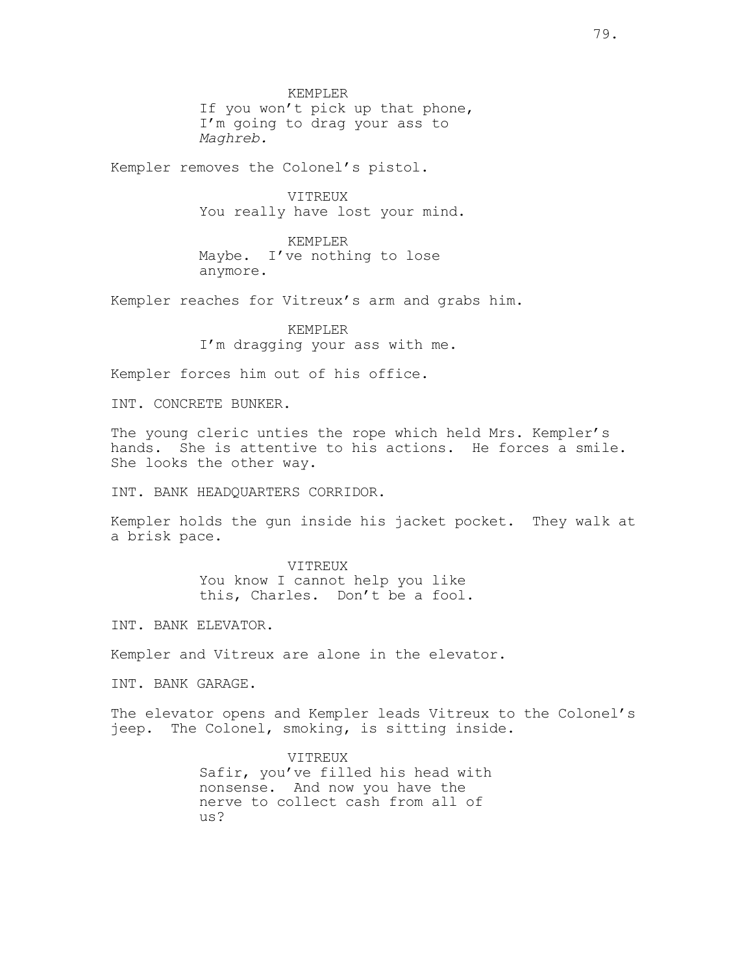KEMPLER If you won't pick up that phone, I'm going to drag your ass to Maghreb.

Kempler removes the Colonel's pistol.

VITREUX You really have lost your mind.

KEMPLER Maybe. I've nothing to lose anymore.

Kempler reaches for Vitreux's arm and grabs him.

KEMPLER I'm dragging your ass with me.

Kempler forces him out of his office.

INT. CONCRETE BUNKER.

The young cleric unties the rope which held Mrs. Kempler's hands. She is attentive to his actions. He forces a smile. She looks the other way.

INT. BANK HEADQUARTERS CORRIDOR.

Kempler holds the gun inside his jacket pocket. They walk at a brisk pace.

> VITREUX You know I cannot help you like this, Charles. Don't be a fool.

INT. BANK ELEVATOR.

Kempler and Vitreux are alone in the elevator.

INT. BANK GARAGE.

The elevator opens and Kempler leads Vitreux to the Colonel's jeep. The Colonel, smoking, is sitting inside.

> VITREUX Safir, you've filled his head with nonsense. And now you have the nerve to collect cash from all of us?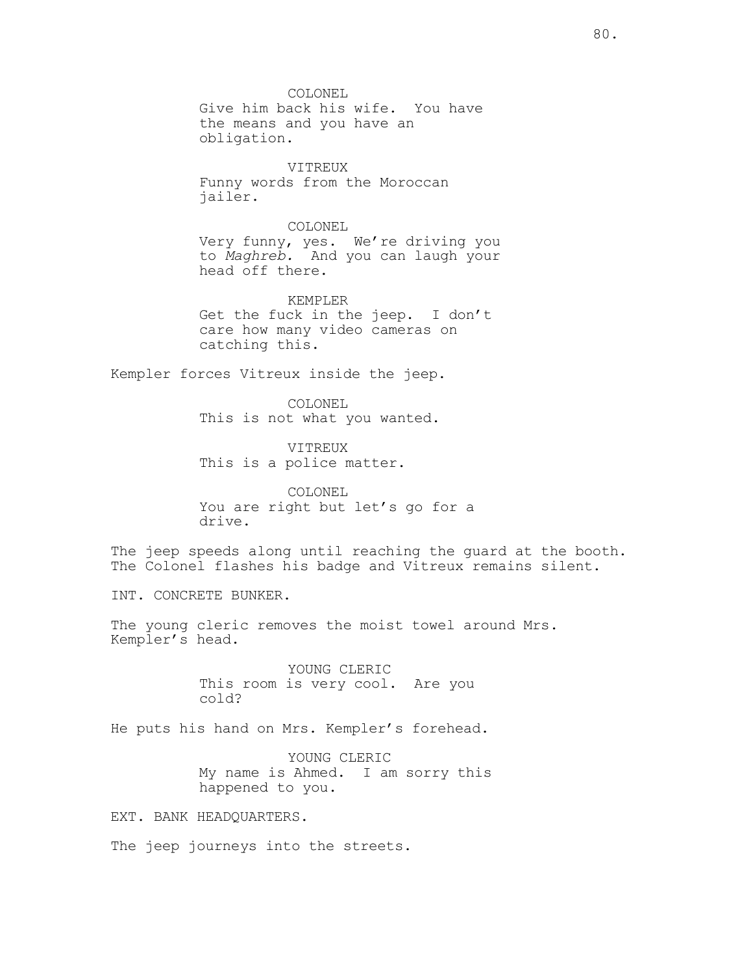COLONEL Give him back his wife. You have the means and you have an obligation.

VITREUX Funny words from the Moroccan jailer.

COLONEL Very funny, yes. We're driving you to Maghreb. And you can laugh your head off there.

KEMPLER Get the fuck in the jeep. I don't care how many video cameras on catching this.

Kempler forces Vitreux inside the jeep.

COLONEL This is not what you wanted.

VITREUX This is a police matter.

COLONEL You are right but let's go for a drive.

The jeep speeds along until reaching the guard at the booth. The Colonel flashes his badge and Vitreux remains silent.

INT. CONCRETE BUNKER.

The young cleric removes the moist towel around Mrs. Kempler's head.

> YOUNG CLERIC This room is very cool. Are you cold?

He puts his hand on Mrs. Kempler's forehead.

YOUNG CLERIC My name is Ahmed. I am sorry this happened to you.

EXT. BANK HEADQUARTERS.

The jeep journeys into the streets.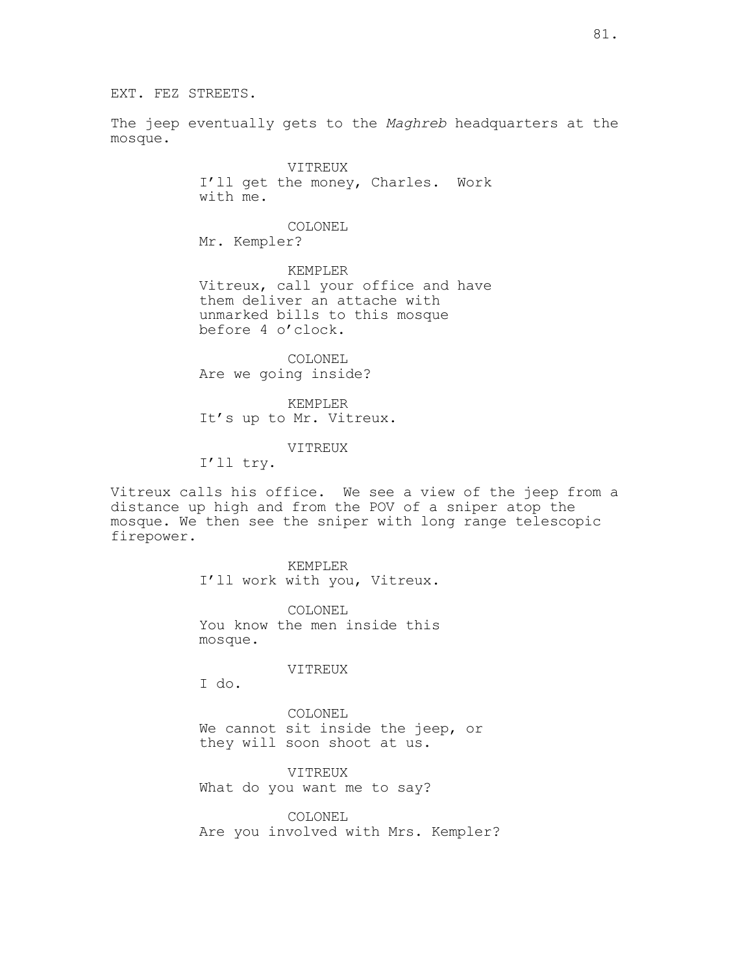The jeep eventually gets to the Maghreb headquarters at the mosque.

> VITREUX I'll get the money, Charles. Work with me.

COLONEL Mr. Kempler?

KEMPLER Vitreux, call your office and have them deliver an attache with unmarked bills to this mosque before 4 o'clock.

COLONEL Are we going inside?

KEMPLER It's up to Mr. Vitreux.

VITREUX

I'll try.

Vitreux calls his office. We see a view of the jeep from a distance up high and from the POV of a sniper atop the mosque. We then see the sniper with long range telescopic firepower.

> KEMPLER I'll work with you, Vitreux.

COLONEL You know the men inside this mosque.

VITREUX

I do.

COLONEL We cannot sit inside the jeep, or they will soon shoot at us.

VITREUX What do you want me to say?

COLONEL Are you involved with Mrs. Kempler?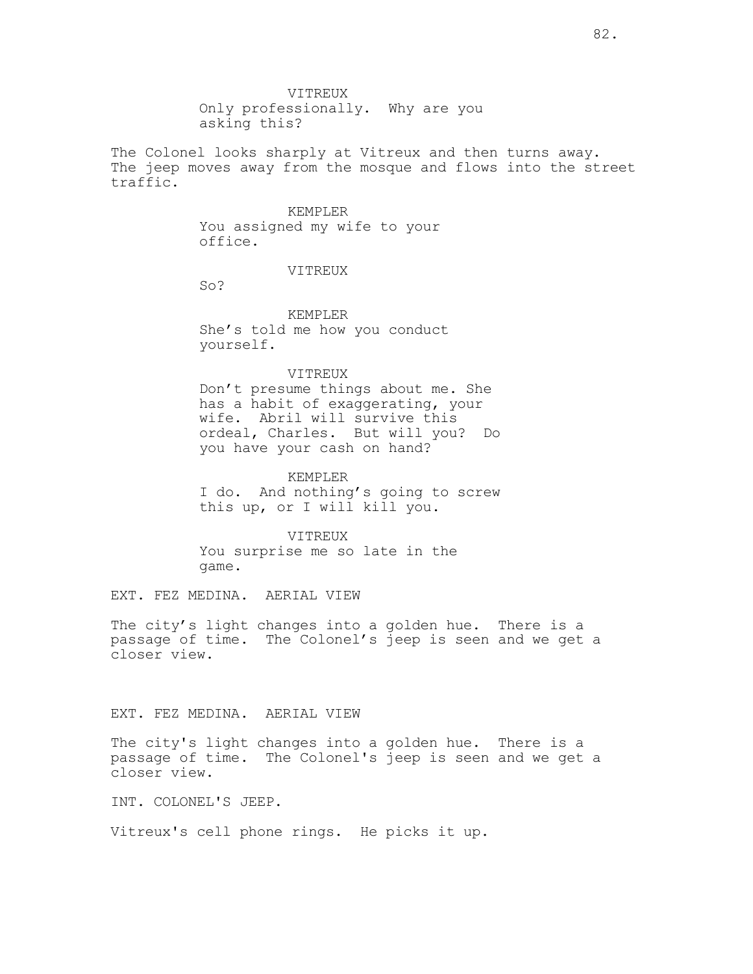Only professionally. Why are you asking this?

The Colonel looks sharply at Vitreux and then turns away. The jeep moves away from the mosque and flows into the street traffic.

## KEMPLER

You assigned my wife to your office.

## VITREUX

So?

KEMPLER She's told me how you conduct yourself.

## VITREUX

Don't presume things about me. She has a habit of exaggerating, your wife. Abril will survive this ordeal, Charles. But will you? Do you have your cash on hand?

#### KEMPLER

I do. And nothing's going to screw this up, or I will kill you.

VITREUX You surprise me so late in the game.

EXT. FEZ MEDINA. AERIAL VIEW

The city's light changes into a golden hue. There is a passage of time. The Colonel's jeep is seen and we get a closer view.

## EXT. FEZ MEDINA. AERIAL VIEW

The city's light changes into a golden hue. There is a passage of time. The Colonel's jeep is seen and we get a closer view.

INT. COLONEL'S JEEP.

Vitreux's cell phone rings. He picks it up.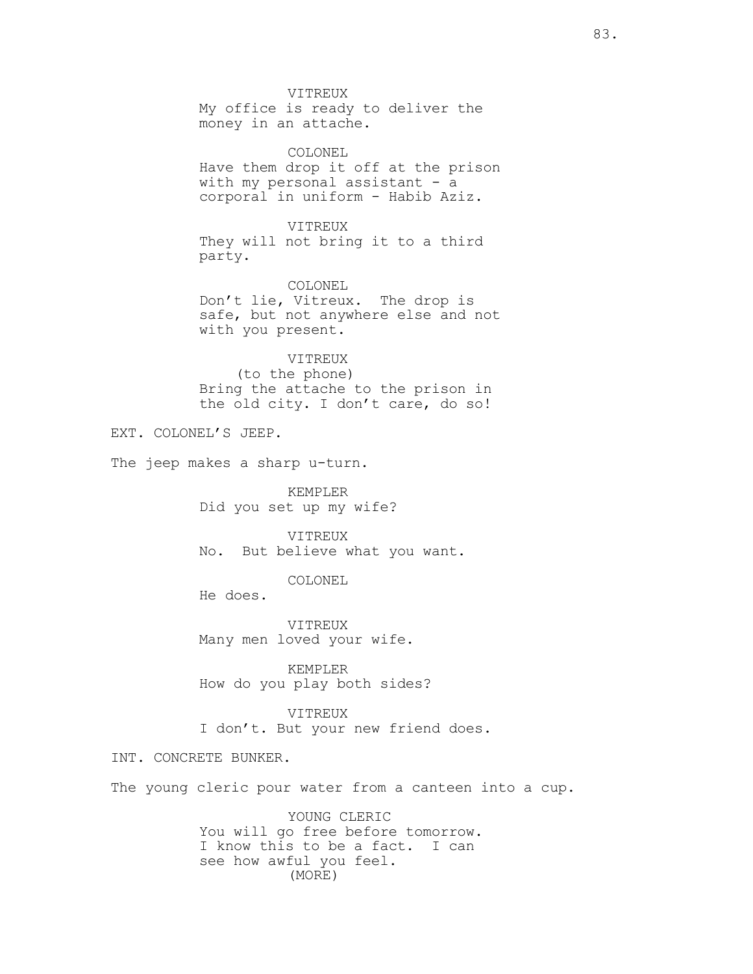VITREUX My office is ready to deliver the money in an attache. COLONEL Have them drop it off at the prison with my personal assistant - a corporal in uniform - Habib Aziz. VITREUX They will not bring it to a third party. COLONEL Don't lie, Vitreux. The drop is safe, but not anywhere else and not with you present. VITREUX (to the phone) Bring the attache to the prison in the old city. I don't care, do so! EXT. COLONEL'S JEEP. The jeep makes a sharp u-turn. KEMPLER Did you set up my wife? VITREUX No. But believe what you want. COLONEL He does. VITREUX Many men loved your wife. KEMPLER How do you play both sides? VITREUX I don't. But your new friend does. INT. CONCRETE BUNKER. The young cleric pour water from a canteen into a cup. YOUNG CLERIC You will go free before tomorrow. I know this to be a fact. I can

see how awful you feel.

(MORE)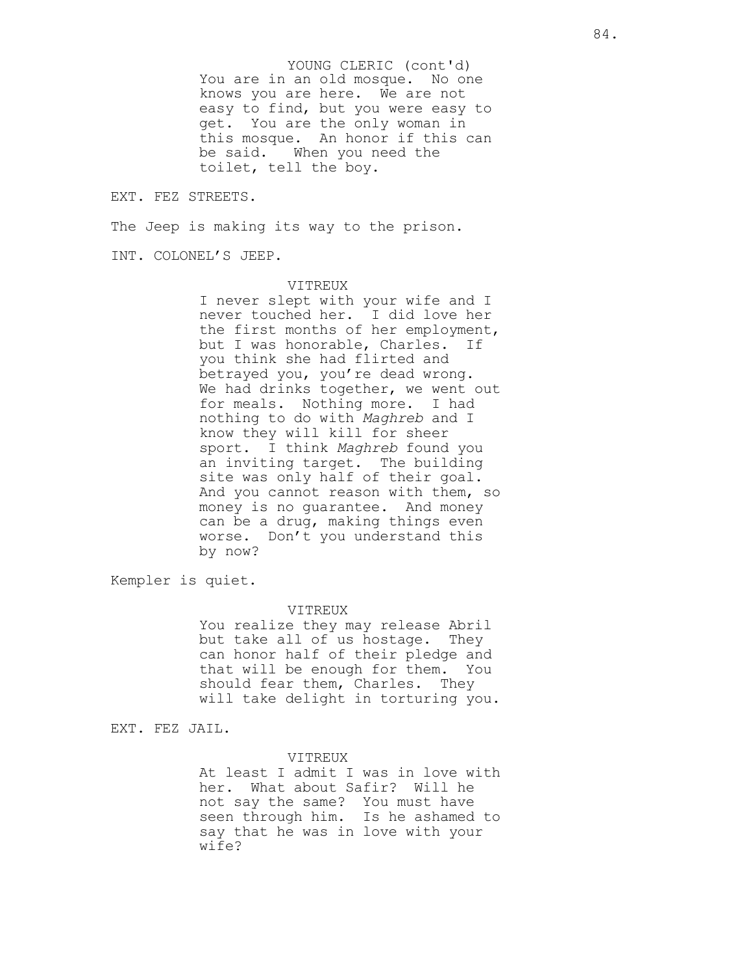You are in an old mosque. No one knows you are here. We are not easy to find, but you were easy to get. You are the only woman in this mosque. An honor if this can be said. When you need the toilet, tell the boy. YOUNG CLERIC (cont'd)

#### EXT. FEZ STREETS.

The Jeep is making its way to the prison.

INT. COLONEL'S JEEP.

#### VITREUX

I never slept with your wife and I never touched her. I did love her the first months of her employment, but I was honorable, Charles. If you think she had flirted and betrayed you, you're dead wrong. We had drinks together, we went out for meals. Nothing more. I had nothing to do with Maghreb and I know they will kill for sheer sport. I think Maghreb found you an inviting target. The building site was only half of their goal. And you cannot reason with them, so money is no guarantee. And money can be a drug, making things even worse. Don't you understand this by now?

Kempler is quiet.

#### VITREUX

You realize they may release Abril but take all of us hostage. They can honor half of their pledge and that will be enough for them. You should fear them, Charles. They will take delight in torturing you.

EXT. FEZ JAIL.

#### VITREUX

At least I admit I was in love with her. What about Safir? Will he not say the same? You must have seen through him. Is he ashamed to say that he was in love with your wife?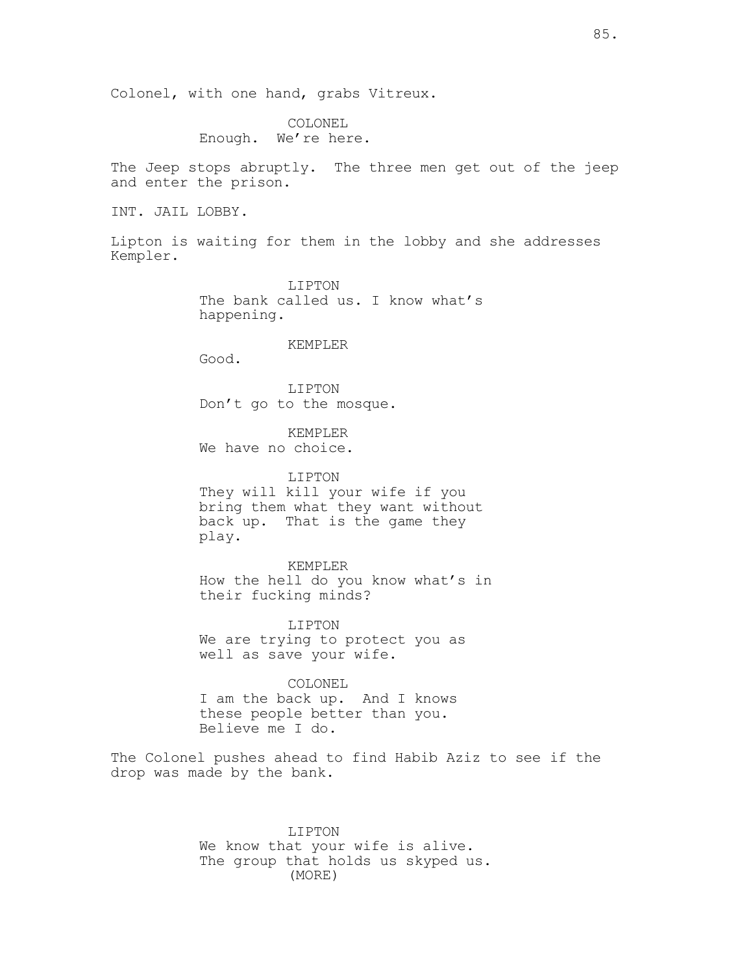Colonel, with one hand, grabs Vitreux.

COLONEL Enough. We're here.

The Jeep stops abruptly. The three men get out of the jeep and enter the prison.

INT. JAIL LOBBY.

Lipton is waiting for them in the lobby and she addresses Kempler.

> LIPTON The bank called us. I know what's happening.

> > KEMPLER

Good.

LIPTON Don't go to the mosque.

KEMPLER We have no choice.

LIPTON They will kill your wife if you bring them what they want without back up. That is the game they play.

KEMPLER How the hell do you know what's in their fucking minds?

LIPTON We are trying to protect you as well as save your wife.

COLONEL I am the back up. And I knows these people better than you. Believe me I do.

The Colonel pushes ahead to find Habib Aziz to see if the drop was made by the bank.

> LIPTON We know that your wife is alive. The group that holds us skyped us. (MORE)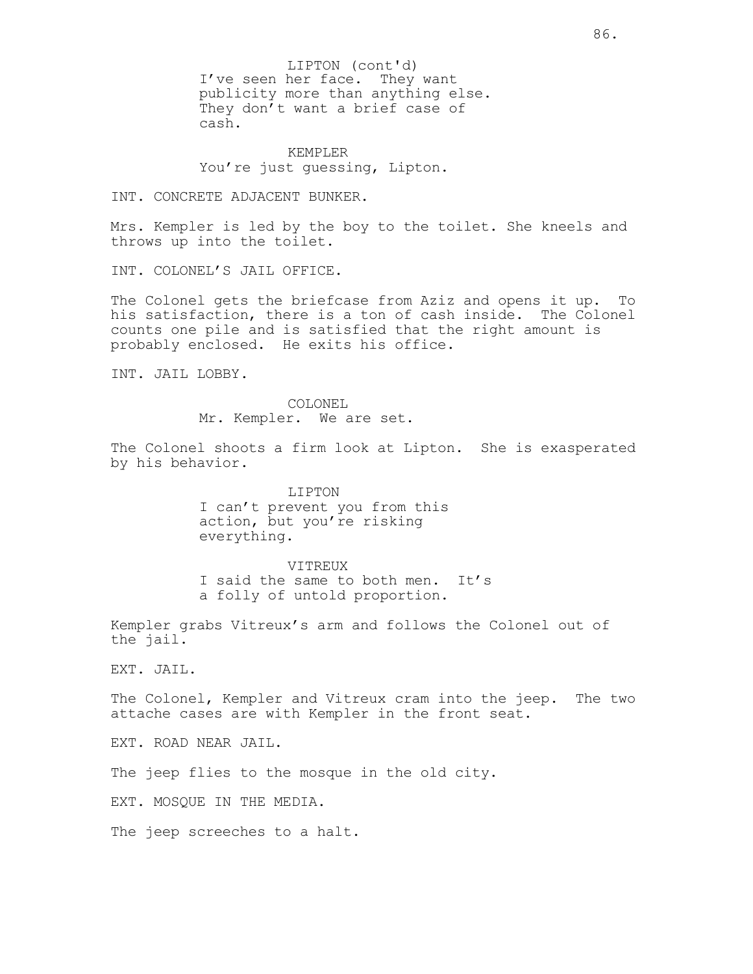I've seen her face. They want publicity more than anything else. They don't want a brief case of cash. LIPTON (cont'd)

KEMPLER You're just guessing, Lipton.

INT. CONCRETE ADJACENT BUNKER.

Mrs. Kempler is led by the boy to the toilet. She kneels and throws up into the toilet.

INT. COLONEL'S JAIL OFFICE.

The Colonel gets the briefcase from Aziz and opens it up. To his satisfaction, there is a ton of cash inside. The Colonel counts one pile and is satisfied that the right amount is probably enclosed. He exits his office.

INT. JAIL LOBBY.

COLONEL Mr. Kempler. We are set.

The Colonel shoots a firm look at Lipton. She is exasperated by his behavior.

> LIPTON I can't prevent you from this action, but you're risking everything.

VITREUX I said the same to both men. It's a folly of untold proportion.

Kempler grabs Vitreux's arm and follows the Colonel out of the jail.

EXT. JAIL.

The Colonel, Kempler and Vitreux cram into the jeep. The two attache cases are with Kempler in the front seat.

EXT. ROAD NEAR JAIL.

The jeep flies to the mosque in the old city.

EXT. MOSQUE IN THE MEDIA.

The jeep screeches to a halt.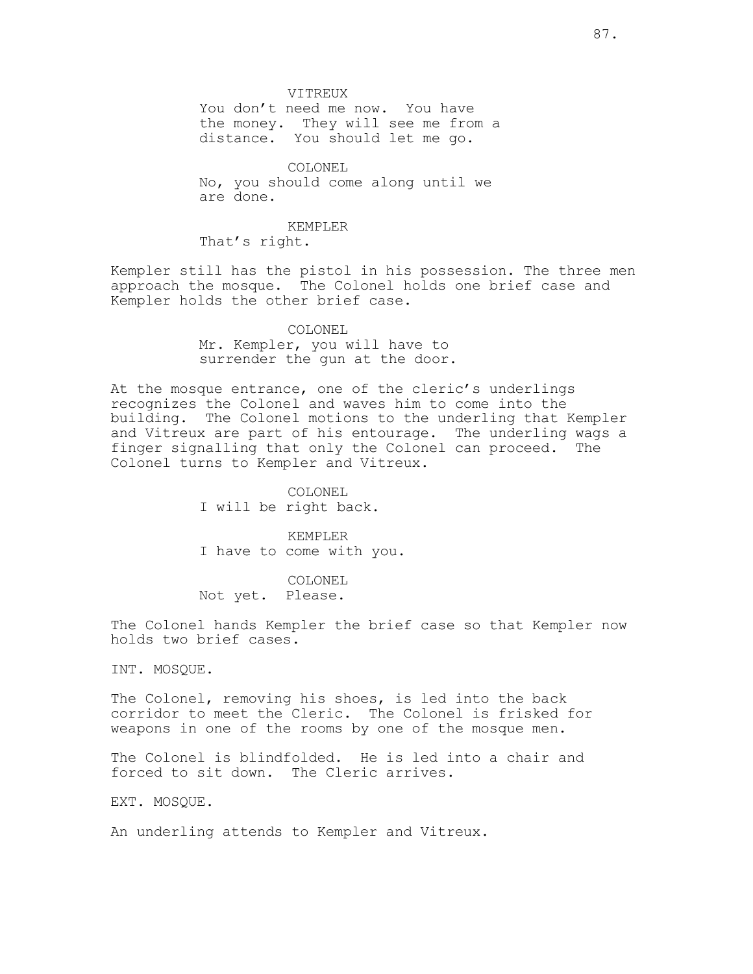VITREUX

You don't need me now. You have the money. They will see me from a distance. You should let me go.

COLONEL No, you should come along until we are done.

KEMPLER That's right.

Kempler still has the pistol in his possession. The three men approach the mosque. The Colonel holds one brief case and Kempler holds the other brief case.

> COLONEL Mr. Kempler, you will have to surrender the gun at the door.

At the mosque entrance, one of the cleric's underlings recognizes the Colonel and waves him to come into the building. The Colonel motions to the underling that Kempler and Vitreux are part of his entourage. The underling wags a finger signalling that only the Colonel can proceed. The Colonel turns to Kempler and Vitreux.

> COLONEL I will be right back.

KEMPLER I have to come with you.

COLONEL Not yet. Please.

The Colonel hands Kempler the brief case so that Kempler now holds two brief cases.

INT. MOSQUE.

The Colonel, removing his shoes, is led into the back corridor to meet the Cleric. The Colonel is frisked for weapons in one of the rooms by one of the mosque men.

The Colonel is blindfolded. He is led into a chair and forced to sit down. The Cleric arrives.

EXT. MOSQUE.

An underling attends to Kempler and Vitreux.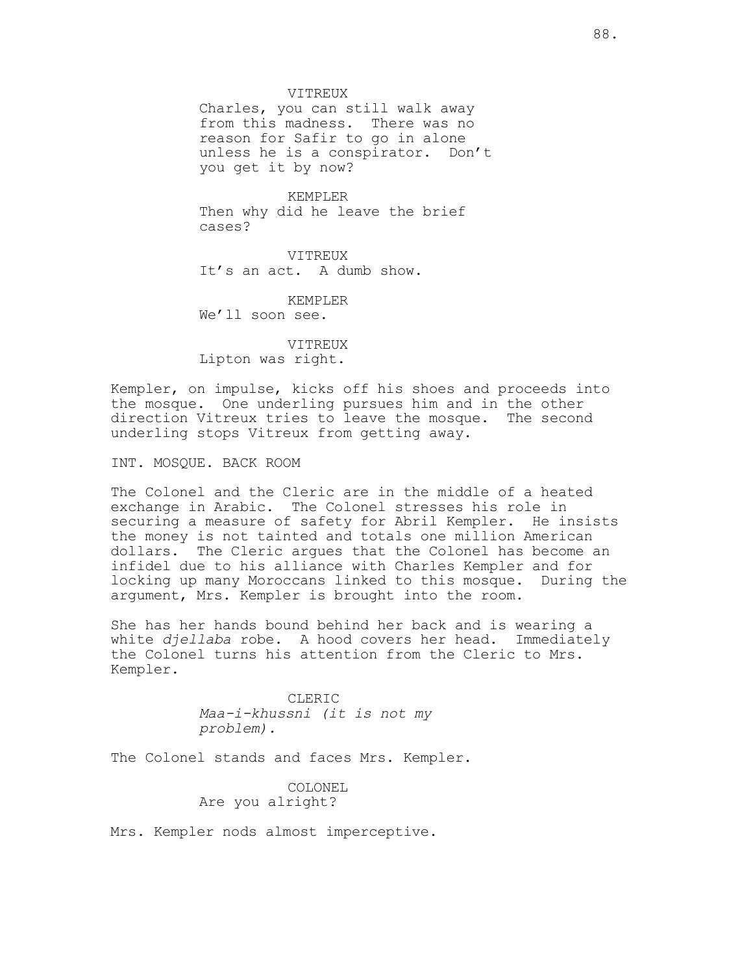VITREUX

Charles, you can still walk away from this madness. There was no reason for Safir to go in alone unless he is a conspirator. Don't you get it by now?

KEMPLER Then why did he leave the brief cases?

VITREUX It's an act. A dumb show.

KEMPLER We'll soon see.

VITREUX Lipton was right.

Kempler, on impulse, kicks off his shoes and proceeds into the mosque. One underling pursues him and in the other direction Vitreux tries to leave the mosque. The second underling stops Vitreux from getting away.

INT. MOSQUE. BACK ROOM

The Colonel and the Cleric are in the middle of a heated exchange in Arabic. The Colonel stresses his role in securing a measure of safety for Abril Kempler. He insists the money is not tainted and totals one million American dollars. The Cleric argues that the Colonel has become an infidel due to his alliance with Charles Kempler and for locking up many Moroccans linked to this mosque. During the argument, Mrs. Kempler is brought into the room.

She has her hands bound behind her back and is wearing a white djellaba robe. A hood covers her head. Immediately the Colonel turns his attention from the Cleric to Mrs. Kempler.

> CLERIC Maa-i-khussni (it is not my problem).

The Colonel stands and faces Mrs. Kempler.

COLONEL Are you alright?

Mrs. Kempler nods almost imperceptive.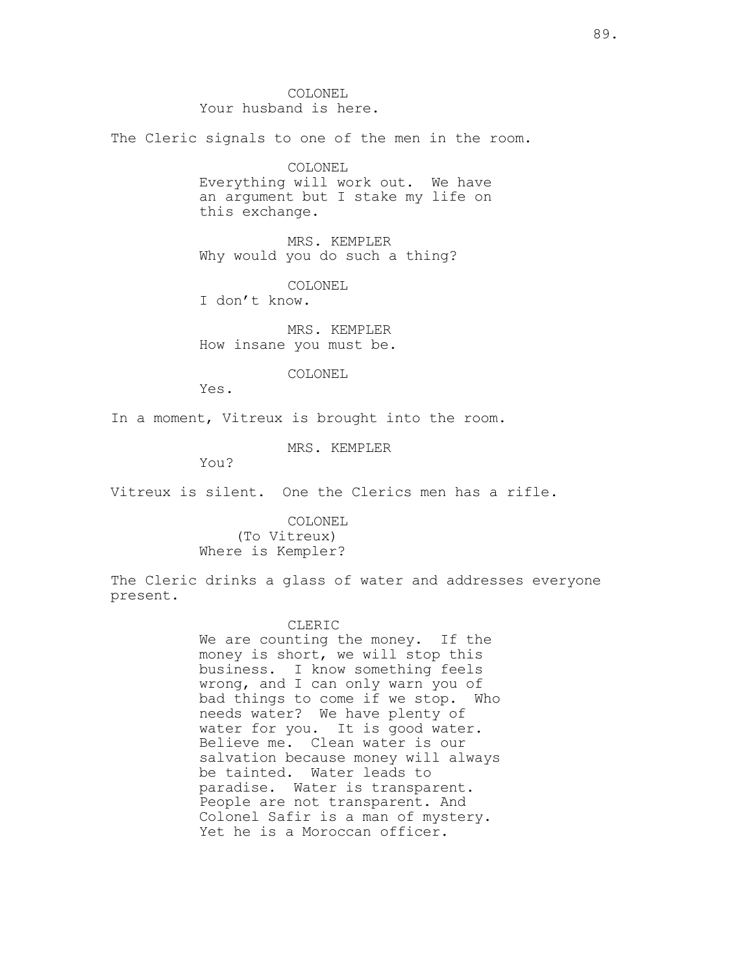COLONEL Your husband is here. The Cleric signals to one of the men in the room. COLONEL Everything will work out. We have an argument but I stake my life on this exchange. MRS. KEMPLER Why would you do such a thing? COLONEL I don't know. MRS. KEMPLER How insane you must be. COLONEL Yes. In a moment, Vitreux is brought into the room. MRS. KEMPLER You?

Vitreux is silent. One the Clerics men has a rifle.

COLONEL (To Vitreux) Where is Kempler?

The Cleric drinks a glass of water and addresses everyone present.

## CLERIC

We are counting the money. If the money is short, we will stop this business. I know something feels wrong, and I can only warn you of bad things to come if we stop. Who needs water? We have plenty of water for you. It is good water. Believe me. Clean water is our salvation because money will always be tainted. Water leads to paradise. Water is transparent. People are not transparent. And Colonel Safir is a man of mystery. Yet he is a Moroccan officer.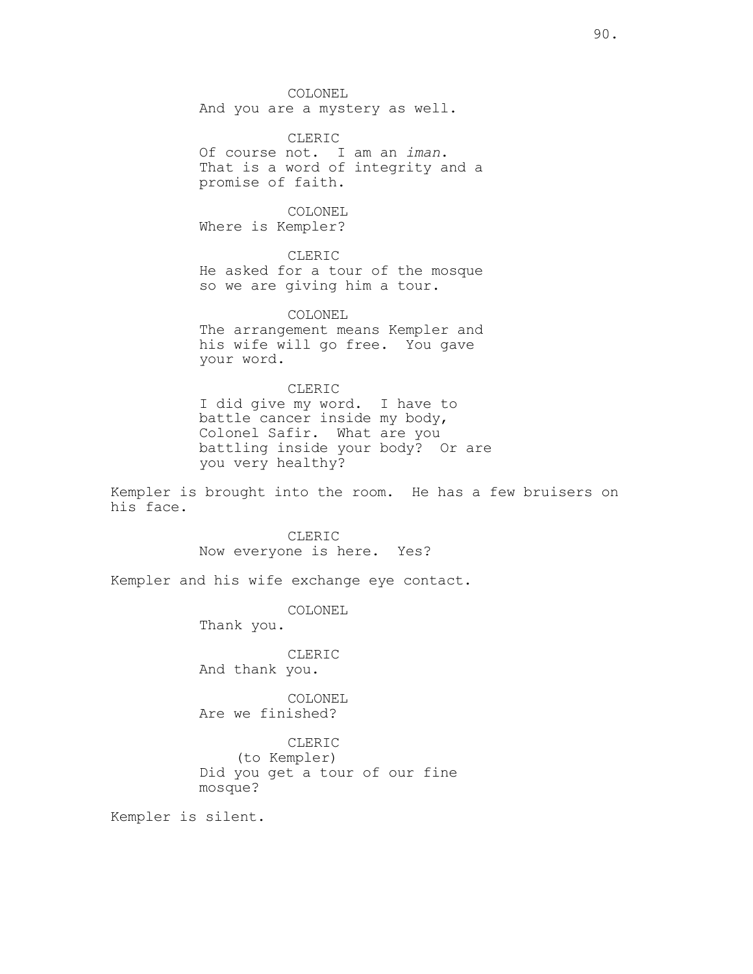COLONEL And you are a mystery as well.

CLERIC Of course not. I am an iman. That is a word of integrity and a promise of faith.

COLONEL Where is Kempler?

CLERIC He asked for a tour of the mosque so we are giving him a tour.

COLONEL The arrangement means Kempler and his wife will go free. You gave your word.

CLERIC I did give my word. I have to battle cancer inside my body, Colonel Safir. What are you battling inside your body? Or are you very healthy?

Kempler is brought into the room. He has a few bruisers on his face.

> CLERIC Now everyone is here. Yes?

Kempler and his wife exchange eye contact.

COLONEL

Thank you.

CLERIC And thank you.

COLONEL Are we finished?

CLERIC (to Kempler) Did you get a tour of our fine mosque?

Kempler is silent.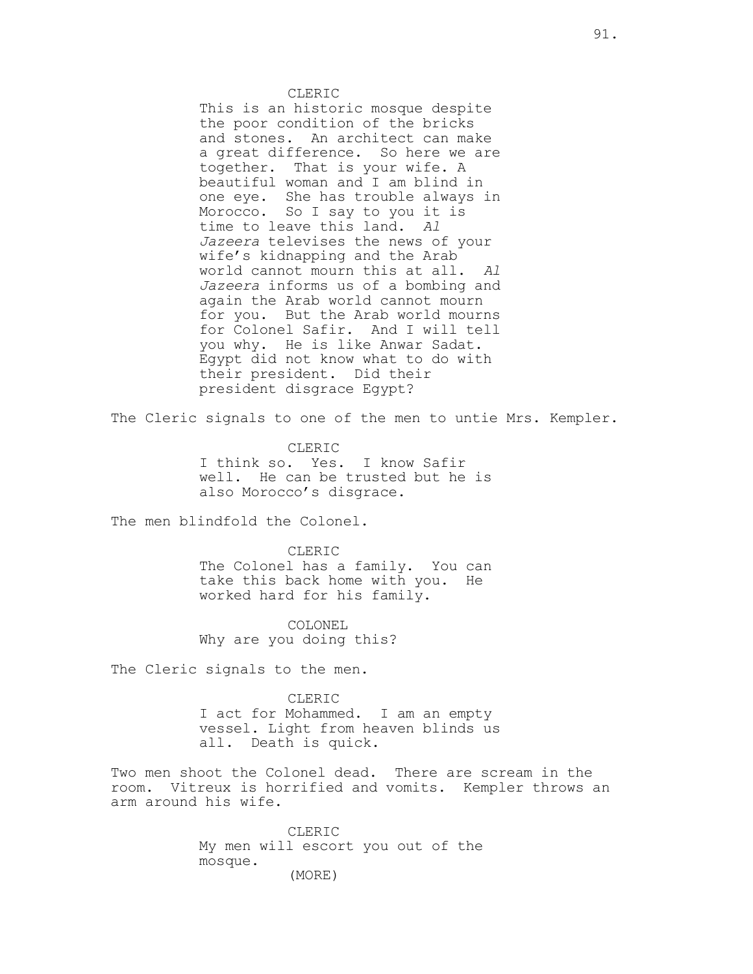CLERIC This is an historic mosque despite the poor condition of the bricks and stones. An architect can make a great difference. So here we are together. That is your wife. A beautiful woman and I am blind in one eye. She has trouble always in Morocco. So I say to you it is time to leave this land. Al Jazeera televises the news of your wife's kidnapping and the Arab world cannot mourn this at all. Al Jazeera informs us of a bombing and again the Arab world cannot mourn for you. But the Arab world mourns for Colonel Safir. And I will tell you why. He is like Anwar Sadat. Egypt did not know what to do with their president. Did their president disgrace Egypt?

The Cleric signals to one of the men to untie Mrs. Kempler.

CLERIC I think so. Yes. I know Safir well. He can be trusted but he is also Morocco's disgrace.

The men blindfold the Colonel.

CLERIC The Colonel has a family. You can take this back home with you. He worked hard for his family.

COLONEL Why are you doing this?

The Cleric signals to the men.

CLERIC I act for Mohammed. I am an empty vessel. Light from heaven blinds us all. Death is quick.

Two men shoot the Colonel dead. There are scream in the room. Vitreux is horrified and vomits. Kempler throws an arm around his wife.

> CLERIC My men will escort you out of the mosque. (MORE)

91.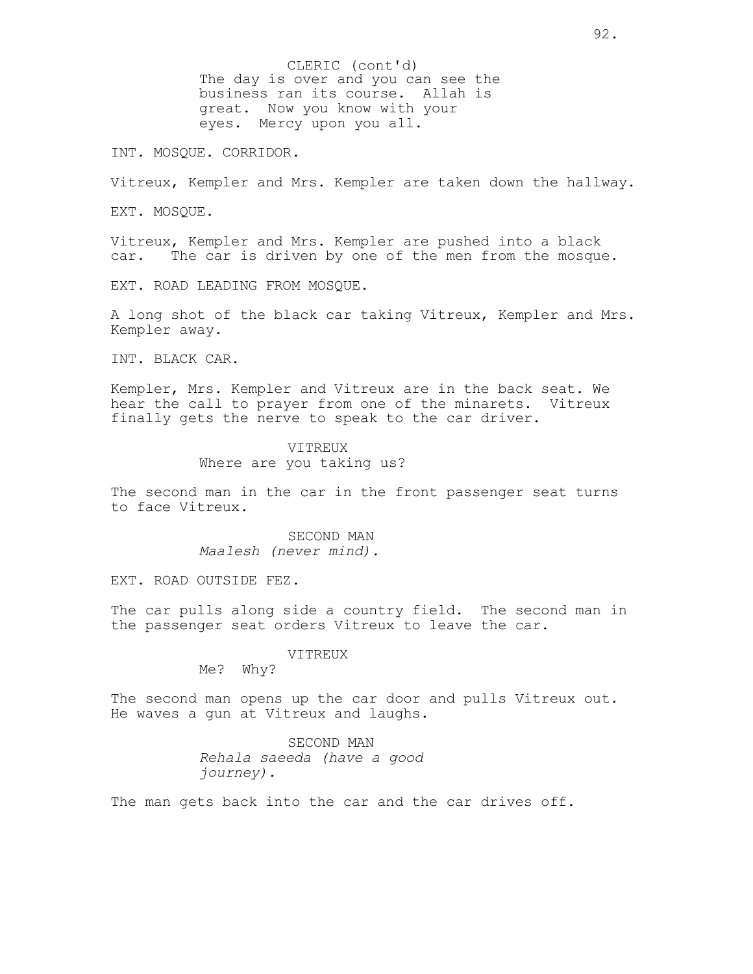The day is over and you can see the business ran its course. Allah is great. Now you know with your eyes. Mercy upon you all. CLERIC (cont'd)

INT. MOSQUE. CORRIDOR.

Vitreux, Kempler and Mrs. Kempler are taken down the hallway.

EXT. MOSQUE.

Vitreux, Kempler and Mrs. Kempler are pushed into a black car. The car is driven by one of the men from the mosque.

EXT. ROAD LEADING FROM MOSQUE.

A long shot of the black car taking Vitreux, Kempler and Mrs. Kempler away.

INT. BLACK CAR.

Kempler, Mrs. Kempler and Vitreux are in the back seat. We hear the call to prayer from one of the minarets. Vitreux finally gets the nerve to speak to the car driver.

> VITREUX Where are you taking us?

The second man in the car in the front passenger seat turns to face Vitreux.

> SECOND MAN Maalesh (never mind).

EXT. ROAD OUTSIDE FEZ.

The car pulls along side a country field. The second man in the passenger seat orders Vitreux to leave the car.

VITREUX

Me? Why?

The second man opens up the car door and pulls Vitreux out. He waves a gun at Vitreux and laughs.

> SECOND MAN Rehala saeeda (have a good journey).

The man gets back into the car and the car drives off.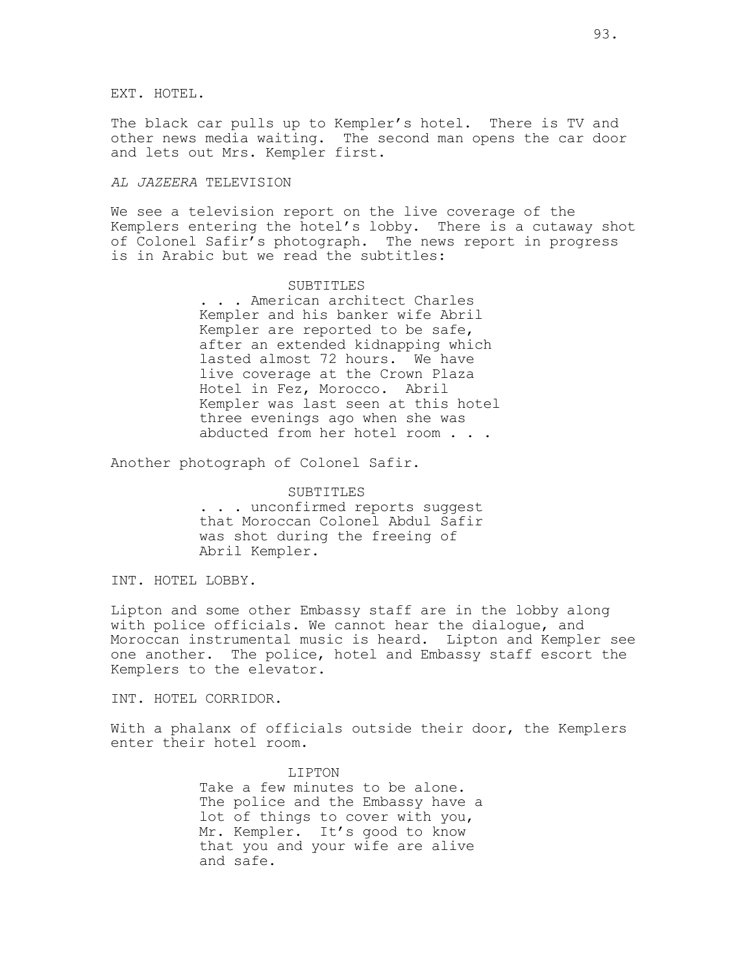EXT. HOTEL.

The black car pulls up to Kempler's hotel. There is TV and other news media waiting. The second man opens the car door and lets out Mrs. Kempler first.

## AL JAZEERA TELEVISION

We see a television report on the live coverage of the Kemplers entering the hotel's lobby. There is a cutaway shot of Colonel Safir's photograph. The news report in progress is in Arabic but we read the subtitles:

#### SUBTITLES

. . . American architect Charles Kempler and his banker wife Abril Kempler are reported to be safe, after an extended kidnapping which lasted almost 72 hours. We have live coverage at the Crown Plaza Hotel in Fez, Morocco. Abril Kempler was last seen at this hotel three evenings ago when she was abducted from her hotel room . . .

Another photograph of Colonel Safir.

# SUBTITLES . . . unconfirmed reports suggest that Moroccan Colonel Abdul Safir was shot during the freeing of Abril Kempler.

INT. HOTEL LOBBY.

Lipton and some other Embassy staff are in the lobby along with police officials. We cannot hear the dialogue, and Moroccan instrumental music is heard. Lipton and Kempler see one another. The police, hotel and Embassy staff escort the Kemplers to the elevator.

INT. HOTEL CORRIDOR.

With a phalanx of officials outside their door, the Kemplers enter their hotel room.

> LIPTON Take a few minutes to be alone. The police and the Embassy have a lot of things to cover with you, Mr. Kempler. It's good to know that you and your wife are alive and safe.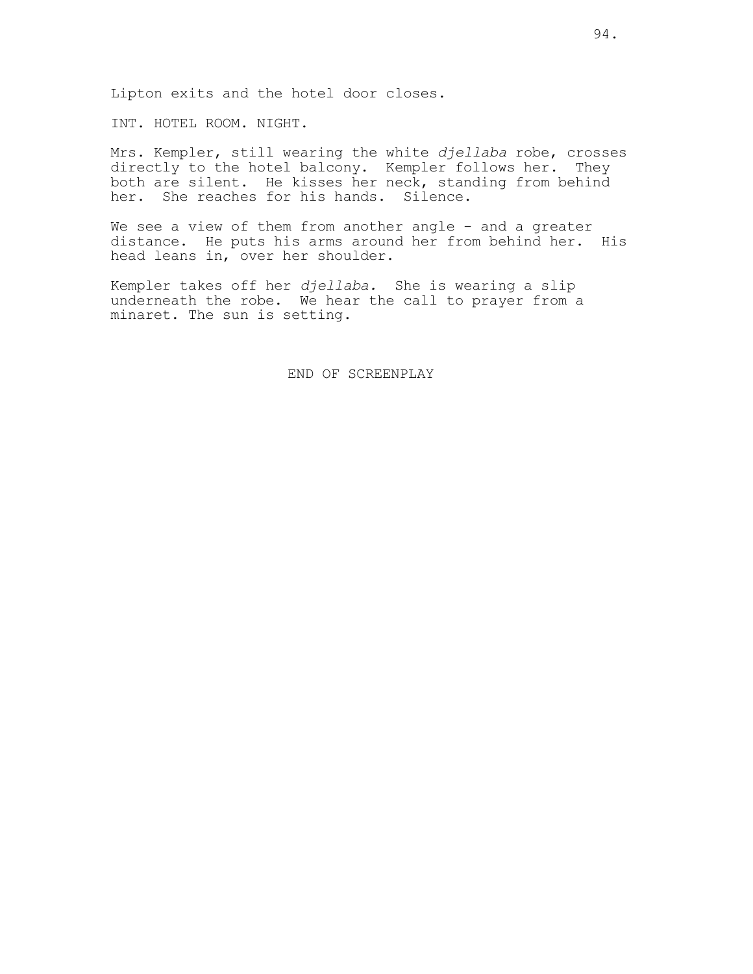INT. HOTEL ROOM. NIGHT.

Mrs. Kempler, still wearing the white djellaba robe, crosses directly to the hotel balcony. Kempler follows her. They both are silent. He kisses her neck, standing from behind her. She reaches for his hands. Silence.

We see a view of them from another angle - and a greater distance. He puts his arms around her from behind her. His head leans in, over her shoulder.

Kempler takes off her djellaba. She is wearing a slip underneath the robe. We hear the call to prayer from a minaret. The sun is setting.

END OF SCREENPLAY